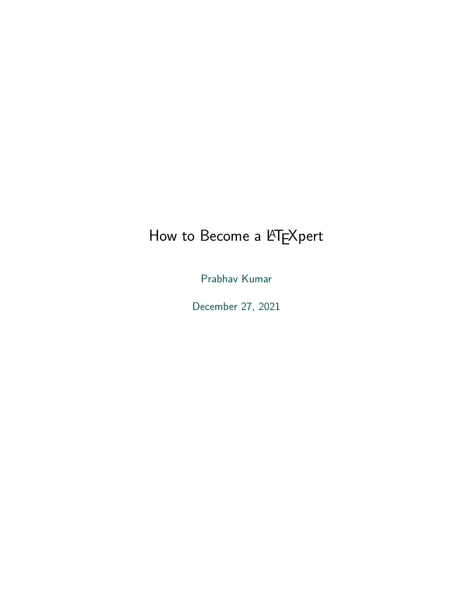## How to Become a LATEXpert

Prabhav Kumar

December 27, 2021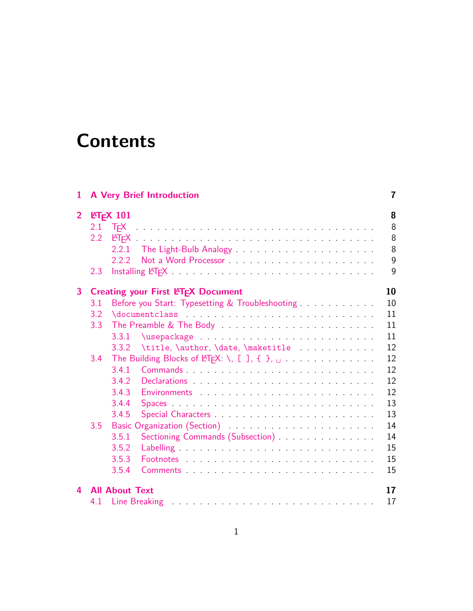## **Contents**

| 1              |     | <b>A Very Brief Introduction</b>                                                                                                                                                                                                        | 7  |
|----------------|-----|-----------------------------------------------------------------------------------------------------------------------------------------------------------------------------------------------------------------------------------------|----|
| $\overline{2}$ |     | $IET$ <sub>E</sub> $X$ 101                                                                                                                                                                                                              | 8  |
|                | 2.1 |                                                                                                                                                                                                                                         | 8  |
|                | 2.2 |                                                                                                                                                                                                                                         | 8  |
|                |     | 2.2.1                                                                                                                                                                                                                                   | 8  |
|                |     | 222                                                                                                                                                                                                                                     | 9  |
|                | 2.3 |                                                                                                                                                                                                                                         | 9  |
| 3              |     | <b>Creating your First LATEX Document</b>                                                                                                                                                                                               | 10 |
|                | 3.1 | Before you Start: Typesetting & Troubleshooting                                                                                                                                                                                         | 10 |
|                | 3.2 |                                                                                                                                                                                                                                         | 11 |
|                | 3.3 |                                                                                                                                                                                                                                         | 11 |
|                |     | 3.3.1                                                                                                                                                                                                                                   | 11 |
|                |     | 3.3.2                                                                                                                                                                                                                                   | 12 |
|                | 3.4 | The Building Blocks of LATEX: \, [ ], { }, $\Box$                                                                                                                                                                                       | 12 |
|                |     | 3.4.1<br>Commands experiences and the commands of the contract of the contract of the contract of the contract of the contract of the contract of the contract of the contract of the contract of the contract of the contract of the c | 12 |
|                |     | 3.4.2<br>Declarations experiences and the contract of the contract of the contract of the contract of the contract of the contract of the contract of the contract of the contract of the contract of the contract of the contract of t | 12 |
|                |     | 3.4.3                                                                                                                                                                                                                                   | 12 |
|                |     | 3.4.4                                                                                                                                                                                                                                   | 13 |
|                |     | 3.4.5<br>Special Characters and the contraction of the set of the set of the set of the set of the set of the set of the                                                                                                                | 13 |
|                | 3.5 |                                                                                                                                                                                                                                         | 14 |
|                |     | Sectioning Commands (Subsection) [19] Sectioning Commands (Subsection)<br>3.5.1                                                                                                                                                         | 14 |
|                |     | 3.5.2                                                                                                                                                                                                                                   | 15 |
|                |     | 3.5.3<br>Footnotes experiences and the contract of the contract of the contract of the contract of the contract of the contract of the contract of the contract of the contract of the contract of the contract of the contract of the  | 15 |
|                |     | 3.5.4<br>Comments Commercial Comments Comments and Commercial Commercial Commercial Commercial Commercial Commercial Co                                                                                                                 | 15 |
| 4              |     | <b>All About Text</b>                                                                                                                                                                                                                   | 17 |
|                | 4.1 |                                                                                                                                                                                                                                         | 17 |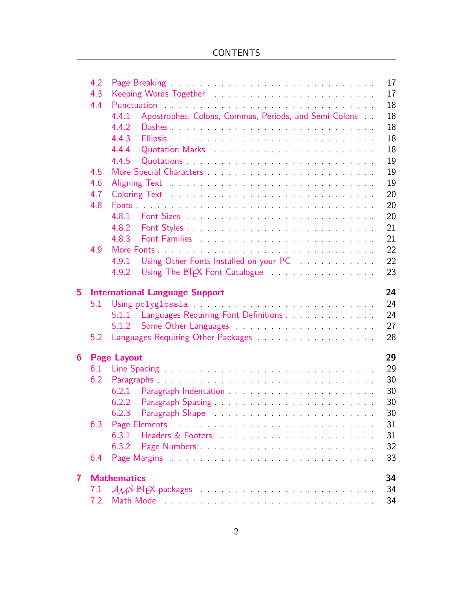|                         | 4.2 | Page Breaking Theorem 2014 Service Contract Contract Department Contract Department                                                                                                                                                       | 17 |
|-------------------------|-----|-------------------------------------------------------------------------------------------------------------------------------------------------------------------------------------------------------------------------------------------|----|
|                         | 4.3 |                                                                                                                                                                                                                                           | 17 |
|                         | 4.4 | Punctuation Punctuation Communication of the community of the communication of the community of the communication of the communication of the communication of the communication of the communication of the communication of             | 18 |
|                         |     | Apostrophes, Colons, Commas, Periods, and Semi-Colons<br>4.4.1                                                                                                                                                                            | 18 |
|                         |     | 4.4.2                                                                                                                                                                                                                                     | 18 |
|                         |     | 4.4.3                                                                                                                                                                                                                                     | 18 |
|                         |     | 4.4.4<br>Quotation Marks Quotation and Marks                                                                                                                                                                                              | 18 |
|                         |     | 4.4.5                                                                                                                                                                                                                                     | 19 |
|                         | 4.5 |                                                                                                                                                                                                                                           | 19 |
|                         | 4.6 |                                                                                                                                                                                                                                           | 19 |
|                         | 4.7 |                                                                                                                                                                                                                                           | 20 |
|                         | 4.8 |                                                                                                                                                                                                                                           | 20 |
|                         |     |                                                                                                                                                                                                                                           | 20 |
|                         |     | 4.8.2                                                                                                                                                                                                                                     | 21 |
|                         |     | 4.8.3                                                                                                                                                                                                                                     | 21 |
|                         | 4.9 |                                                                                                                                                                                                                                           | 22 |
|                         |     | Using Other Fonts Installed on your PC<br>4.9.1                                                                                                                                                                                           | 22 |
|                         |     | Using The LATEX Font Catalogue The Case of The Latin Catalogue<br>4.9.2                                                                                                                                                                   | 23 |
|                         |     |                                                                                                                                                                                                                                           |    |
| 5                       |     | <b>International Language Support</b>                                                                                                                                                                                                     | 24 |
|                         | 5.1 |                                                                                                                                                                                                                                           | 24 |
|                         |     | 5.1.1 Languages Requiring Font Definitions <b>Constanting Languages</b> Requiring Font Definitions <b>Constanting Constanting Constanting Constanting Constanting Constanting Constanting Constanting Constanting Constanting Constan</b> | 24 |
|                         |     | 5.1.2                                                                                                                                                                                                                                     | 27 |
|                         | 5.2 |                                                                                                                                                                                                                                           | 28 |
| $6^{\circ}$             |     | <b>Page Layout</b>                                                                                                                                                                                                                        | 29 |
|                         |     |                                                                                                                                                                                                                                           | 29 |
|                         | 6.2 |                                                                                                                                                                                                                                           | 30 |
|                         |     | 6.2.1                                                                                                                                                                                                                                     | 30 |
|                         |     |                                                                                                                                                                                                                                           | 30 |
|                         |     | 6.2.3<br>Paragraph Shape Paragraph Shape Paragraph Shape                                                                                                                                                                                  | 30 |
|                         |     |                                                                                                                                                                                                                                           | 31 |
|                         |     | 6.3.1<br>Headers & Footers Processes and Allen Contracts and Allen Contracts and Allen Contracts and Allen Contracts and A                                                                                                                | 31 |
|                         |     | 6.3.2                                                                                                                                                                                                                                     | 32 |
|                         | 6.4 |                                                                                                                                                                                                                                           | 33 |
|                         |     |                                                                                                                                                                                                                                           |    |
| $\overline{\mathbf{7}}$ |     | <b>Mathematics</b>                                                                                                                                                                                                                        | 34 |
|                         | 7.1 |                                                                                                                                                                                                                                           | 34 |
|                         | 7.2 |                                                                                                                                                                                                                                           | 34 |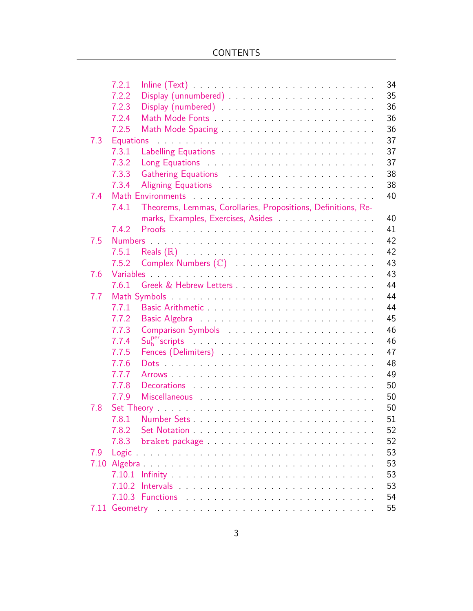|      | 7.2.1            | 34                                                                                                                                                                                                                                   |
|------|------------------|--------------------------------------------------------------------------------------------------------------------------------------------------------------------------------------------------------------------------------------|
|      | 7.2.2            | 35                                                                                                                                                                                                                                   |
|      | 7.2.3            | 36<br>Display (numbered) entertainment and the set of the set of the set of the set of the set of the set of the set of the set of the set of the set of the set of the set of the set of the set of the set of the set of the set o |
|      | 7.2.4            | 36                                                                                                                                                                                                                                   |
|      | 7.2.5            | 36<br>Math Mode Spacing                                                                                                                                                                                                              |
| 7.3  | <b>Equations</b> | 37                                                                                                                                                                                                                                   |
|      | 7.3.1            | 37                                                                                                                                                                                                                                   |
|      | 7.3.2            | 37                                                                                                                                                                                                                                   |
|      | 7.3.3            | 38<br>Gathering Equations <b>Constanting Cathering Equations</b>                                                                                                                                                                     |
|      | 7.3.4            | 38<br>Aligning Equations Aligning Contact the Aligning Equations Aligning Contact the Aligning Contact Aligning Contact Aligning Contact Aligning Contact Aligning Contact Aligning Contact Aligning Contact Aligning Contact Aligni |
| 7.4  |                  | 40                                                                                                                                                                                                                                   |
|      | 7.4.1            | Theorems, Lemmas, Corollaries, Propositions, Definitions, Re-                                                                                                                                                                        |
|      |                  | marks, Examples, Exercises, Asides<br>40                                                                                                                                                                                             |
|      | 7.4.2            | 41                                                                                                                                                                                                                                   |
| 7.5  |                  | 42<br>Numbers and the contract of the contract of the contract of the contract of the contract of the contract of the                                                                                                                |
|      | 7.5.1            | 42                                                                                                                                                                                                                                   |
|      | 7.5.2            | 43                                                                                                                                                                                                                                   |
| 7.6  |                  | 43                                                                                                                                                                                                                                   |
|      | 7.6.1            | 44                                                                                                                                                                                                                                   |
| 7.7  |                  | 44                                                                                                                                                                                                                                   |
|      | 7.7.1            | 44                                                                                                                                                                                                                                   |
|      | 7.7.2            | 45                                                                                                                                                                                                                                   |
|      | 7.7.3            | 46<br>Comparison Symbols (Comparison Symbols)                                                                                                                                                                                        |
|      | 7.7.4            | 46<br>$\mathsf{S}\mathsf{u}_{\mathsf{b}}^{\mathsf{per}}$ scripts $\mathsf{S}\mathsf{u}_{\mathsf{b}}^{\mathsf{per}}$                                                                                                                  |
|      | 7.7.5            | 47<br>Fences (Delimiters) and the contract of the contract of the contract of the contract of the contract of the contract of the contract of the contract of the contract of the contract of the contract of the contract of the co |
|      | 7.7.6            | 48                                                                                                                                                                                                                                   |
|      | 7.7.7            | 49                                                                                                                                                                                                                                   |
|      | 7.7.8            | 50<br>Decorations experiences and the contract of the contract of the contract of the contract of the contract of the                                                                                                                |
|      | 7.7.9            | 50                                                                                                                                                                                                                                   |
| 7.8  |                  | 50                                                                                                                                                                                                                                   |
|      | 7.8.1            | 51<br>Number Sets                                                                                                                                                                                                                    |
|      | 7.8.2            | 52                                                                                                                                                                                                                                   |
|      | 7.8.3            | 52                                                                                                                                                                                                                                   |
| 7.9  |                  | 53                                                                                                                                                                                                                                   |
|      |                  | 53                                                                                                                                                                                                                                   |
|      |                  | 53                                                                                                                                                                                                                                   |
|      |                  | 53                                                                                                                                                                                                                                   |
|      |                  | 54                                                                                                                                                                                                                                   |
| 7.11 |                  | Geometry entry and a substitution of the substantial contract of the substantial contract of the substantial contract of the substantial contract of the substantial contract of the substantial contract of the substantial c<br>55 |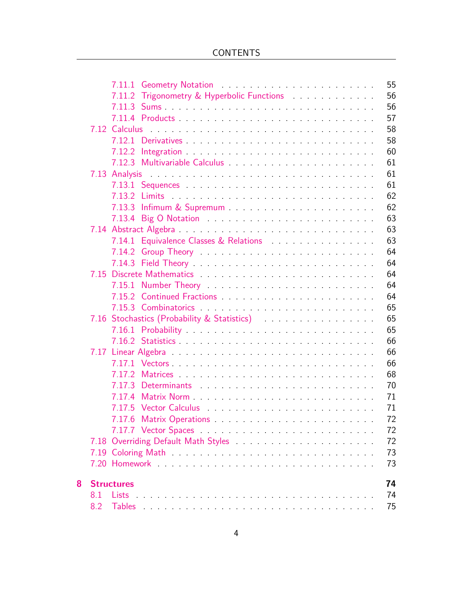|     |        | 55                                                                                                                                                                                                                                                                                 |
|-----|--------|------------------------------------------------------------------------------------------------------------------------------------------------------------------------------------------------------------------------------------------------------------------------------------|
|     |        | 56                                                                                                                                                                                                                                                                                 |
|     |        | 56                                                                                                                                                                                                                                                                                 |
|     |        | 57                                                                                                                                                                                                                                                                                 |
|     |        | 58                                                                                                                                                                                                                                                                                 |
|     |        | 58                                                                                                                                                                                                                                                                                 |
|     |        | 60                                                                                                                                                                                                                                                                                 |
|     |        | 61                                                                                                                                                                                                                                                                                 |
|     |        | 61                                                                                                                                                                                                                                                                                 |
|     |        | 61                                                                                                                                                                                                                                                                                 |
|     |        | 62                                                                                                                                                                                                                                                                                 |
|     |        | 62                                                                                                                                                                                                                                                                                 |
|     |        | 63                                                                                                                                                                                                                                                                                 |
|     |        | 63                                                                                                                                                                                                                                                                                 |
|     |        | 63                                                                                                                                                                                                                                                                                 |
|     | 7.14.2 | 64                                                                                                                                                                                                                                                                                 |
|     |        | 64                                                                                                                                                                                                                                                                                 |
|     |        | 64                                                                                                                                                                                                                                                                                 |
|     |        | 64                                                                                                                                                                                                                                                                                 |
|     |        | 64                                                                                                                                                                                                                                                                                 |
|     |        | 65                                                                                                                                                                                                                                                                                 |
|     |        | 65                                                                                                                                                                                                                                                                                 |
|     |        | 65                                                                                                                                                                                                                                                                                 |
|     |        | 66                                                                                                                                                                                                                                                                                 |
|     |        | 66                                                                                                                                                                                                                                                                                 |
|     |        | 66                                                                                                                                                                                                                                                                                 |
|     |        | 68                                                                                                                                                                                                                                                                                 |
|     | 7.17.3 | 70                                                                                                                                                                                                                                                                                 |
|     | 7.17.4 | 71                                                                                                                                                                                                                                                                                 |
|     |        | 71                                                                                                                                                                                                                                                                                 |
|     | 7.17.6 | 72                                                                                                                                                                                                                                                                                 |
|     |        | 72                                                                                                                                                                                                                                                                                 |
|     |        | 72                                                                                                                                                                                                                                                                                 |
|     |        | 73                                                                                                                                                                                                                                                                                 |
|     |        | 73                                                                                                                                                                                                                                                                                 |
|     |        | 74                                                                                                                                                                                                                                                                                 |
| 8.1 | Lists  | 74                                                                                                                                                                                                                                                                                 |
| 8.2 |        | 75                                                                                                                                                                                                                                                                                 |
|     |        | 7.14.1 Equivalence Classes & Relations<br>7.16 Stochastics (Probability & Statistics) The Contract of Stochastics (Probability & Statistics)<br>7.18 Overriding Default Math Styles Matheur Alexander And Theorem and Theorem and Theorem and Theorem and The<br><b>Structures</b> |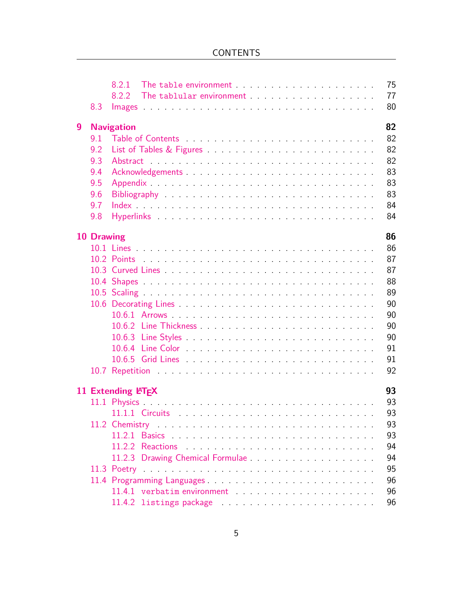|   |            | 8.2.1              | The table environment The substitution of the state of the state of the state of the state of the state of the                                                                                                                 |  |  | 75 |
|---|------------|--------------------|--------------------------------------------------------------------------------------------------------------------------------------------------------------------------------------------------------------------------------|--|--|----|
|   |            | 8.2.2              | The tablular environment the state of the state of the state of the state of the state of the state of the state of the state of the state of the state of the state of the state of the state of the state of the state of th |  |  | 77 |
|   | 8.3        |                    |                                                                                                                                                                                                                                |  |  | 80 |
| 9 |            | <b>Navigation</b>  |                                                                                                                                                                                                                                |  |  | 82 |
|   | 9.1        |                    |                                                                                                                                                                                                                                |  |  | 82 |
|   | 9.2        |                    |                                                                                                                                                                                                                                |  |  | 82 |
|   | 9.3        |                    |                                                                                                                                                                                                                                |  |  | 82 |
|   | 9.4        |                    |                                                                                                                                                                                                                                |  |  | 83 |
|   | 9.5        |                    |                                                                                                                                                                                                                                |  |  | 83 |
|   | 9.6        |                    |                                                                                                                                                                                                                                |  |  | 83 |
|   | 9.7        |                    |                                                                                                                                                                                                                                |  |  | 84 |
|   | 9.8        |                    |                                                                                                                                                                                                                                |  |  | 84 |
|   | 10 Drawing |                    |                                                                                                                                                                                                                                |  |  | 86 |
|   |            |                    |                                                                                                                                                                                                                                |  |  | 86 |
|   |            |                    |                                                                                                                                                                                                                                |  |  | 87 |
|   |            |                    |                                                                                                                                                                                                                                |  |  | 87 |
|   |            |                    |                                                                                                                                                                                                                                |  |  | 88 |
|   |            |                    |                                                                                                                                                                                                                                |  |  | 89 |
|   |            |                    |                                                                                                                                                                                                                                |  |  | 90 |
|   |            |                    |                                                                                                                                                                                                                                |  |  | 90 |
|   |            |                    |                                                                                                                                                                                                                                |  |  | 90 |
|   |            |                    |                                                                                                                                                                                                                                |  |  | 90 |
|   |            |                    |                                                                                                                                                                                                                                |  |  | 91 |
|   |            |                    |                                                                                                                                                                                                                                |  |  | 91 |
|   |            |                    |                                                                                                                                                                                                                                |  |  | 92 |
|   |            | 11 Extending LATEX |                                                                                                                                                                                                                                |  |  | 93 |
|   |            |                    |                                                                                                                                                                                                                                |  |  | 93 |
|   |            |                    |                                                                                                                                                                                                                                |  |  | 93 |
|   |            |                    |                                                                                                                                                                                                                                |  |  | 93 |
|   |            |                    |                                                                                                                                                                                                                                |  |  | 93 |
|   |            |                    |                                                                                                                                                                                                                                |  |  | 94 |
|   |            |                    |                                                                                                                                                                                                                                |  |  | 94 |
|   |            |                    |                                                                                                                                                                                                                                |  |  | 95 |
|   |            |                    |                                                                                                                                                                                                                                |  |  | 96 |
|   |            |                    |                                                                                                                                                                                                                                |  |  | 96 |
|   |            |                    |                                                                                                                                                                                                                                |  |  | 96 |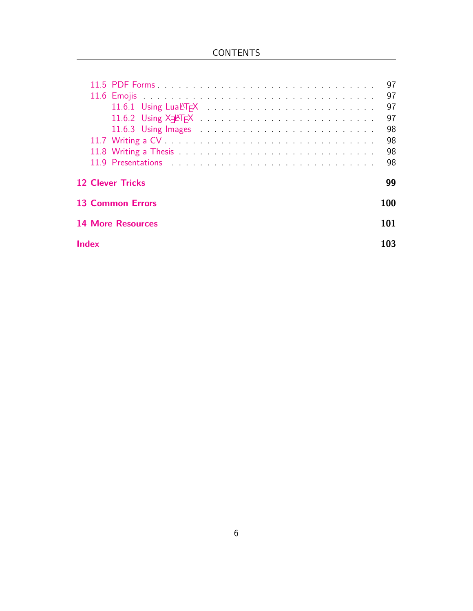|                                                                                                                                                                                                                                                      | 97  |
|------------------------------------------------------------------------------------------------------------------------------------------------------------------------------------------------------------------------------------------------------|-----|
|                                                                                                                                                                                                                                                      | 97  |
|                                                                                                                                                                                                                                                      | 97  |
| 11.6.2 Using X <sub>7</sub> AT <sub>E</sub> X expression and a series of the series of the series of the series of the series of the series of the series of the series of the series of the series of the series of the series of the series of the | 97  |
| 11.6.3 Using Images and a substitution of the state of the state of the state of the state of the state of the                                                                                                                                       | 98  |
|                                                                                                                                                                                                                                                      | 98  |
|                                                                                                                                                                                                                                                      | 98  |
| 11.9 Presentations and the contract of the contract of the contract of the contract of the contract of the contract of the contract of the contract of the contract of the contract of the contract of the contract of the con                       | 98  |
| <b>12 Clever Tricks</b>                                                                                                                                                                                                                              | 99  |
| 13 Common Errors                                                                                                                                                                                                                                     | 100 |
| <b>14 More Resources</b>                                                                                                                                                                                                                             | 101 |
| Index                                                                                                                                                                                                                                                | 103 |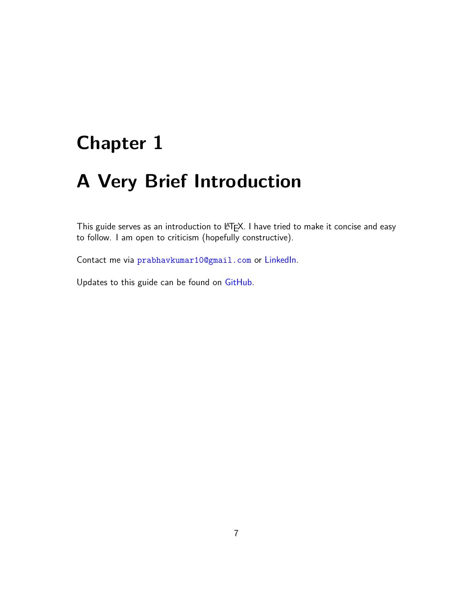## <span id="page-7-0"></span>**Chapter 1**

## **A Very Brief Introduction**

This guide serves as an introduction to LATEX. I have tried to make it concise and easy to follow. I am open to criticism (hopefully constructive).

Contact me via <prabhavkumar10@gmail.com> or [LinkedIn.](https://www.linkedin.com/in/prabhavkumar/)

Updates to this guide can be found on [GitHub](https://github.com/Prabhav10/LaTeX).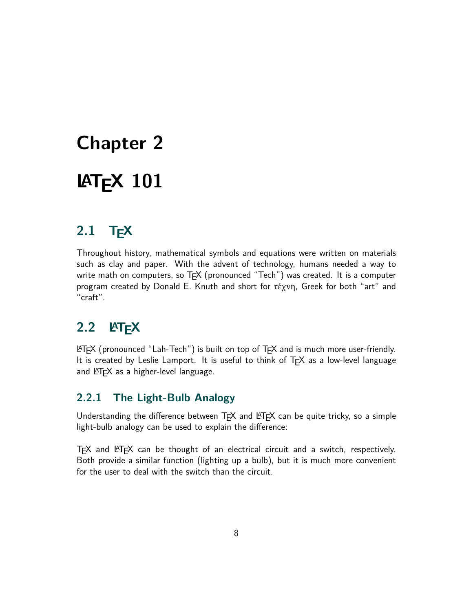# <span id="page-8-0"></span>**Chapter 2 LATEX 101**

## <span id="page-8-1"></span>**2.1 TEX**

Throughout history, mathematical symbols and equations were written on materials such as clay and paper. With the advent of technology, humans needed a way to write math on computers, so T<sub>E</sub>X (pronounced "Tech") was created. It is a computer program created by Donald E. Knuth and short for τέχνη, Greek for both "art" and "craft".

## <span id="page-8-2"></span>**2.2 LATEX**

 $\angle$ ET<sub>E</sub>X (pronounced "Lah-Tech") is built on top of T<sub>E</sub>X and is much more user-friendly. It is created by Leslie Lamport. It is useful to think of TEX as a low-level language and  $\text{FT}_E X$  as a higher-level language.

## <span id="page-8-3"></span>**2.2.1 The Light-Bulb Analogy**

Understanding the difference between  $TrX$  and  $ETFX$  can be quite tricky, so a simple light-bulb analogy can be used to explain the difference:

<span id="page-8-4"></span> $T$  and  $ET$  $FX$  can be thought of an electrical circuit and a switch, respectively. Both provide a similar function (lighting up a bulb), but it is much more convenient for the user to deal with the switch than the circuit.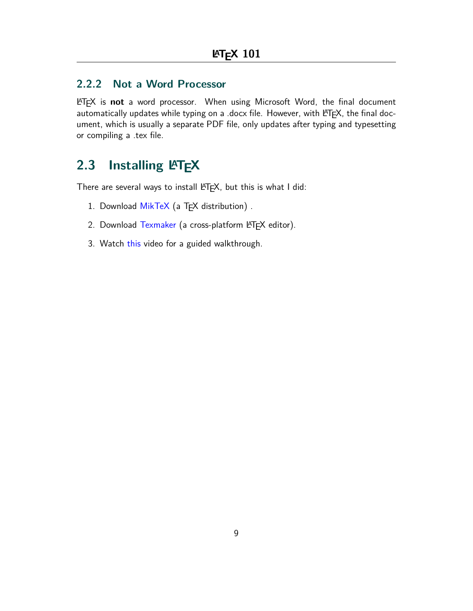### **2.2.2 Not a Word Processor**

LATEX is **not** a word processor. When using Microsoft Word, the final document automatically updates while typing on a .docx file. However, with  $\text{PT}_E X$ , the final document, which is usually a separate PDF file, only updates after typing and typesetting or compiling a .tex file.

## <span id="page-9-0"></span>2.3 Installing LATEX

There are several ways to install  $\text{PT}_E X$ , but this is what I did:

- 1. Download [MikTeX](https://miktex.org/download) (a TEX distribution).
- 2. Download [Texmaker](https://www.xm1math.net/texmaker/download.html) (a cross-platform LATEX editor).
- 3. Watch [this](https://www.youtube.com/watch?v=WnIYTFTsWiU) video for a guided walkthrough.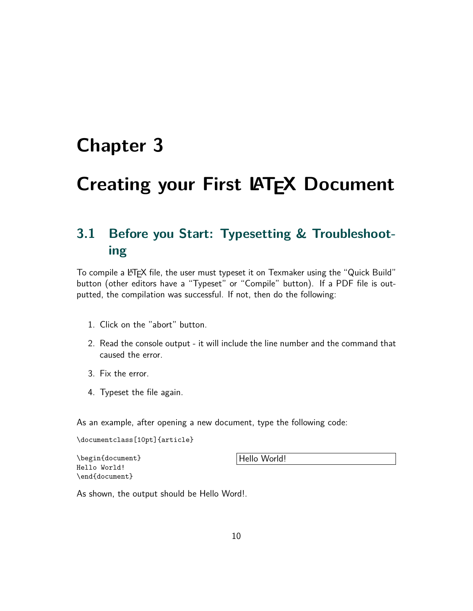## <span id="page-10-0"></span>**Chapter 3**

## **Creating your First LATEX Document**

## <span id="page-10-1"></span>**3.1 Before you Start: Typesetting & Troubleshooting**

To compile a LATEX file, the user must typeset it on Texmaker using the "Quick Build" button (other editors have a "Typeset" or "Compile" button). If a PDF file is outputted, the compilation was successful. If not, then do the following:

- 1. Click on the "abort" button.
- 2. Read the console output it will include the line number and the command that caused the error.
- 3. Fix the error.
- 4. Typeset the file again.

As an example, after opening a new document, type the following code:

```
\documentclass[10pt]{article}
```
\begin{document} Hello World! \end{document}

Hello World!

As shown, the output should be Hello Word!.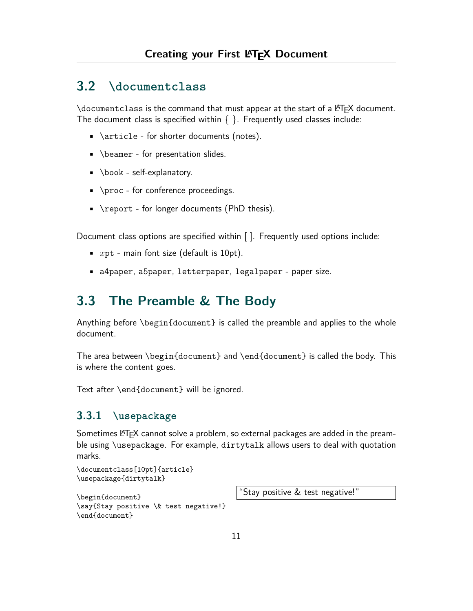## <span id="page-11-0"></span>**3.2 \documentclass**

\documentclass is the command that must appear at the start of a LATEX document. The document class is specified within  $\{ \}$ . Frequently used classes include:

- \article for shorter documents (notes).
- \beamer for presentation slides.
- \book self-explanatory.
- \proc for conference proceedings.
- \report for longer documents (PhD thesis).

Document class options are specified within [ ]. Frequently used options include:

- *x*pt main font size (default is 10pt).
- a4paper, a5paper, letterpaper, legalpaper paper size.

## <span id="page-11-1"></span>**3.3 The Preamble & The Body**

Anything before \begin{document} is called the preamble and applies to the whole document.

The area between \begin{document} and \end{document} is called the body. This is where the content goes.

Text after \end{document} will be ignored.

#### <span id="page-11-2"></span>**3.3.1 \usepackage**

Sometimes LATEX cannot solve a problem, so external packages are added in the preamble using \usepackage. For example, dirtytalk allows users to deal with quotation marks.

```
\documentclass[10pt]{article}
\usepackage{dirtytalk}
```

```
\begin{document}
\say{Stay positive \& test negative!}
\end{document}
```
"Stay positive & test negative!"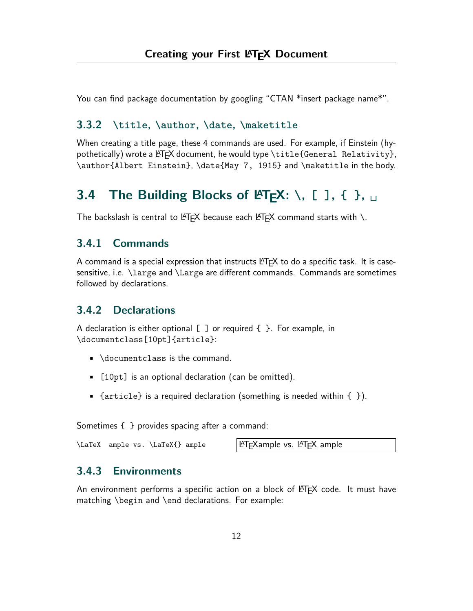You can find package documentation by googling "CTAN \*insert package name\*".

#### <span id="page-12-0"></span>**3.3.2 \title, \author, \date, \maketitle**

When creating a title page, these 4 commands are used. For example, if Einstein (hypothetically) wrote a  $\langle$ F<sub>F</sub>X document, he would type \title{General Relativity}, \author{Albert Einstein}, \date{May 7, 1915} and \maketitle in the body.

## <span id="page-12-1"></span>**3.4 The Building Blocks of LATEX: \, [ ], { }, ␣**

The backslash is central to  $\biguplus K$  because each  $\biguplus K$  command starts with \.

#### <span id="page-12-2"></span>**3.4.1 Commands**

A command is a special expression that instructs  $\mathbb{A}F\rightarrow$  to do a specific task. It is casesensitive, i.e. \large and \Large are different commands. Commands are sometimes followed by declarations.

#### <span id="page-12-3"></span>**3.4.2 Declarations**

A declaration is either optional  $[$   $]$  or required  $\{$   $\}$ . For example, in \documentclass[10pt]{article}:

- \documentclass is the command.
- [10pt] is an optional declaration (can be omitted).
- {article} is a required declaration (something is needed within  $\{ \}$ ).

Sometimes { } provides spacing after a command:

\LaTeX ample vs. \LaTeX{} ample LATEXample vs. LATEX ample

#### <span id="page-12-4"></span>**3.4.3 Environments**

An environment performs a specific action on a block of  $\angle$ FFX code. It must have matching \begin and \end declarations. For example: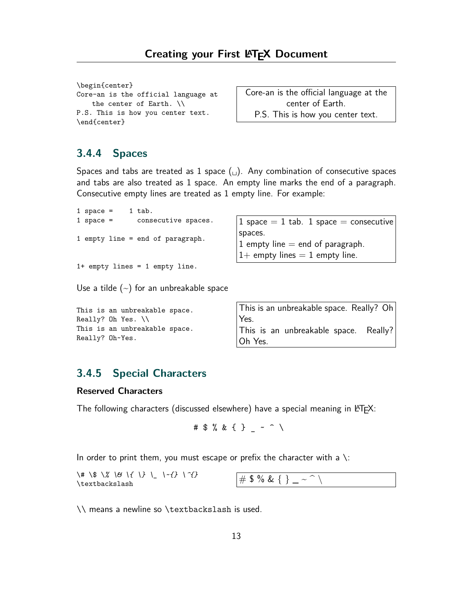```
\begin{center}
Core-an is the official language at
   the center of Earth. \\
P.S. This is how you center text.
\end{center}
```
Core-an is the official language at the center of Earth. P.S. This is how you center text.

### <span id="page-13-0"></span>**3.4.4 Spaces**

Spaces and tabs are treated as 1 space  $(\square)$ . Any combination of consecutive spaces and tabs are also treated as 1 space. An empty line marks the end of a paragraph. Consecutive empty lines are treated as 1 empty line. For example:

| 1 space $=$ |  | 1 tab.                           |                                                                                   |
|-------------|--|----------------------------------|-----------------------------------------------------------------------------------|
| $1$ space = |  | consecutive spaces.              | 1 space $= 1$ tab. 1 space $=$ consecutive                                        |
|             |  | 1 empty line = end of paragraph. | spaces.<br>1 empty line $=$ end of paragraph.<br>$1+$ empty lines = 1 empty line. |
|             |  | $1+$ empty lines = 1 empty line. |                                                                                   |

Use a tilde  $(\sim)$  for an unbreakable space

| This is an unbreakable space. | This is an unbreakable space. Really? Oh |
|-------------------------------|------------------------------------------|
| Really? Oh Yes. $\setminus$   | Yes.                                     |
| This is an unbreakable space. | This is an unbreakable space. Really?    |
| Really? Oh~Yes.               | Oh Yes.                                  |

### <span id="page-13-1"></span>**3.4.5 Special Characters**

#### **Reserved Characters**

The following characters (discussed elsewhere) have a special meaning in  $\mathbb{A}T\mathbb{A}$ :

$$
\# \$ \% \& \{ \} \_ \sim \cap \setminus
$$

In order to print them, you must escape or prefix the character with a  $\setminus$ :

<span id="page-13-2"></span> $\forall$  \\$ \% \& \{ \} \\_ \~{} \^{}  $\begin{array}{ccc} \n\sqrt{4} & \sqrt{6} & \sqrt{6} & \sqrt{16} & \sqrt{16} & \sqrt{16} & \sqrt{16} & \sqrt{16} & \sqrt{16} & \sqrt{16} & \sqrt{16} & \sqrt{16} & \sqrt{16} & \sqrt{16} & \sqrt{16} & \sqrt{16} & \sqrt{16} & \sqrt{16} & \sqrt{16} & \sqrt{16} & \sqrt{16} & \sqrt{16} & \sqrt{16} & \sqrt{16} & \sqrt{16} & \sqrt{16} & \sqrt{16} & \sqrt{16} & \sqrt{16} & \sqrt{16} & \sqrt{1$ 

\\ means a newline so \textbackslash is used.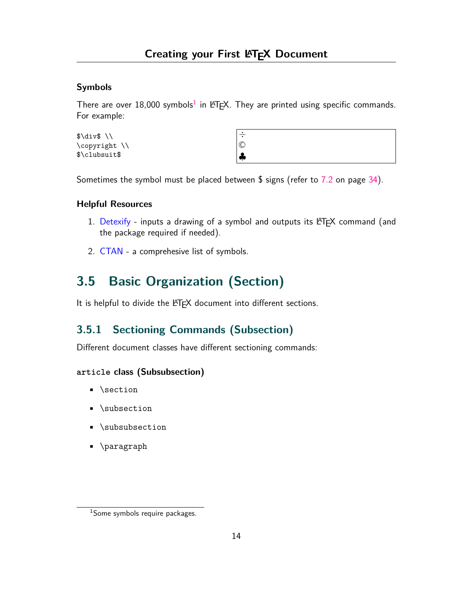#### **Symbols**

There are over  $18,000$  symbols $^1$  in LATEX. They are printed using specific commands. For example:

| $\ldots$      | ÷            |
|---------------|--------------|
| \copyright \\ | $\mathbb{C}$ |
| \$\clubsuit\$ | чp.          |

Sometimes the symbol must be placed between \$ signs (refer to [7.2](#page-34-2) on page [34\)](#page-34-2).

#### **Helpful Resources**

- 1. [Detexify](https://detexify.kirelabs.org/classify.html) inputs a drawing of a symbol and outputs its  $\mathbb{H}$ EX command (and the package required if needed).
- 2. [CTAN](http://tug.ctan.org/info/symbols/comprehensive/symbols-letter.pdf) a comprehesive list of symbols.

## <span id="page-14-0"></span>**3.5 Basic Organization (Section)**

It is helpful to divide the LATEX document into different sections.

## <span id="page-14-1"></span>**3.5.1 Sectioning Commands (Subsection)**

Different document classes have different sectioning commands:

#### **article class (Subsubsection)**

- \section
- \subsection
- \subsubsection
- \paragraph

<sup>1</sup>Some symbols require packages.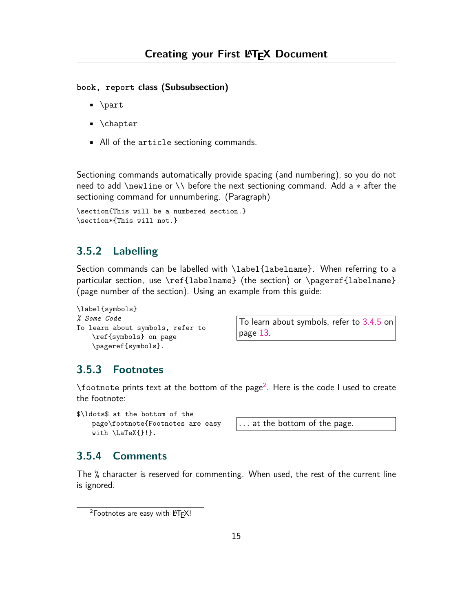**book, report class (Subsubsection)**

- \part
- \chapter
- All of the article sectioning commands.

Sectioning commands automatically provide spacing (and numbering), so you do not need to add \newline or \\ before the next sectioning command. Add a *∗* after the sectioning command for unnumbering. (Paragraph)

```
\section{This will be a numbered section.}
\section*{This will not.}
```
### <span id="page-15-0"></span>**3.5.2 Labelling**

Section commands can be labelled with \label{labelname}. When referring to a particular section, use \ref{labelname} (the section) or \pageref{labelname} (page number of the section). Using an example from this guide:

```
\label{symbols}
% Some Code
To learn about symbols, refer to
    \ref{symbols} on page
    \pageref{symbols}.
```
To learn about symbols, refer to [3.4.5](#page-13-2) on page [13.](#page-13-2)

### <span id="page-15-1"></span>**3.5.3 Footnotes**

 $\lambda$ footnote prints text at the bottom of the page<sup>2</sup>. Here is the code I used to create the footnote:

```
$\ldots$ at the bottom of the
   page\footnote{Footnotes are easy
   with \LaTeX{}!}.
```
*. . .* at the bottom of the page.

### <span id="page-15-2"></span>**3.5.4 Comments**

The % character is reserved for commenting. When used, the rest of the current line is ignored.

 $2$ Footnotes are easy with LATEX!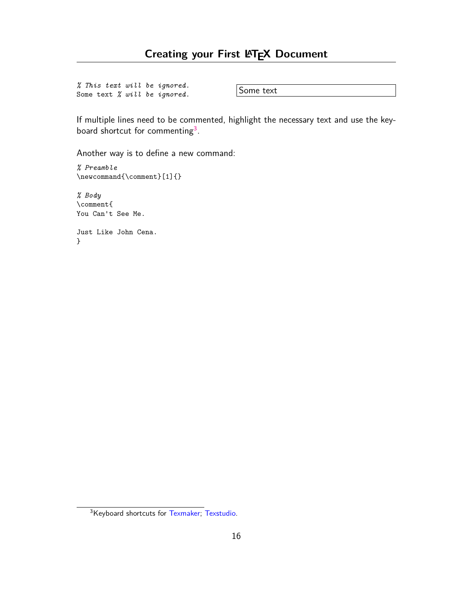*% This text will be ignored.* Some text *% will be ignored.* Some text

If multiple lines need to be commented, highlight the necessary text and use the keyboard shortcut for commenting<sup>3</sup>.

Another way is to define a new command:

*% Preamble*  $\verb|\newcommand{{\comment}[1]{}$ 

*% Body* \comment{ You Can't See Me.

Just Like John Cena. }

<sup>3</sup>Keyboard shortcuts for [Texmaker](https://www.xm1math.net/texmaker/doc.html#SECTION39); [Texstudio](http://transit.iut2.upmf-grenoble.fr/doc/texstudio/html/usermanual_en.html#SHORTCUTS).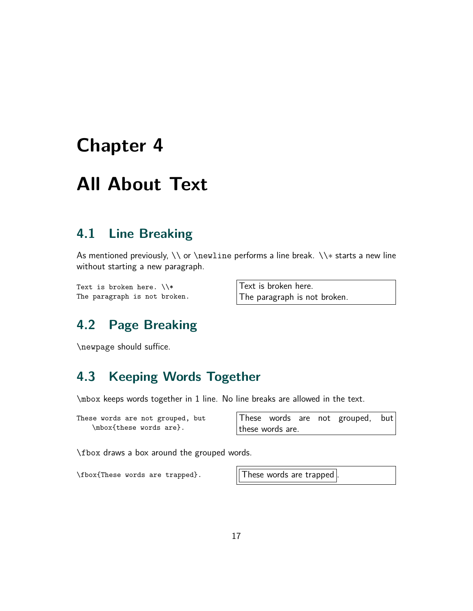## <span id="page-17-0"></span>**Chapter 4**

## **All About Text**

## <span id="page-17-1"></span>**4.1 Line Breaking**

As mentioned previously, \\ or \newline performs a line break. \\*∗* starts a new line without starting a new paragraph.

Text is broken here.  $\setminus\$ The paragraph is not broken. Text is broken here. The paragraph is not broken.

## <span id="page-17-2"></span>**4.2 Page Breaking**

\newpage should suffice.

## <span id="page-17-3"></span>**4.3 Keeping Words Together**

\mbox keeps words together in 1 line. No line breaks are allowed in the text.

These words are not grouped, but \mbox{these words are}.

These words are not grouped, but these words are.

\fbox draws a box around the grouped words.

\fbox{These words are trapped}. | These words are trapped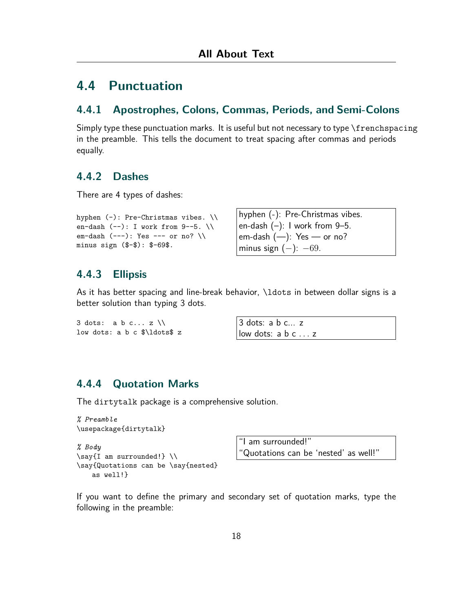## <span id="page-18-0"></span>**4.4 Punctuation**

#### <span id="page-18-1"></span>**4.4.1 Apostrophes, Colons, Commas, Periods, and Semi-Colons**

Simply type these punctuation marks. It is useful but not necessary to type \frenchspacing in the preamble. This tells the document to treat spacing after commas and periods equally.

#### <span id="page-18-2"></span>**4.4.2 Dashes**

There are 4 types of dashes:

```
hyphen (-): Pre-Christmas vibes. \\
en-dash (--): I work from 9--5. \\
em-dash (--): Yes --- or no? \setminusminus sign ($-$): $-69$.
```
hyphen (-): Pre-Christmas vibes. en-dash  $(-)$ : I work from 9–5. em-dash  $(-)$ : Yes  $-$  or no? minus sign (*−*): *−*69.

#### <span id="page-18-3"></span>**4.4.3 Ellipsis**

As it has better spacing and line-break behavior, *\ldots* in between dollar signs is a better solution than typing 3 dots.

```
3 dots: a b c... z \backslash \backslashlow dots: a b c $\ldots$ z
```
3 dots: a b c... z low dots: a b c *. . .* z

### <span id="page-18-4"></span>**4.4.4 Quotation Marks**

The dirtytalk package is a comprehensive solution.

```
% Preamble
\usepackage{dirtytalk}
% Body
\say{I am surrounded!} \\
\say{Quotations can be \say{nested}
   as well!}
```
"I am surrounded!" "Quotations can be 'nested' as well!"

If you want to define the primary and secondary set of quotation marks, type the following in the preamble: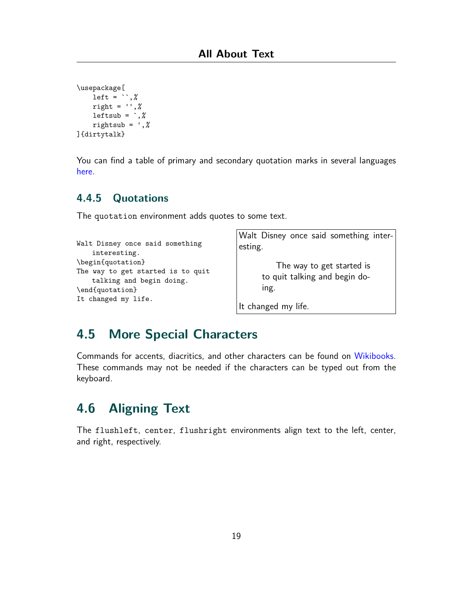```
\usepackage[
    left = ``,%
    right = '',%
    leftsub = `,%
    rightsub = ',%
]{dirtytalk}
```
You can find a table of primary and secondary quotation marks in several languages [here.](https://www.overleaf.com/learn/latex/Typesetting_quotations#Reference_guide)

### <span id="page-19-0"></span>**4.4.5 Quotations**

The quotation environment adds quotes to some text.

```
Walt Disney once said something
   interesting.
\begin{quotation}
The way to get started is to quit
    talking and begin doing.
\end{quotation}
It changed my life.
```
Walt Disney once said something interesting.

> The way to get started is to quit talking and begin doing.

It changed my life.

## <span id="page-19-1"></span>**4.5 More Special Characters**

Commands for accents, diacritics, and other characters can be found on [Wikibooks.](https://en.wikibooks.org/wiki/LaTeX/Special_Characters) These commands may not be needed if the characters can be typed out from the keyboard.

## <span id="page-19-2"></span>**4.6 Aligning Text**

The flushleft, center, flushright environments align text to the left, center, and right, respectively.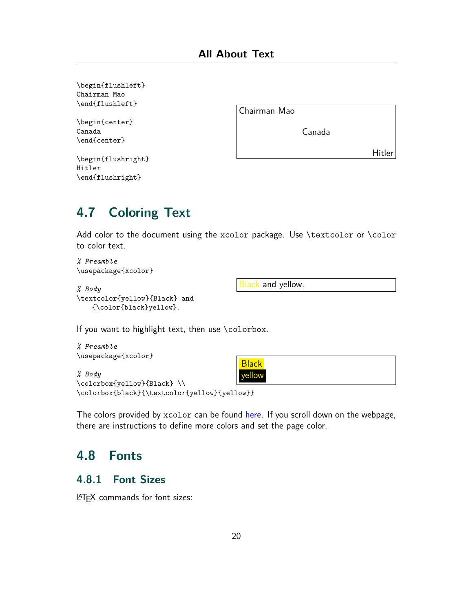\begin{flushleft} Chairman Mao \end{flushleft}

\begin{center} Canada \end{center}

Chairman Mao

Canada

Hitler

```
\begin{flushright}
Hitler
\end{flushright}
```
## <span id="page-20-0"></span>**4.7 Coloring Text**

Add color to the document using the xcolor package. Use \textcolor or \color to color text.

*% Preamble* \usepackage{xcolor}

#### *% Body* \textcolor{yellow}{Black} and

Black and yellow.

{\color{black}yellow}.

If you want to highlight text, then use \colorbox.

```
% Preamble
\usepackage{xcolor}
% Body
\colorbox{yellow}{Black} \\
\colorbox{black}{\textcolor{yellow}{yellow}}
                                          Black
                                           rellow
```
The colors provided by xcolor can be found [here](https://www.overleaf.com/learn/latex/Using_colours_in_LaTeX#Named_colours_provided_by_the_xcolor_package). If you scroll down on the webpage, there are instructions to define more colors and set the page color.

## <span id="page-20-1"></span>**4.8 Fonts**

### <span id="page-20-2"></span>**4.8.1 Font Sizes**

LATEX commands for font sizes: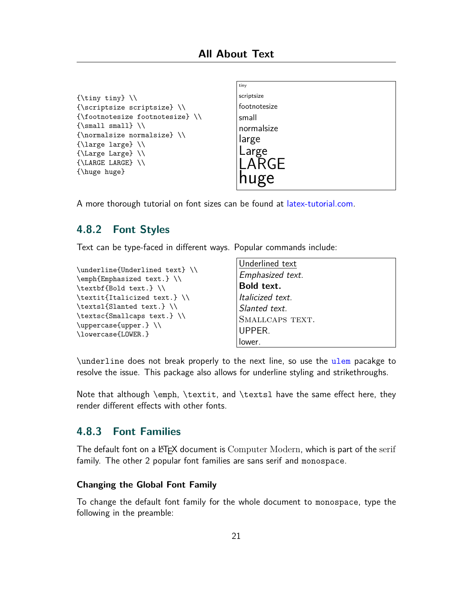```
{\tiny tiny} \\
{\scriptsize scriptsize} \\
{\footnotesize footnotesize} \\
{\sumall small} \ \ \ \ \ \{\normalsize normalsize} \\
{\large large} \\
{\Large Large} \\
{\LARGE LARGE} \\
{\huge huge}
```

```
tiny
scriptsize
footnotesize
small
normalsize
large
Large
LARGE
huge
```
A more thorough tutorial on font sizes can be found at [latex-tutorial.com](https://latex-tutorial.com/changing-font-size/).

### <span id="page-21-0"></span>**4.8.2 Font Styles**

Text can be type-faced in different ways. Popular commands include:

```
\underline{Underlined text} \\
\emph{Emphasized text.} \\
\textbf{Bold text.} \\
\textit{Italicized text.} \\
\textsl{Slanted text.} \\
\textsc{Smallcaps text.} \\
\uppercase{upper.} \\
\lowercase{LOWER.}
```

```
Underlined text
Emphasized text.
Bold text.
Italicized text.
Slanted text.
SMALLCAPS TEXT.
UPPER.
lower.
```
\underline does not break properly to the next line, so use the [ulem](https://ctan.org/pkg/ulem?lang=en) pacakge to resolve the issue. This package also allows for underline styling and strikethroughs.

Note that although \emph, \textit, and \textsl have the same effect here, they render different effects with other fonts.

#### <span id="page-21-1"></span>**4.8.3 Font Families**

The default font on a LATEX document is Computer Modern, which is part of the serif family. The other 2 popular font families are sans serif and monospace.

#### **Changing the Global Font Family**

To change the default font family for the whole document to monospace, type the following in the preamble: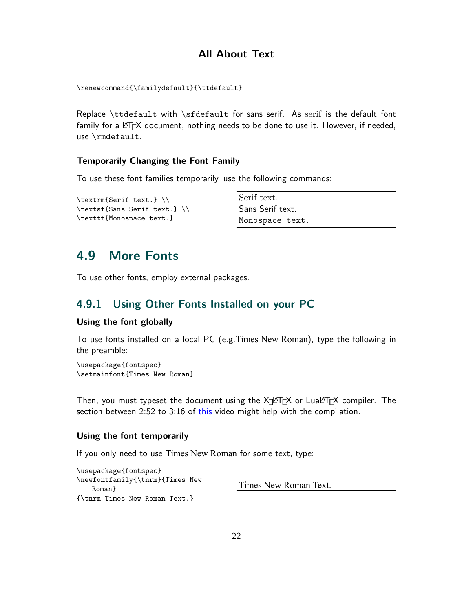\renewcommand{\familydefault}{\ttdefault}

Replace \ttdefault with \sfdefault for sans serif. As serif is the default font family for a  $\langle \text{FT} \rangle$  document, nothing needs to be done to use it. However, if needed, use \rmdefault.

#### **Temporarily Changing the Font Family**

To use these font families temporarily, use the following commands:

```
\textrm{Serif text.} \\
\textsf{Sans Serif text.} \\
\texttt{Monospace text.}
```

```
Serif text.
Sans Serif text.
Monospace text.
```
## <span id="page-22-0"></span>**4.9 More Fonts**

To use other fonts, employ external packages.

#### <span id="page-22-1"></span>**4.9.1 Using Other Fonts Installed on your PC**

#### **Using the font globally**

To use fonts installed on a local PC (e.g.Times New Roman), type the following in the preamble:

\usepackage{fontspec} \setmainfont{Times New Roman}

Then, you must typeset the document using the X $\pm$ ATEX or LuaLATEX compiler. The section between 2:52 to 3:16 of [this](https://www.youtube.com/watch?v=oI8W4MvFo1M&t=2m52s) video might help with the compilation.

#### **Using the font temporarily**

If you only need to use Times New Roman for some text, type:

\usepackage{fontspec} \newfontfamily{\tnrm}{Times New Roman} {\tnrm Times New Roman Text.}

Times New Roman Text.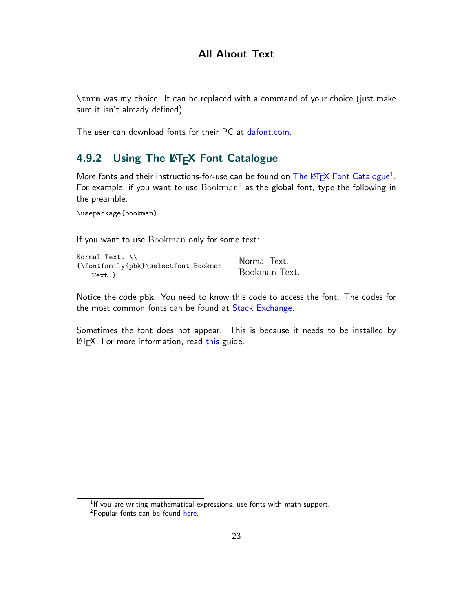\tnrm was my choice. It can be replaced with a command of your choice (just make sure it isn't already defined).

The user can download fonts for their PC at [dafont.com.](https://www.dafont.com)

### <span id="page-23-0"></span>**4.9.2 Using The LATEX Font Catalogue**

More fonts and their instructions-for-use can be found on The LA[TEX Font Catalogue](https://tug.org/FontCatalogue/) $^1$ . For example, if you want to use  $\text{Bookman}^2$  as the global font, type the following in the preamble:

\usepackage{bookman}

If you want to use Bookman only for some text:

Normal Text. \\ {\fontfamily{pbk}\selectfont Bookman Text.}

Normal Text. Bookman Text.

Notice the code pbk. You need to know this code to access the font. The codes for the most common fonts can be found at [Stack Exchange](https://tex.stackexchange.com/questions/25249/how-do-i-use-a-particular-font-for-a-small-section-of-text-in-my-document/37251#37251).

Sometimes the font does not appear. This is because it needs to be installed by **LATEX.** For more information, read [this](https://tug.org/fonts/fontinstall.html) guide.

 $1$ If you are writing mathematical expressions, use fonts with math support.

<sup>&</sup>lt;sup>2</sup>Popular fonts can be found [here.](https://r2src.github.io/top10fonts/)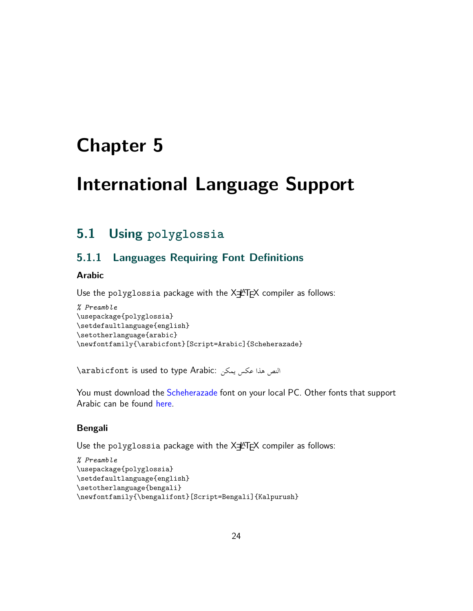## <span id="page-24-0"></span>**Chapter 5**

## **International Language Support**

## <span id="page-24-1"></span>**5.1 Using polyglossia**

### <span id="page-24-2"></span>**5.1.1 Languages Requiring Font Definitions**

#### **Arabic**

Use the polyglossia package with the XIATEX compiler as follows:

```
% Preamble
\usepackage{polyglossia}
\setdefaultlanguage{english}
\setotherlanguage{arabic}
\newfontfamily{\arabicfont}[Script=Arabic]{Scheherazade}
```
\arabicfont is used to type Arabic: يمكن عكس هذا النص

You must download the [Scheherazade](https://www.1001fonts.com/scheherazade-font.html) font on your local PC. Other fonts that support Arabic can be found [here](https://www.overleaf.com/learn/latex/Questions%2FWhich_OTF_or_TTF_fonts_are_supported_via_fontspec%3F#Fonts_for_Arabic_script).

#### **Bengali**

Use the polyglossia package with the XIATEX compiler as follows:

```
% Preamble
\usepackage{polyglossia}
\setdefaultlanguage{english}
\setotherlanguage{bengali}
\newfontfamily{\bengalifont}[Script=Bengali]{Kalpurush}
```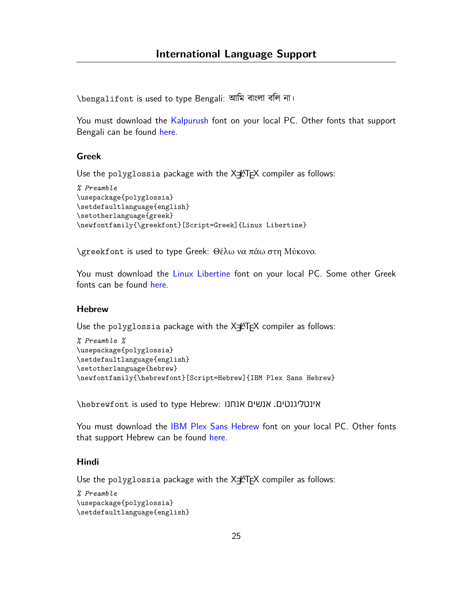\bengalifont is used to type Bengali: আমি বাংলা বলি না।

You must download the [Kalpurush](http://banglafont.com/?p=Download%20Kalpurush/) font on your local PC. Other fonts that support Bengali can be found [here.](https://www.overleaf.com/learn/latex/Questions%2FWhich_OTF_or_TTF_fonts_are_supported_via_fontspec%3F#Bengali)

#### **Greek**

Use the polyglossia package with the X=ATEX compiler as follows:

```
% Preamble
\usepackage{polyglossia}
\setdefaultlanguage{english}
\setotherlanguage{greek}
\newfontfamily{\greekfont}[Script=Greek]{Linux Libertine}
```
\greekfont is used to type Greek: Θέλω να πάω στη Μύκονο.

You must download the [Linux Libertine](https://www.dafont.com/linux-libertine.font) font on your local PC. Some other Greek fonts can be found [here](https://www.overleaf.com/learn/latex/Questions%2FWhich_OTF_or_TTF_fonts_are_supported_via_fontspec%3F#Fonts_for_Greek).

#### **Hebrew**

Use the polyglossia package with the X=LATEX compiler as follows:

```
% Preamble %
\usepackage{polyglossia}
\setdefaultlanguage{english}
\setotherlanguage{hebrew}
\newfontfamily{\hebrewfont}[Script=Hebrew]{IBM Plex Sans Hebrew}
```
\hebrewfont is used to type Hebrew: אנחנו אנשים .אינטליגנטים

You must download the [IBM Plex Sans Hebrew](https://fonts.google.com/specimen/IBM+Plex+Sans+Hebrew?query=ibm) font on your local PC. Other fonts that support Hebrew can be found [here.](https://www.overleaf.com/learn/latex/Questions%2FWhich_OTF_or_TTF_fonts_are_supported_via_fontspec%3F#Fonts_for_Hebrew_script)

#### **Hindi**

Use the polyglossia package with the X=PTEX compiler as follows:

```
% Preamble
\usepackage{polyglossia}
\setdefaultlanguage{english}
```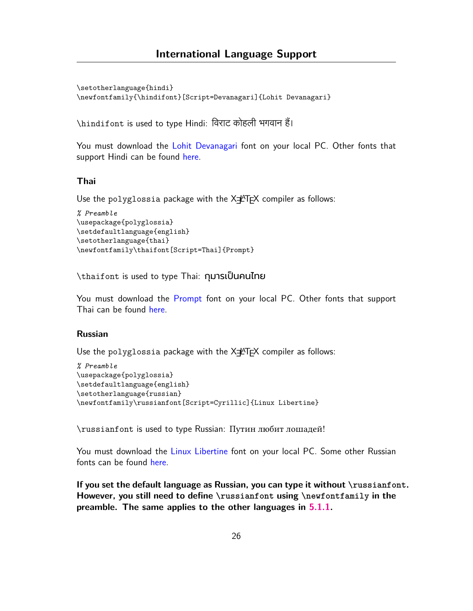\setotherlanguage{hindi} \newfontfamily{\hindifont}[Script=Devanagari]{Lohit Devanagari}

\hindifont is used to type Hindi: िवराट कोहली भगवान ह।ैं

You must download the [Lohit Devanagari](https://www.ffonts.net/Lohit-Devanagari.font.download) font on your local PC. Other fonts that support Hindi can be found [here](https://www.overleaf.com/learn/latex/Questions%2FWhich_OTF_or_TTF_fonts_are_supported_via_fontspec%3F#Hindi_.28Devanagari_script.29).

#### **Thai**

Use the polyglossia package with the X=PTEX compiler as follows:

```
% Preamble
\usepackage{polyglossia}
\setdefaultlanguage{english}
\setotherlanguage{thai}
\newfontfamily\thaifont[Script=Thai]{Prompt}
```
\thaifont is used to type Thai: กุมารเป็นคนไทย

You must download the [Prompt](https://fonts.google.com/specimen/Prompt?subset=thai) font on your local PC. Other fonts that support Thai can be found [here](https://www.overleaf.com/learn/latex/Questions%2FWhich_OTF_or_TTF_fonts_are_supported_via_fontspec%3F#Fonts_for_Thai).

#### **Russian**

Use the polyglossia package with the X=PTEX compiler as follows:

```
% Preamble
\usepackage{polyglossia}
\setdefaultlanguage{english}
\setotherlanguage{russian}
\newfontfamily\russianfont[Script=Cyrillic]{Linux Libertine}
```
\russianfont is used to type Russian: Путин любит лошадей!

You must download the [Linux Libertine](https://www.dafont.com/linux-libertine.font) font on your local PC. Some other Russian fonts can be found [here](https://www.lingualift.com/blog/cyrillic-russian-fonts/).

**If you set the default language as Russian, you can type it without \russianfont. However, you still need to define \russianfont using \newfontfamily in the preamble. The same applies to the other languages in [5.1.1](#page-24-2).**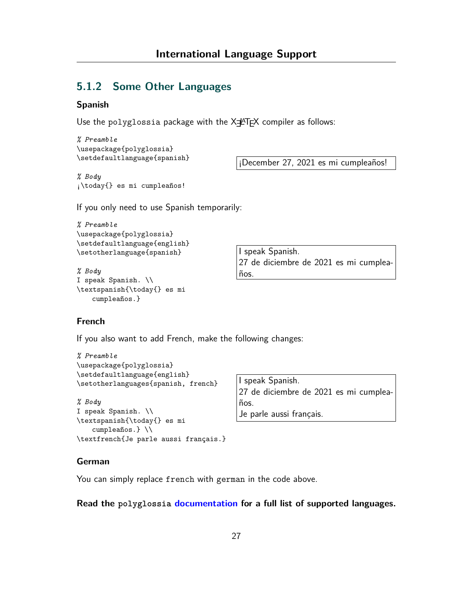### <span id="page-27-0"></span>**5.1.2 Some Other Languages**

#### **Spanish**

Use the polyglossia package with the  $X\sharp A\Gamma F$  compiler as follows:

```
% Preamble
\usepackage{polyglossia}
\setdefaultlanguage{spanish}
```
¡December 27, 2021 es mi cumpleaños!

*% Body* ¡\today{} es mi cumpleaños!

If you only need to use Spanish temporarily:

```
% Preamble
\usepackage{polyglossia}
\setdefaultlanguage{english}
\setotherlanguage{spanish}
```

```
% Body
I speak Spanish. \\
\textspanish{\today{} es mi
    cumpleaños.}
```
I speak Spanish. 27 de diciembre de 2021 es mi cumpleaños.

#### **French**

If you also want to add French, make the following changes:

```
% Preamble
\usepackage{polyglossia}
\setdefaultlanguage{english}
\setotherlanguages{spanish, french}
```

```
% Body
I speak Spanish. \\
\textspanish{\today{} es mi
   cumpleaños.} \\
\textfrench{Je parle aussi français.}
```
I speak Spanish. 27 de diciembre de 2021 es mi cumpleaños. Je parle aussi français.

#### **German**

You can simply replace french with german in the code above.

#### **Read the polyglossia [documentation](https://ctan.org/pkg/polyglossia?lang=en) for a full list of supported languages.**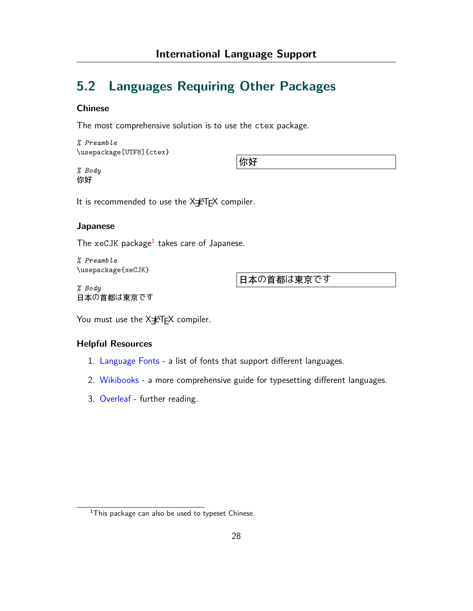## <span id="page-28-0"></span>**5.2 Languages Requiring Other Packages**

#### **Chinese**

The most comprehensive solution is to use the ctex package.

*% Preamble* \usepackage[UTF8]{ctex}

*% Body* 你好

你好

It is recommended to use the  $X\exists A$ <sup>AT</sup>EX compiler.

#### **Japanese**

The xeCJK package<sup>1</sup> takes care of Japanese.

*% Preamble* \usepackage{xeCJK}

*% Body* 日本の首都は東京です 日本の首都は東京です

You must use the XIATEX compiler.

#### **Helpful Resources**

- 1. [Language Fonts](https://www.overleaf.com/learn/latex/Questions/Which_OTF_or_TTF_fonts_are_supported_via_fontspec%3F) a list of fonts that support different languages.
- 2. [Wikibooks](https://en.wikibooks.org/wiki/LaTeX/Internationalization) a more comprehensive guide for typesetting different languages.
- 3. [Overleaf](https://www.overleaf.com/learn/latex/International_language_support#Further_reading) further reading.

 $1$ This package can also be used to typeset Chinese.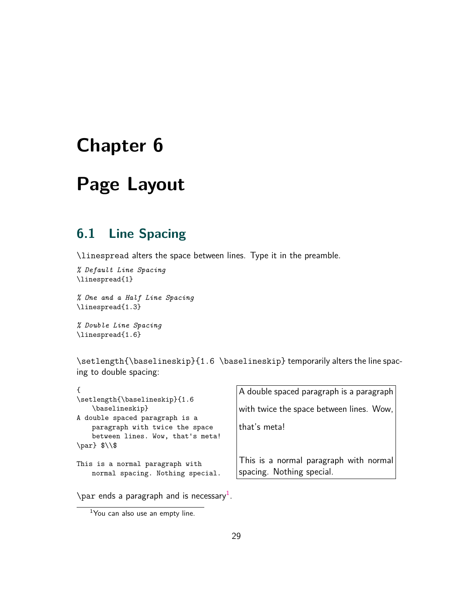## <span id="page-29-0"></span>**Chapter 6**

## **Page Layout**

## <span id="page-29-1"></span>**6.1 Line Spacing**

\linespread alters the space between lines. Type it in the preamble.

*% Default Line Spacing* \linespread{1}

*% One and a Half Line Spacing* \linespread{1.3}

*% Double Line Spacing* \linespread{1.6}

\setlength{\baselineskip}{1.6 \baselineskip} temporarily alters the line spacing to double spacing:

| \setlength{\baselineskip}{1.6                                                                                                               | A double spaced paragraph is a paragraph                            |
|---------------------------------------------------------------------------------------------------------------------------------------------|---------------------------------------------------------------------|
| \baselineskip}                                                                                                                              | with twice the space between lines. Wow,                            |
| A double spaced paragraph is a<br>paragraph with twice the space<br>between lines. Wow, that's meta!<br>$\parlim_{\delta \setminus \delta}$ | that's meta!                                                        |
| This is a normal paragraph with<br>normal spacing. Nothing special.                                                                         | This is a normal paragraph with normal<br>spacing. Nothing special. |

 $\gamma$  ends a paragraph and is necessary<sup>1</sup>.

 $1$ You can also use an empty line.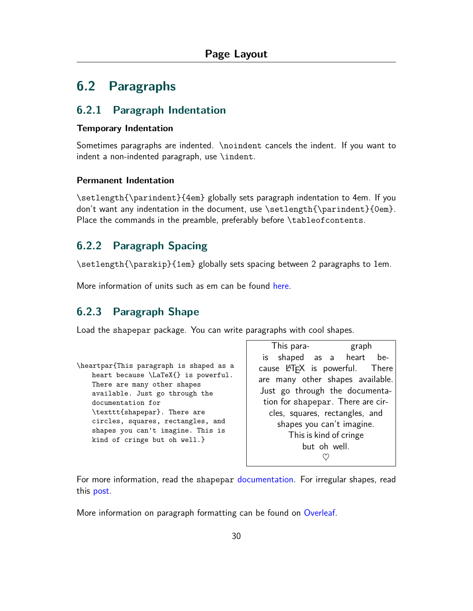## <span id="page-30-0"></span>**6.2 Paragraphs**

#### <span id="page-30-1"></span>**6.2.1 Paragraph Indentation**

#### **Temporary Indentation**

Sometimes paragraphs are indented. \noindent cancels the indent. If you want to indent a non-indented paragraph, use \indent.

#### **Permanent Indentation**

\setlength{\parindent}{4em} globally sets paragraph indentation to 4em. If you don't want any indentation in the document, use \setlength{\parindent}{0em}. Place the commands in the preamble, preferably before \tableof contents.

### <span id="page-30-2"></span>**6.2.2 Paragraph Spacing**

\setlength{\parskip}{1em} globally sets spacing between 2 paragraphs to 1em.

More information of units such as em can be found [here.](https://tex.stackexchange.com/questions/8260/what-are-the-various-units-ex-em-in-pt-bp-dd-pc-expressed-in-mm)

### <span id="page-30-3"></span>**6.2.3 Paragraph Shape**

Load the shapepar package. You can write paragraphs with cool shapes.

| \heartpar{This paragraph is shaped as a |
|-----------------------------------------|
| heart because \LaTeX{} is powerful.     |
| There are many other shapes             |
| available. Just go through the          |
| documentation for                       |
| \texttt{shapepar}. There are            |
| circles, squares, rectangles, and       |
| shapes you can't imagine. This is       |
| kind of cringe but oh well.}            |
|                                         |

This para- graph is shaped as a heart because LATEX is powerful. There are many other shapes available. Just go through the documentation for shapepar. There are circles, squares, rectangles, and shapes you can't imagine. This is kind of cringe but oh well. *♥*

For more information, read the shapepar [documentation](https://ctan.org/pkg/shapepar). For irregular shapes, read this [post](https://tex.stackexchange.com/questions/32226/how-to-layout-irregular-paragraph-shape).

More information on paragraph formatting can be found on [Overleaf.](https://www.overleaf.com/learn/latex/Paragraph_formatting)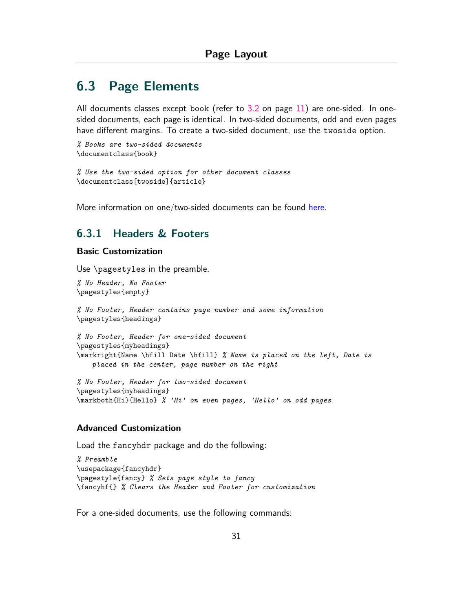## <span id="page-31-0"></span>**6.3 Page Elements**

All documents classes except book (refer to [3.2](#page-11-0) on page [11\)](#page-11-0) are one-sided. In onesided documents, each page is identical. In two-sided documents, odd and even pages have different margins. To create a two-sided document, use the twoside option.

```
% Books are two-sided documents
\documentclass{book}
```

```
% Use the two-sided option for other document classes
\documentclass[twoside]{article}
```
More information on one/two-sided documents can be found [here](https://www.overleaf.com/learn/latex/Single_sided_and_double_sided_documents).

#### <span id="page-31-1"></span>**6.3.1 Headers & Footers**

#### **Basic Customization**

Use \pagestyles in the preamble.

```
% No Header, No Footer
\pagestyles{empty}
```
*% No Footer, Header contains page number and some information* \pagestyles{headings}

```
% No Footer, Header for one-sided document
\pagestyles{myheadings}
\markright{Name \hfill Date \hfill} % Name is placed on the left, Date is
   placed in the center, page number on the right
```
*% No Footer, Header for two-sided document* \pagestyles{myheadings} \markboth{Hi}{Hello} *% 'Hi' on even pages, 'Hello' on odd pages*

#### **Advanced Customization**

Load the fancyhdr package and do the following:

```
% Preamble
\usepackage{fancyhdr}
\pagestyle{fancy} % Sets page style to fancy
\fancyhf{} % Clears the Header and Footer for customization
```
For a one-sided documents, use the following commands: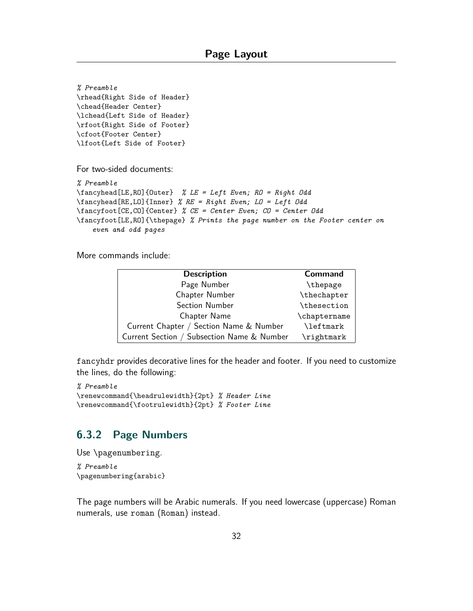```
% Preamble
\rhead{Right Side of Header}
\chead{Header Center}
\lchead{Left Side of Header}
\rfoot{Right Side of Footer}
\cfoot{Footer Center}
\lfoot{Left Side of Footer}
For two-sided documents:
% Preamble
\fancyhead[LE,RO]{Outer} % LE = Left Even; RO = Right Odd
\fancyhead[RE,LO]{Inner} % RE = Right Even; LO = Left Odd
\fancyfoot[CE,CO]{Center} % CE = Center Even; CO = Center Odd
\fancyfoot[LE,RO]{\thepage} % Prints the page number on the Footer center on
    even and odd pages
```
More commands include:

| <b>Description</b>                         | <b>Command</b> |
|--------------------------------------------|----------------|
| Page Number                                | \thepage       |
| Chapter Number                             | \thechapter    |
| Section Number                             | \thesection    |
| Chapter Name                               | \chaptername   |
| Current Chapter / Section Name & Number    | \leftmark      |
| Current Section / Subsection Name & Number | \rightmark     |

fancyhdr provides decorative lines for the header and footer. If you need to customize the lines, do the following:

```
% Preamble
\renewcommand{\headrulewidth}{2pt} % Header Line
\renewcommand{\footrulewidth}{2pt} % Footer Line
```
#### <span id="page-32-0"></span>**6.3.2 Page Numbers**

Use \pagenumbering.

*% Preamble* \pagenumbering{arabic}

The page numbers will be Arabic numerals. If you need lowercase (uppercase) Roman numerals, use roman (Roman) instead.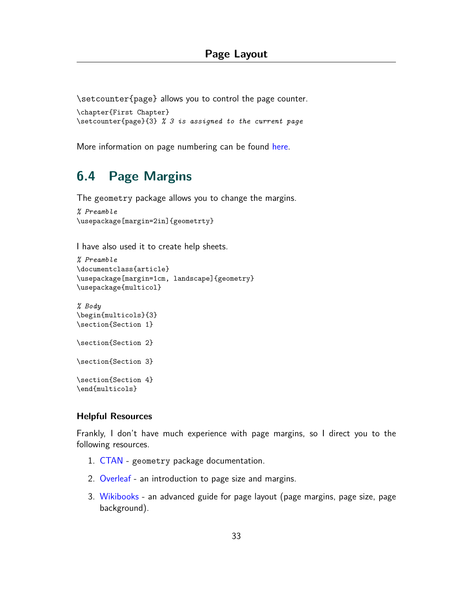\setcounter{page} allows you to control the page counter.

```
\chapter{First Chapter}
\setcounter{page}{3} % 3 is assigned to the current page
```
More information on page numbering can be found [here.](https://www.overleaf.com/learn/latex/Page_numbering)

## <span id="page-33-0"></span>**6.4 Page Margins**

The geometry package allows you to change the margins.

```
% Preamble
\usepackage[margin=2in]{geometrty}
```
I have also used it to create help sheets.

```
% Preamble
\documentclass{article}
\usepackage[margin=1cm, landscape]{geometry}
\usepackage{multicol}
```

```
% Body
\begin{multicols}{3}
\section{Section 1}
\section{Section 2}
\section{Section 3}
\section{Section 4}
\end{multicols}
```
#### **Helpful Resources**

Frankly, I don't have much experience with page margins, so I direct you to the following resources.

- 1. [CTAN](https://ctan.org/pkg/geometry?lang=en) geometry package documentation.
- 2. [Overleaf](https://www.overleaf.com/learn/latex/Page_size_and_margins) an introduction to page size and margins.
- 3. [Wikibooks](https://en.wikibooks.org/wiki/LaTeX/Page_Layout) an advanced guide for page layout (page margins, page size, page background).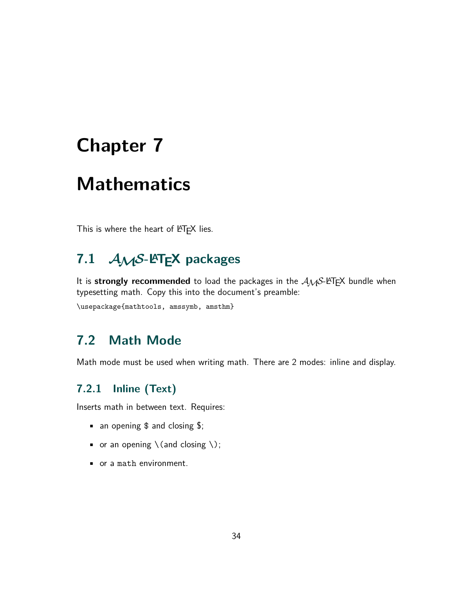## <span id="page-34-0"></span>**Chapter 7**

## **Mathematics**

This is where the heart of LATEX lies.

## <span id="page-34-1"></span>**7.1** *AMS***-LATEX packages**

It is **strongly recommended** to load the packages in the  $A\mathcal{M}S$ -LATEX bundle when typesetting math. Copy this into the document's preamble:

\usepackage{mathtools, amssymb, amsthm}

## <span id="page-34-2"></span>**7.2 Math Mode**

Math mode must be used when writing math. There are 2 modes: inline and display.

## <span id="page-34-3"></span>**7.2.1 Inline (Text)**

Inserts math in between text. Requires:

- an opening  $$$  and closing  $$$ ;
- or an opening  $\setminus$  (and closing  $\setminus$ );
- or a math environment.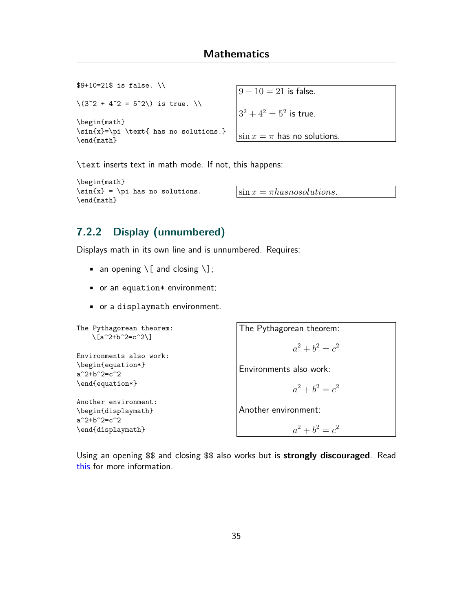\$9+10=21\$ is false. \\  $\langle (3^2 + 4^2 = 5^2) \rangle$  is true.  $\langle \rangle$ \begin{math} \sin{x}=\pi \text{ has no solutions.} \end{math}

 $9 + 10 = 21$  is false.  $3^2 + 4^2 = 5^2$  is true.  $\sin x = \pi$  has no solutions.

\text inserts text in math mode. If not, this happens:

```
\begin{math}
\sin{x} = \pi has no solutions.
\end{math}
```
 $\sin x = \pi$ *hasnosolutions.* 

### <span id="page-35-0"></span>**7.2.2 Display (unnumbered)**

Displays math in its own line and is unnumbered. Requires:

- an opening  $\setminus$  [ and closing  $\setminus$ ];
- or an equation\* environment;
- or a displaymath environment.

```
The Pythagorean theorem:
    \langle[a<sup>2+b^2=c^2</sup>)]
Environments also work:
\begin{equation*}
a^2+b^2=c^2\end{equation*}
Another environment:
\begin{displaymath}
a^2+b^2=c^2\end{displaymath}
```
[this](https://tex.stackexchange.com/questions/503/why-is-preferable-to) for more information.

The Pythagorean theorem:  $a^2 + b^2 = c^2$ Environments also work:  $a^2 + b^2 = c^2$ Another environment:

Using an opening \$\$ and closing \$\$ also works but is **strongly discouraged**. Read

35

 $a^2 + b^2 = c^2$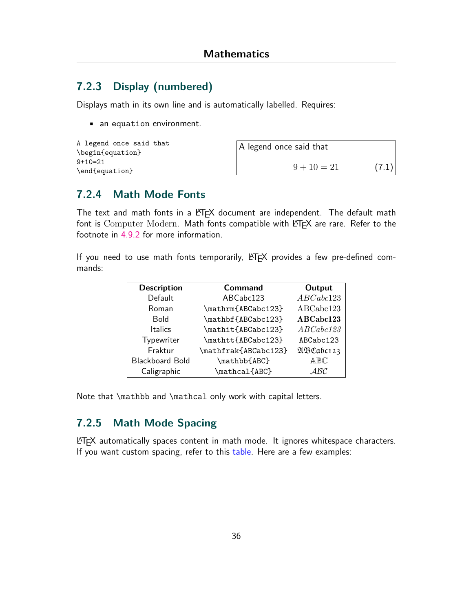### **7.2.3 Display (numbered)**

Displays math in its own line and is automatically labelled. Requires:

• an equation environment.

```
A legend once said that
\begin{equation}
9+10=21
\end{equation}
```
A legend once said that  $9 + 10 = 21$  (7.1)

### **7.2.4 Math Mode Fonts**

The text and math fonts in a LATEX document are independent. The default math font is Computer Modern. Math fonts compatible with  $\mathbb{E} F$  are rare. Refer to the footnote in [4.9.2](#page-23-0) for more information.

If you need to use math fonts temporarily, LATEX provides a few pre-defined commands:

| <b>Description</b>     | <b>Command</b>       | Output    |
|------------------------|----------------------|-----------|
| Default                | ABCabc123            | ABCabc123 |
| Roman                  | \mathrm{ABCabc123}   | ABCabc123 |
| <b>Bold</b>            | \mathbf{ABCabc123}   | ABCabc123 |
| <b>Italics</b>         | \mathit{ABCabc123}   | ABCabc123 |
| Typewriter             | \mathtt{ABCabc123}   | ABCabc123 |
| Fraktur                | \mathfrak{ABCabc123} | ABCabc123 |
| <b>Blackboard Bold</b> | \mathbb{ABC}         | ABC       |
| Caligraphic            | \mathcal{ABC}        | ABC       |

Note that \mathbb and \mathcal only work with capital letters.

### **7.2.5 Math Mode Spacing**

LATEX automatically spaces content in math mode. It ignores whitespace characters. If you want custom spacing, refer to this [table.](https://www.overleaf.com/learn/latex/Spacing_in_math_mode) Here are a few examples: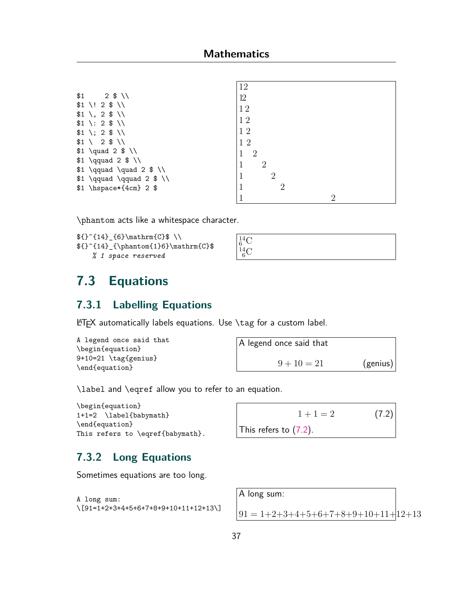|                                               | 12                  |
|-----------------------------------------------|---------------------|
| \$1<br>$2$ \$ \\                              | 12                  |
| $$1 \backslash ! 2 $ \backslash \$            | 12                  |
| $$1 \backslash, 2 $ \backslash \$             |                     |
| $$1 \; : \; 2 \; \$ \; \setminus \$           | 12                  |
| $$1 \; \; \; 2 \; \$ \; \; \; \;$             | 12                  |
| $$1 \ \ 2 \ $ \ \ \ \ \ \$                    | 12                  |
| $$1 \quad 2 \quad $ \setminus \$              | $\overline{2}$<br>1 |
| $$1 \qquad 2 \$ \ \$                          | $\overline{2}$      |
| $$1 \qquad \quad 2 \$ \}\                     |                     |
| $$1 \qquad \qquad \qquad 2 \$ \ \l \l \qquad$ | $\overline{2}$      |
| $$1 \hbox{hspace*}{4cm} 2$                    | $\overline{2}$      |
|                                               | റ                   |

\phantom acts like a whitespace character.

```
f^{-14}_{6}\mathrm{C} \\
f^{-14}_{\phantom{a}+6} \mathrm{C}% 1 space reserved
```

```
^{14}_{6}\mathrm{C}^{14}_{\,6}\text{C}
```
# <span id="page-37-1"></span>**7.3 Equations**

### **7.3.1 Labelling Equations**

LATEX automatically labels equations. Use \tag for a custom label.

```
A legend once said that
\begin{equation}
9+10=21 \tag{genius}
\end{equation}
```
<span id="page-37-0"></span>

| A legend once said that |          |
|-------------------------|----------|
| $9 + 10 = 21$           | (genius) |

\label and \eqref allow you to refer to an equation.

```
\begin{equation}
1+1=2 \label{babymath}
\end{equation}
This refers to \eqref{babymath}.
```

```
1 + 1 = 2 (7.2)
This refers to (7.2).
```
### **7.3.2 Long Equations**

Sometimes equations are too long.

```
A long sum:
\[91=1+2+3+4+5+6+7+8+9+10+11+12+13\]
```
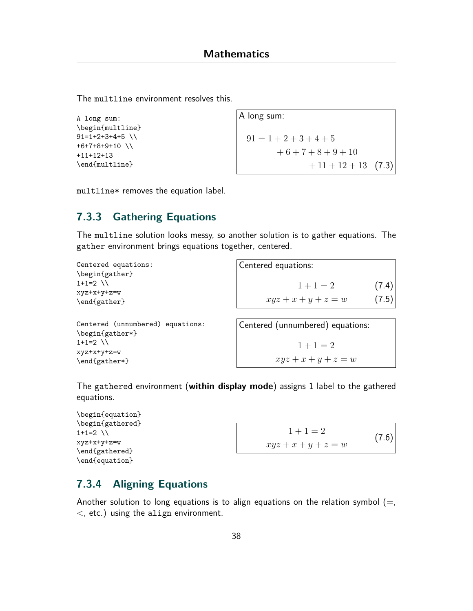The multline environment resolves this.

```
A long sum:
\begin{multline}
91=1+2+3+4+5+6+7+8+9+10 \\
+11+12+13
\end{multline}
```

```
A long sum:
 91 = 1 + 2 + 3 + 4 + 5+ 6 + 7 + 8 + 9 + 10+ 11 + 12 + 13 (7.3)
```
multline\* removes the equation label.

### **7.3.3 Gathering Equations**

The multline solution looks messy, so another solution is to gather equations. The gather environment brings equations together, centered.

| Centered equations:<br>\begin{gather} | Centered equations: |       |
|---------------------------------------|---------------------|-------|
| $1+1=2$ \\<br>xyz+x+y+z=w             | $1+1=2$             | (7.4) |
| \end{gather}                          | $xyz+x+y+z=w$       | (7.5) |
|                                       |                     |       |

Centered (unnumbered) equations: \begin{gather\*}  $1+1=2$  \\ xyz+x+y+z=w \end{gather\*}

Centered (unnumbered) equations:  $1 + 1 = 2$  $xyz + x + y + z = w$ 

The gathered environment (**within display mode**) assigns 1 label to the gathered equations.

```
\begin{equation}
\begin{gathered}
1+1=2 \\
xyz+x+y+z=w
\end{gathered}
\end{equation}
```

```
1 + 1 = 2xyz + x + y + z = w(7.6)
```
### **7.3.4 Aligning Equations**

Another solution to long equations is to align equations on the relation symbol  $(=,$ *<*, etc.) using the align environment.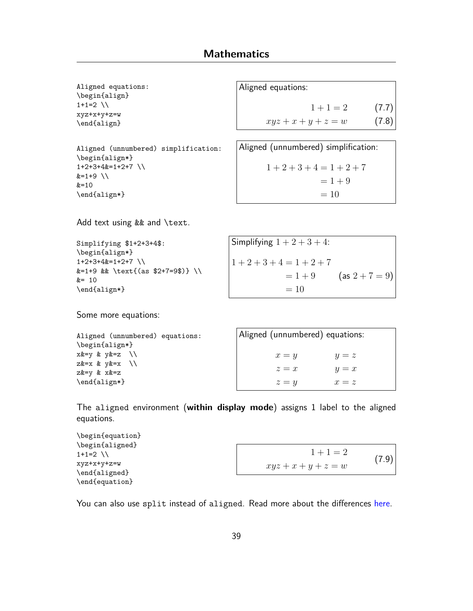```
Aligned equations:
\begin{align}
1+1=2 \\
xyz+x+y+z=w
\end{align}
```

```
Aligned (unnumbered) simplification:
\begin{align*}
1+2+3+4&=1+2+7 \\
&=1+9 \\
&=10\end{align*}
```
Aligned equations:

 $1 + 1 = 2$  (7.7)  $xyz + x + y + z = w$  (7.8)

```
Aligned (unnumbered) simplification:
     1+2+3+4=1+2+7= 1 + 9= 10
```
Add text using && and \text.

```
Simplifying $1+2+3+4$:
\begin{align*}
1+2+3+4&=1+2+7 \\
&=1+9 && \text{(as $2+7=9$)} \\
&= 10\end{align*}
```
Simplifying  $1 + 2 + 3 + 4$ :  $1 + 2 + 3 + 4 = 1 + 2 + 7$  $= 1 + 9$  (as  $2 + 7 = 9$ )  $= 10$ 

Some more equations:

| Aligned (unnumbered) equations:           |  |  |  |  |  |
|-------------------------------------------|--|--|--|--|--|
| \begin{align*}                            |  |  |  |  |  |
| $x&=y & y&=z \ \ \ \ \ \ \ \ \ \ \ \ \ \$ |  |  |  |  |  |
| $z&=x \& y&=x \quad \wedge$               |  |  |  |  |  |
| $z&=v$ & $x&=z$                           |  |  |  |  |  |
| \end{align*}                              |  |  |  |  |  |

| Aligned (unnumbered) equations: |         |
|---------------------------------|---------|
| $x = y$                         | $y = z$ |
| $z=x$                           | $y = x$ |
| $z = y$                         | $x = z$ |

The aligned environment (**within display mode**) assigns 1 label to the aligned equations.

| \begin{equation} |               |  |
|------------------|---------------|--|
| \begin{aligned}  |               |  |
| $1+1=2$ \\       | $1+1=2$       |  |
| xyz+x+y+z=w      | $xyz+x+y+z=w$ |  |
| \end{aligned}    |               |  |
| \end{equation}   |               |  |

You can also use split instead of aligned. Read more about the differences [here.](https://tex.stackexchange.com/questions/187938/whats-the-difference-between-split-and-aligned)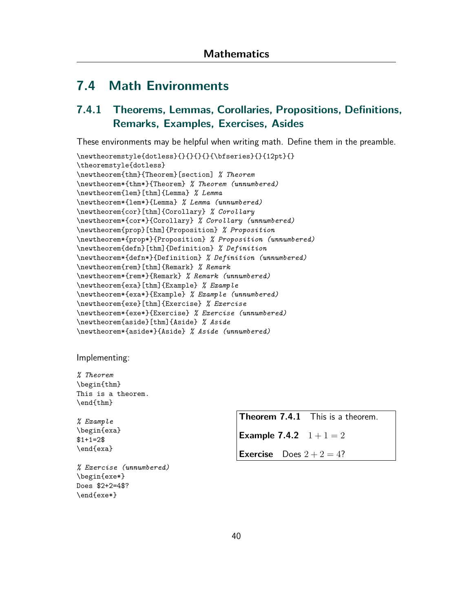## **7.4 Math Environments**

## <span id="page-40-0"></span>**7.4.1 Theorems, Lemmas, Corollaries, Propositions, Definitions, Remarks, Examples, Exercises, Asides**

These environments may be helpful when writing math. Define them in the preamble.

```
\newline\theoremstyle{dotless}
\newtheorem{thm}{Theorem}[section] % Theorem
\newtheorem*{thm*}{Theorem} % Theorem (unnumbered)
\newtheorem{lem}[thm]{Lemma} % Lemma
\newtheorem*{lem*}{Lemma} % Lemma (unnumbered)
\newtheorem{cor}[thm]{Corollary} % Corollary
\newtheorem*{cor*}{Corollary} % Corollary (unnumbered)
\newtheorem{prop}[thm]{Proposition} % Proposition
\newtheorem*{prop*}{Proposition} % Proposition (unnumbered)
\newtheorem{defn}[thm]{Definition} % Definition
\newtheorem*{defn*}{Definition} % Definition (unnumbered)
\newtheorem{rem}[thm]{Remark} % Remark
\newtheorem*{rem*}{Remark} % Remark (unnumbered)
\newtheorem{exa}[thm]{Example} % Example
\newtheorem*{exa*}{Example} % Example (unnumbered)
\newtheorem{exe}[thm]{Exercise} % Exercise
\newtheorem*{exe*}{Exercise} % Exercise (unnumbered)
\newtheorem{aside}[thm]{Aside} % Aside
\newtheorem*{aside*}{Aside} % Aside (unnumbered)
```
Implementing:

*% Theorem* \begin{thm} This is a theorem. \end{thm}

*% Example* \begin{exa}  $$1+1=2$$ \end{exa}

<span id="page-40-1"></span>*% Exercise (unnumbered)* \begin{exe\*} Does \$2+2=4\$? \end{exe\*}

**Theorem 7.4.1** This is a theorem.

**Example 7.4.2**  $1+1=2$ 

**Exercise** Does  $2 + 2 = 4$ ?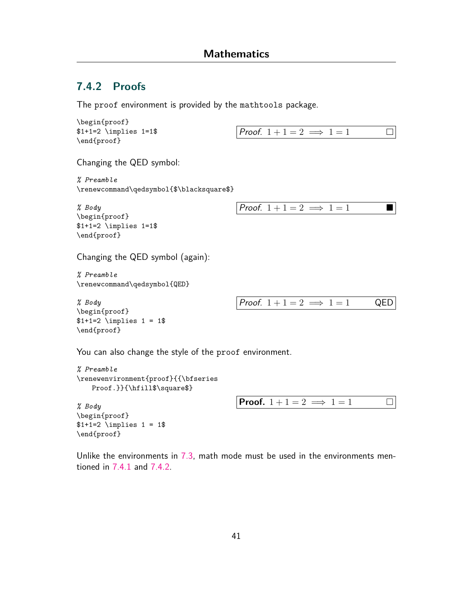### **7.4.2 Proofs**

The proof environment is provided by the mathtools package.

```
\begin{proof}
$1+1=2 \ \imath \neq 1=1$
\end{proof}
```

```
Proof. 1+1=2 \implies 1=1\Box
```
Changing the QED symbol:

*% Preamble* \renewcommand\qedsymbol{\$\blacksquare\$}

```
% Body
\begin{proof}
$1+1=2 \ \imath \neq 1=1\\end{proof}
```
*Proof.*  $1+1=2 \implies 1=1$ 

Changing the QED symbol (again):

*% Preamble* \renewcommand\qedsymbol{QED}

*% Body* \begin{proof}  $$1+1=2 \ \imath \neq 1 = 1$ \end{proof}

\end{proof}



You can also change the style of the proof environment.

```
% Preamble
\renewenvironment{proof}{{\bfseries
   Proof.}}{\hfill$\square$}
% Body
\begin{proof}
$1+1=2 \ \imath \neq 1 = 1Proof. 1+1=2 \implies 1=1
```
Unlike the environments in [7.3,](#page-37-1) math mode must be used in the environments mentioned in [7.4.1](#page-40-0) and [7.4.2](#page-40-1).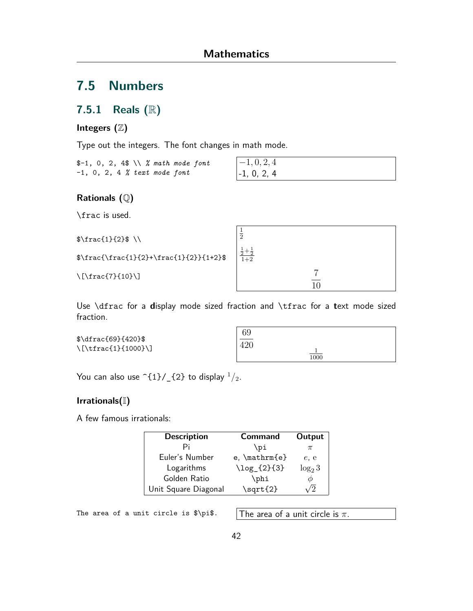## **7.5 Numbers**

### **7.5.1 Reals (**R**)**

#### **Integers (**Z**)**

Type out the integers. The font changes in math mode.

\$-1, 0, 2, 4\$ \\ *% math mode font* -1, 0, 2, 4 *% text mode font*

*−*1*,* 0*,* 2*,* 4 -1, 0, 2, 4

#### **Rationals (**Q**)**

\frac is used.

```
\frac{1}{2}\ \\
\frac{\frac{1}{2}+\frac{1}{2}}{1+2}\[\frac{7}{10}\]
                                                            1
                                                            2
                                                             \frac{1}{2} + \frac{1}{2}<br>1+27
                                                                                      \overline{10}
```
Use \dfrac for a **d**isplay mode sized fraction and \tfrac for a **t**ext mode sized fraction.

\$\dfrac{69}{420}\$ \[\tfrac{1}{1000}\]

| 69               |                  |  |
|------------------|------------------|--|
| $\overline{420}$ |                  |  |
|                  | $\frac{1}{1000}$ |  |

You can also use  $\hat{1}/_{2}$  {2} to display  $\frac{1}{2}$ .

#### **Irrationals(**I**)**

A few famous irrationals:

| <b>Description</b>   | <b>Command</b>      | Output    |
|----------------------|---------------------|-----------|
|                      | \ɒi                 |           |
| Euler's Number       | $e$ , $\mathcal{b}$ | $e$ , $e$ |
| Logarithms           | \log_{2}{3}         | $log_2 3$ |
| Golden Ratio         | \phi                |           |
| Unit Square Diagonal | \sqrt{2}            |           |

The area of a unit circle is  $\phi$ . The area of a unit circle is  $\pi$ .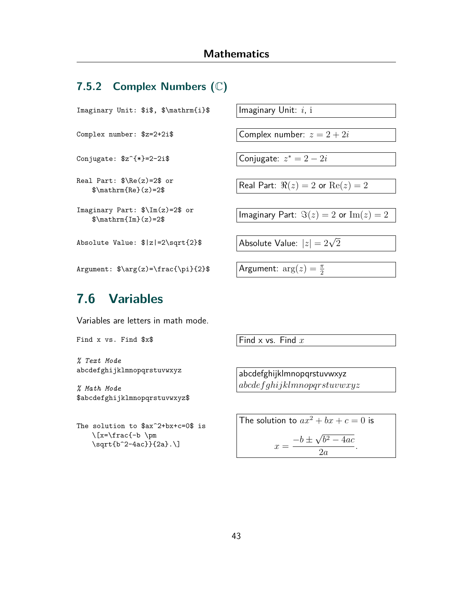### **7.5.2 Complex Numbers (**C**)**

Imaginary Unit: \$i\$, \$\mathrm{i}\$ Imaginary Unit: *i*, i

Conjugate: \$z^{\*}=2-2i\$ Conjugate: *z*

Real Part: \$\Re(z)=2\$ or

```
Imaginary Part: $\Im(z)=2$ or
```
 $\overline{\text{Absolute Value: } $|z|=2\sqrt{\text{sqrt}}}$  Absolute Value:  $|z|=2\sqrt{2}$ 

Argument:  $\arg(z) = \frac{\pi}{2}$ 

Complex number:  $z = 2 + 2i$ \$ Complex number:  $z = 2 + 2i$ 

Conjugate:  $z^* = 2 - 2i$ 

 $\text{Rearr}: \text{where } z = 2\text{ or } z = 2\text{ or } z = 2\text{ or } z = 2\text{ or } z = 2\text{ or } z = 2\text{ or } z = 2\text{ or } z = 2\text{ or } z = 2\text{ or } z = 2\text{ or } z = 2\text{ or } z = 2\text{ or } z = 2\text{ or } z = 2\text{ or } z = 2\text{ or } z = 2\text{ or } z = 2\text{ or } z = 2\text{ or } z = 2\text{ or } z = 2\text{ or } z = 2\text{ or } z = 2\text{ or } z = 2\text{ or } z$ 

 $\lim_{x \to a} \lim_{x \to a} \lim_{z \to a} \lim_{z \to a} \lim_{z \to a} \lim_{z \to a} \lim_{z \to a} \lim_{z \to a} \lim_{z \to a} \lim_{z \to a} \lim_{z \to a} \lim_{z \to a} \lim_{z \to a} \lim_{z \to a} \lim_{z \to a} \lim_{z \to a} \lim_{z \to a} \lim_{z \to a} \lim_{z \to a} \lim_{z \to a} \lim_{z \to a} \lim_{z \to a} \lim_{z \to a} \lim_{z \to a} \lim_{z \to a} \lim_{z \to a} \lim_{z \to a} \lim_{z$ 

Argument:  $arg(z) = \frac{\pi}{2}$ 

## **7.6 Variables**

Variables are letters in math mode.

Find x vs. Find  $x$  **Find**  $x$  Find  $x$  vs. Find *x* 

*% Text Mode* abcdefghijklmnopqrstuvwxyz

*% Math Mode* \$abcdefghijklmnopqrstuvwxyz\$

The solution to \$ax^2+bx+c=0\$ is  $\I_x=\frac{-b \ \pm \m$ \sqrt{b^2-4ac}}{2a}.\]

abcdefghijklmnopqrstuvwxyz *abcdefghijklmnopqrstuvwxyz*

The solution to  $ax^2 + bx + c = 0$  is  $x = \frac{-b \pm \sqrt{a^2 - 4ac}}{2a}$ *√ b* <sup>2</sup> *−* 4*ac* 2*a .*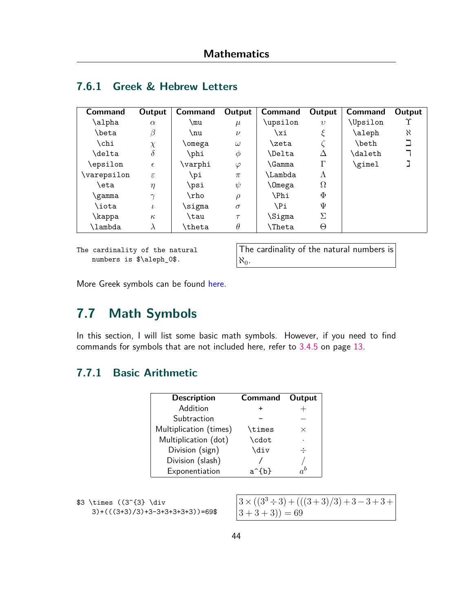| <b>Command</b> | Output        | <b>Command</b> | Output    | <b>Command</b> | Output     | <b>Command</b>  | Output |
|----------------|---------------|----------------|-----------|----------------|------------|-----------------|--------|
| \alpha         | $\alpha$      | mu             | $\mu$     | \upsilon       | $\upsilon$ | <b>\Upsilon</b> | Υ      |
| \beta          | $\beta$       | \nu            | $\nu$     | \xi            |            | \aleph          | X      |
| \chi           | $\chi$        | omega          | $\omega$  | \zeta          |            | \beth           |        |
| \delta         | $\delta$      | \phi           | Φ         | <b>\Delta</b>  | Л          | <b>\daleth</b>  |        |
| epsilon        | $\epsilon$    | \varphi        | $\varphi$ | \Gamma         | Г          | \gimel          |        |
| \varepsilon    | $\varepsilon$ | \pi            | $\pi$     | \Lambda        | Λ          |                 |        |
| eta)           | $\eta$        | \psi           | $\psi$    | \Omega         | $\Omega$   |                 |        |
| gamma          | $\gamma$      | \rho           | $\rho$    | \Phi           | $\Phi$     |                 |        |
| \iota          | $\iota$       | \sigma         | $\sigma$  | \Pi            | Ψ          |                 |        |
| <b>\kappa</b>  | $\kappa$      | \tau           | $\tau$    | \Sigma         | Σ          |                 |        |
| <b>lambda</b>  | $\lambda$     | \theta         | $\theta$  | \Theta         | Θ          |                 |        |

## **7.6.1 Greek & Hebrew Letters**

The cardinality of the natural numbers is \$\aleph\_0\$.

The cardinality of the natural numbers is  $\aleph_0$ .

More Greek symbols can be found [here](https://oeis.org/wiki/List_of_LaTeX_mathematical_symbols#Greek_letters).

# **7.7 Math Symbols**

In this section, I will list some basic math symbols. However, if you need to find commands for symbols that are not included here, refer to [3.4.5](#page-13-0) on page [13.](#page-13-0)

## **7.7.1 Basic Arithmetic**

| <b>Description</b>     | <b>Command</b>     | Output   |
|------------------------|--------------------|----------|
| Addition               |                    |          |
| Subtraction            |                    |          |
| Multiplication (times) | <b>\times</b>      | $\times$ |
| Multiplication (dot)   | \cdot              | ٠        |
| Division (sign)        | \div               |          |
| Division (slash)       |                    |          |
| Exponentiation         | $a^{\hat{ }}\{b\}$ |          |

|  | \$3 \times ((3^{3} \div |                                   |
|--|-------------------------|-----------------------------------|
|  |                         | $3)+((3+3)/3)+3-3+3+3+3+3)$ =69\$ |

| $3 \times ((3^3 \div 3) + (((3+3)/3) + 3 - 3 + 3 +$ |  |
|-----------------------------------------------------|--|
| $(3+3+3)) = 69$                                     |  |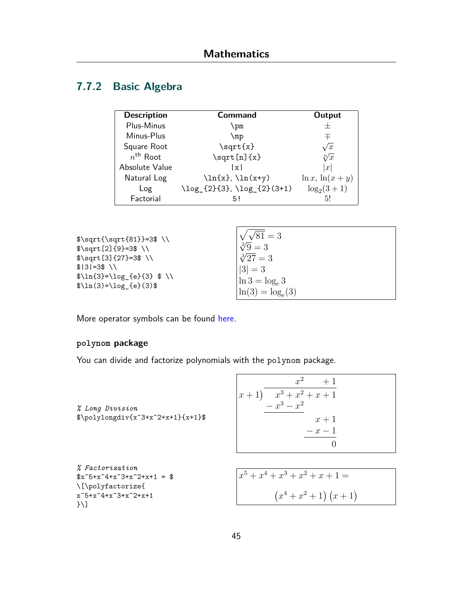# **7.7.2 Basic Algebra**

| <b>Description</b>   | <b>Command</b>                           | Output               |
|----------------------|------------------------------------------|----------------------|
| Plus-Minus           | \pm                                      |                      |
| Minus-Plus           | \mp                                      | 干                    |
| Square Root          | \sqrt{x}                                 | $\sqrt{x}$           |
| $n^{\text{th}}$ Root | $\sqrt{\sqrt{x}}$                        | $\sqrt[n]{x}$        |
| Absolute Value       | x                                        | x                    |
| Natural Log          | $\ln{x}, \ln(x+y)$                       | $\ln x$ , $\ln(x+y)$ |
| Log                  | $\log_{2}^{2}$ {3}, $\log_{2}^{3}$ (3+1) | $\log_2(3+1)$        |
| Factorial            | 5!                                       | 51                   |

| $\sqrt{\sqrt{31}}=3$ \\<br>$\sqrt{2}$ {9}=3\$\\ | $\sqrt{\sqrt{81}}=3$<br>$\sqrt[2]{9} = 3$ |
|-------------------------------------------------|-------------------------------------------|
| $\sqrt{\sqrt{3} - 3\$ \\                        | $\sqrt[3]{27} = 3$                        |
| $$131=3$ N$<br>$\ln{3}=\log_{e}{3}$ \$ \\       | $ 3 =3$<br>$\ln 3 = \log_e 3$             |
| $\ln(3) = \log_{e}(3)$                          | $\ln(3) = \log_e(3)$                      |

More operator symbols can be found [here.](https://oeis.org/wiki/List_of_LaTeX_mathematical_symbols#Binary_operators)

#### **polynom package**

You can divide and factorize polynomials with the polynom package.

| % Long Division<br>$\pmb{\Rightarrow}$ \polylongdiv{x^3+x^2+x+1}{x+1}\$                                                        | $x^2$<br>$+1$<br>$\begin{vmatrix} x+1 \\ -x^3 + x^2 + x + 1 \\ -x^3 - x^2 \end{vmatrix}$<br>$x+1$<br>$-x-1$<br>$\theta$ |
|--------------------------------------------------------------------------------------------------------------------------------|-------------------------------------------------------------------------------------------------------------------------|
| <i>% Factorization</i><br>$x^5 + x^4 + x^3 + x^2 + x + 1 = 0$<br>\[\polyfactorize{<br>$x^55+x^4+x^3+x^2+x+1$<br>$\overline{1}$ | $x^5 + x^4 + x^3 + x^2 + x + 1 =$<br>$(x^4+x^2+1)(x+1)$                                                                 |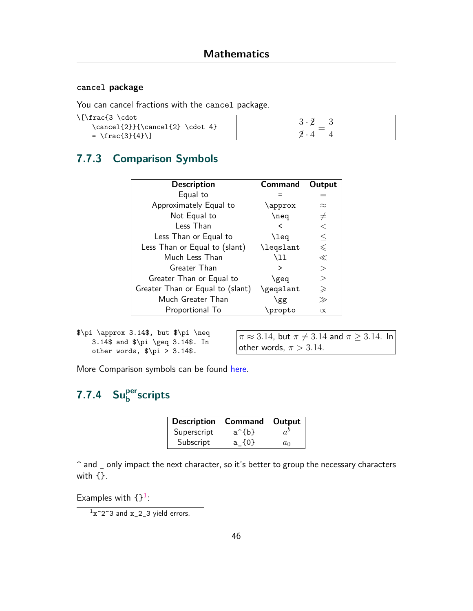#### **cancel package**

You can cancel fractions with the cancel package.

| \[\frac{3 \cdot |  |
|-----------------|--|
|-----------------|--|

 $\operatorname{2}({\text{2}} \cdot 4)$  $= \frac{3}{4}\$ 

## **7.7.3 Comparison Symbols**

| <b>Description</b>               | <b>Command</b> | Output      |
|----------------------------------|----------------|-------------|
| Equal to                         |                |             |
| Approximately Equal to           | \approx        | $\approx$   |
| Not Equal to                     | \neq           | $\neq$      |
| Less Than                        | <              | $\,<\,$     |
| Less Than or Equal to            | \leq           | $\leq$      |
| Less Than or Equal to (slant)    | \legslant      | $\leq$      |
| Much Less Than                   | \11            | $\ll$       |
| Greater Than                     | >              | $\rm{>}$    |
| Greater Than or Equal to         | \geq           | $\geq$      |
| Greater Than or Equal to (slant) | \geqslant      | $\geqslant$ |
| Much Greater Than                | \gg            | $\gg$       |
| Proportional To                  | \propto        | $\propto$   |

\$\pi \approx 3.14\$, but \$\pi \neq 3.14\$ and \$\pi \geq 3.14\$. In other words, \$\pi > 3.14\$.

 $\pi \approx 3.14$ , but  $\pi \neq 3.14$  and  $\pi \geq 3.14$ . In other words,  $\pi > 3.14$ .

More Comparison symbols can be found [here](https://oeis.org/wiki/List_of_LaTeX_mathematical_symbols#Relation_operators).

# **7.7.4 Super b scripts**

| <b>Description Command</b> |       | Output $ $  |
|----------------------------|-------|-------------|
| Superscript                | a^{b} | $a^{\rm o}$ |
| Subscript                  | a {0} | $a_0$       |

^ and \_ only impact the next character, so it's better to group the necessary characters with {}.

Examples with  $\{$ }^1:

 $1x^2$ <sup>2</sup>3 and  $x_2$ <sub>2</sub>3 yield errors.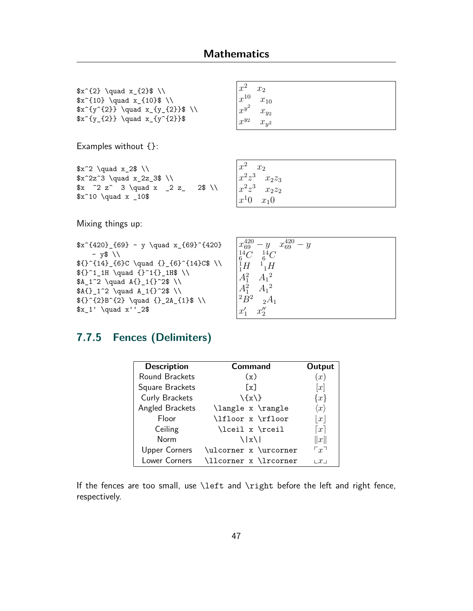$x^{2} \quad x_{2} \quad x_{2} \$  $x^{10} \quad x_{10} \$  $x^{y^{2}}$  $x^{y_{2}}} \quad x_{y^{2}}$ 

Examples without {}:

 $x^2 \quad x_2 \$  $x^2z^3 \quad x_2z_3$  \\  $x$   $2 z^ 3 \quad x \_2 z$  2\$ \\  $x^10 \quad x \quad 10$ 

| $x^2$ $x_2$ |                     |  |  |  |
|-------------|---------------------|--|--|--|
|             | $x^{10}$ $x_{10}$   |  |  |  |
|             | $x^{y^2}$ $x_{y_2}$ |  |  |  |
|             | $x^{y_2}$ $x_{y^2}$ |  |  |  |

| $x^2$<br>$x_2$    |  |
|-------------------|--|
| $x^2z^3$ $x_2z_3$ |  |
| $x^2z^3$ $x_2z_2$ |  |
| $x^10 \quad x_10$ |  |

Mixing things up:

 $x^{420}-69$  - y \quad x\_{69}^{420}  $- y$ \$\\  ${\f}^{(14)}_{6}C \quad \{14\}^{(6)}C \quad \{14\}^{(6)}$  $${}^{21}$  1H \quad {}^1{}\_1H\$ \\  $A_1^2 \quad A_{1}^2 \quad A_{1}^2^* \ \$  $$A{}_{1^2} \quad A_1{}_{2^3} \ \$  $f^{-2}B^{2} \quad \{} \quad \{} 2A_{1}$  \quad {} 2A\_{1}\$ \\  $x_1' \quad \quad x' - 2$ \$

| $x_{69}^{420} - y$ |                               | $x_{69}^{420} - y$ |  |  |
|--------------------|-------------------------------|--------------------|--|--|
|                    | ${}^{14}_{6}C$ ${}^{14}_{6}C$ |                    |  |  |
|                    | ${}_{1}^{1}H {}_{1}^{1}H$     |                    |  |  |
| $A_1^2$            | $A_1{}^2$                     |                    |  |  |
| $A_1^2$            | $A_1^2$                       |                    |  |  |
| ${}^2B^2$          | $2A_1$                        |                    |  |  |
| $x'_1$             | $x_2''$                       |                    |  |  |

### **7.7.5 Fences (Delimiters)**

| <b>Description</b>   | Command               | Output              |
|----------------------|-----------------------|---------------------|
| Round Brackets       | (x)                   | (x)                 |
| Square Brackets      | [x]                   | [x]                 |
| Curly Brackets       | $\{x\}$               | $\{x\}$             |
| Angled Brackets      | \langle x \rangle     | $\langle x \rangle$ |
| Floor                | \lfloor x \rfloor     | x                   |
| Ceiling              | \lceil x \rceil       | $\lceil x \rceil$   |
| Norm                 | $\frac{1}{x}$         | x                   |
| <b>Upper Corners</b> | \ulcorner x \urcorner | $\sqcap_{x}$        |
| <b>Lower Corners</b> | \llcorner x \lrcorner | $x_{\perp}$         |

If the fences are too small, use \left and \right before the left and right fence, respectively.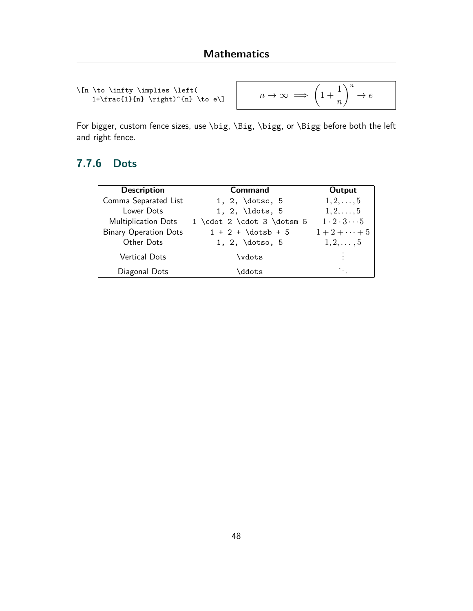```
\[n \to \infty \implies \left(
   1+\frac{1}{n} \right)^{n} \to e\]
```

$$
n \to \infty \implies \left(1 + \frac{1}{n}\right)^n \to e
$$

For bigger, custom fence sizes, use \big, \Big, \bigg, or \Bigg before both the left and right fence.

## **7.7.6 Dots**

| <b>Description</b>           | Command                    | Output                       |
|------------------------------|----------------------------|------------------------------|
| Comma Separated List         | 1, 2, $dots, 5$            | $1, 2, \ldots, 5$            |
| Lower Dots                   | 1, 2, $ldots$ , 5          | $1, 2, \ldots, 5$            |
| <b>Multiplication Dots</b>   | 1 \cdot 2 \cdot 3 \dotsm 5 | $1 \cdot 2 \cdot 3 \cdots 5$ |
| <b>Binary Operation Dots</b> | $1 + 2 + \dots + 5$        | $1 + 2 + \cdots + 5$         |
| Other Dots                   | 1, 2, $dotso, 5$           | $1, 2, \ldots, 5$            |
| <b>Vertical Dots</b>         | \vdots                     | ÷                            |
| Diagonal Dots                | \ddots                     |                              |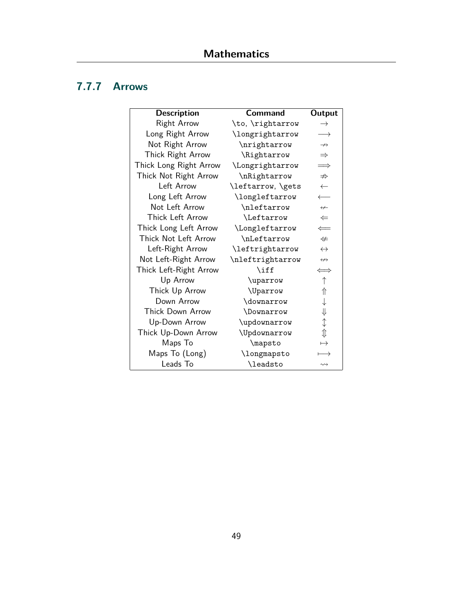## **7.7.7 Arrows**

| <b>Description</b>     | <b>Command</b>    | Output                |
|------------------------|-------------------|-----------------------|
| <b>Right Arrow</b>     | \to, \rightarrow  | $\rightarrow$         |
| Long Right Arrow       | \longrightarrow   | $\longrightarrow$     |
| Not Right Arrow        | \nrightarrow      | $\nrightarrow$        |
| Thick Right Arrow      | \Rightarrow       | $\Rightarrow$         |
| Thick Long Right Arrow | \Longrightarrow   | $\implies$            |
| Thick Not Right Arrow  | \nRightarrow      | $\nRightarrow$        |
| Left Arrow             | \leftarrow, \gets | $\leftarrow$          |
| Long Left Arrow        | \longleftarrow    |                       |
| Not Left Arrow         | \nleftarrow       | $\leftarrow$          |
| Thick Left Arrow       | <i>Leftarrow</i>  | $\Leftarrow$          |
| Thick Long Left Arrow  | \Longleftarrow    | $\Leftarrow$          |
| Thick Not Left Arrow   | \nLeftarrow       | $\neq$                |
| Left-Right Arrow       | \leftrightarrow   | $\leftrightarrow$     |
| Not Left-Right Arrow   | \nleftrightarrow  | $\leftrightarrow$     |
| Thick Left-Right Arrow | $\inf$            | $\Longleftrightarrow$ |
| Up Arrow               | \uparrow          | ↑                     |
| Thick Up Arrow         | \Uparrow          | ⇑                     |
| Down Arrow             | \downarrow        |                       |
| Thick Down Arrow       | \Downarrow        | ⇓                     |
| Up-Down Arrow          | \updownarrow      | ↨                     |
| Thick Up-Down Arrow    | \Updownarrow      | $\hat{\psi}$          |
| Maps To                | \mapsto           | $\mapsto$             |
| Maps To (Long)         | \longmapsto       | $\longrightarrow$     |
| Leads To               | \leadsto          | $\rightsquigarrow$    |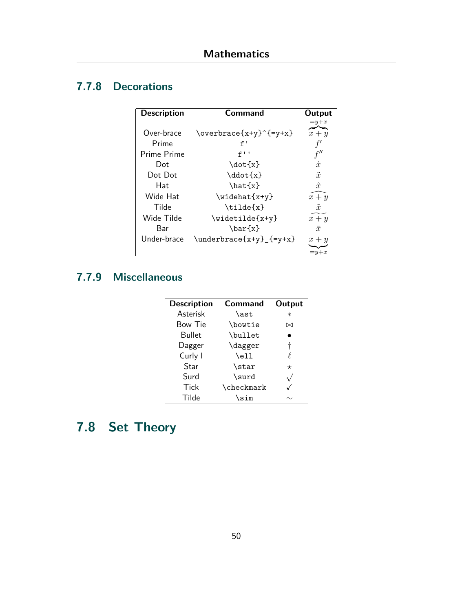## **7.7.8 Decorations**

| <b>Description</b> | Command                                       | Output      |
|--------------------|-----------------------------------------------|-------------|
|                    |                                               | $=y+x$      |
| Over-brace         | $\overbrace{\text{overbrace}^{\{xy\}}_{x+y}}$ | $x + y$     |
| Prime              | f'                                            |             |
| Prime Prime        | f''                                           | f''         |
| Dot                | \dot{x}                                       | $\dot{x}$   |
| Dot Dot            | \ddot{x}                                      | $\ddot{x}$  |
| Hat                | $\hat{x}$                                     | $\hat{x}$   |
| Wide Hat           | $\widehat{x+y}$                               | $x + y$     |
| Tilde              | $\tilde{x}$                                   | $\tilde{x}$ |
| Wide Tilde         | $\widetilde{\forall x+y}$                     | $x + y$     |
| Bar                | $\bar{x}$                                     | $\bar{x}$   |
| Under-brace        | $\{\text{underbrace{x+y}_{-}\}$               | $x + y$     |
|                    |                                               | $=y+x$      |

## **7.7.9 Miscellaneous**

| <b>Description</b> | <b>Command</b> | Output  |
|--------------------|----------------|---------|
| <b>Asterisk</b>    | \ast           | $^\ast$ |
| Bow Tie            | \bowtie        | ⊠       |
| <b>Bullet</b>      | \bullet        |         |
| Dagger             | \dagger        | t       |
| Curly I            | \ell           |         |
| Star               | \star          | $\star$ |
| Surd               | \surd          |         |
| Tick               | \checkmark     |         |
| Tilde              | sim\           |         |

# **7.8 Set Theory**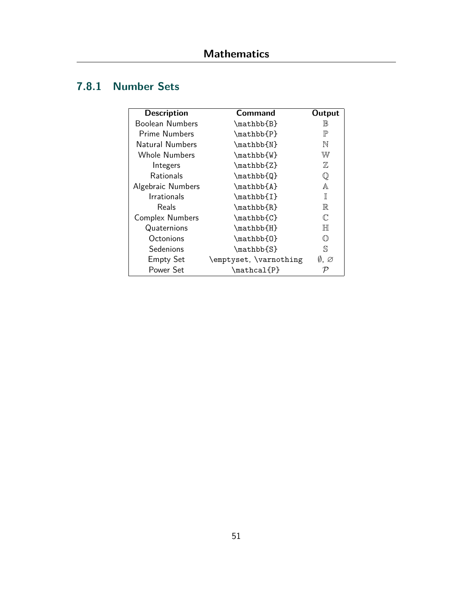## **7.8.1 Number Sets**

| <b>Description</b>     | Command                | Output       |
|------------------------|------------------------|--------------|
| Boolean Numbers        | \mathbb{B}             | IB           |
| Prime Numbers          | $\mathbb{P}$           | $\mathbb{P}$ |
| Natural Numbers        | \mathbb{N}             | N            |
| <b>Whole Numbers</b>   | \mathbb{W}             | W            |
| Integers               | $\mathbb{Z}$           | $\mathbb Z$  |
| <b>Rationals</b>       | \mathbb{Q}             | $\mathbb Q$  |
| Algebraic Numbers      | \mathbb{A}             | A            |
| <b>Irrationals</b>     | $\mathbb{I}$           | π            |
| Reals                  | $\mathbb{R}$           | $\mathbb{R}$ |
| <b>Complex Numbers</b> | $\mathbb{C}$           | $\mathbb{C}$ |
| Quaternions            | \mathbb{H}             | $\mathbb H$  |
| Octonions              | \mathbb{0}             | ∩            |
| Sedenions              | \mathbb{S}             | S            |
| <b>Empty Set</b>       | \emptyset, \varnothing | Ø. Ø         |
| Power Set              | $\mathcal{P}$          |              |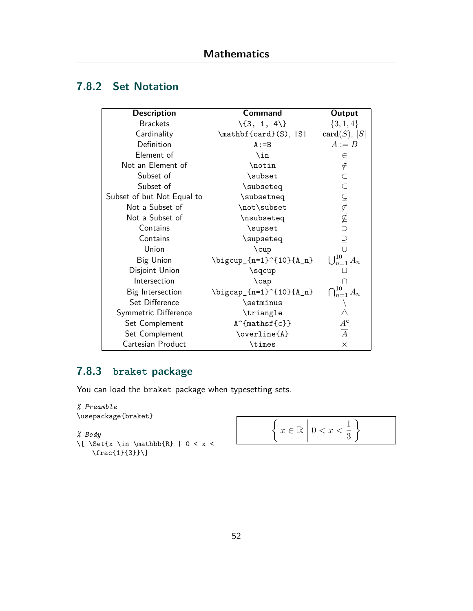## **7.8.2 Set Notation**

| <b>Description</b>         | <b>Command</b>                     | Output                   |
|----------------------------|------------------------------------|--------------------------|
| <b>Brackets</b>            | $\{3, 1, 4\}$                      | $\{3,1,4\}$              |
| Cardinality                | $\mathcal{C}$ \mathbf{card}(S),  S | $card(S)$ ,  S           |
| Definition                 | $A := B$                           | $A := B$                 |
| Element of                 | \in                                | $\in$                    |
| Not an Element of          | \notin                             |                          |
| Subset of                  | \subset                            |                          |
| Subset of                  | \subseteq                          |                          |
| Subset of but Not Equal to | \subsetneq                         |                          |
| Not a Subset of            | \not\subset                        | FUUUFAFID                |
| Not a Subset of            | \nsubseteq                         |                          |
| Contains                   | \supset                            |                          |
| Contains                   | \supseteq                          |                          |
| Union                      | \cup                               | $\cup$                   |
| <b>Big Union</b>           | \bigcup_{n=1}^{10}{A_n}            | $\bigcup_{n=1}^{10} A_n$ |
| Disjoint Union             | \sqcup                             |                          |
| Intersection               | $\cap$                             | ∩                        |
| Big Intersection           | \bigcap_{n=1}^{10}{A_n}            | $\bigcap_{n=1}^{10} A_n$ |
| Set Difference             | \setminus                          |                          |
| Symmetric Difference       | \triangle                          |                          |
| Set Complement             | $A^{\hat{}}\{mathsf{c}\}\$         | $A^{\mathsf{c}}$         |
| Set Complement             | \overline{A}                       | $\overline{A}$           |
| Cartesian Product          | \times                             | $\times$                 |

## **7.8.3 braket package**

You can load the braket package when typesetting sets.

```
% Preamble
\usepackage{braket}
% Body
\[ \Set{x \in \mathbb{R} | 0 < x <
```
\frac{1}{3}}\]

$$
\left\{ x \in \mathbb{R} \middle| 0 < x < \frac{1}{3} \right\}
$$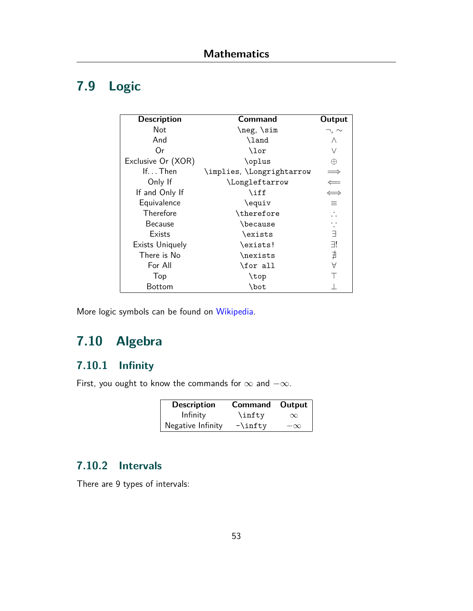# **7.9 Logic**

| <b>Description</b>     | Command                   | Output                |
|------------------------|---------------------------|-----------------------|
| Not                    | \neg,\sim                 | $\neg$ , $\sim$       |
| And                    | \land                     | Λ                     |
| Or                     | \lor                      | $\vee$                |
| Exclusive Or (XOR)     | \oplus                    | $\oplus$              |
| If $Then$              | \implies, \Longrightarrow |                       |
| Only If                | \Longleftarrow            | $\Leftarrow$          |
| If and Only If         | \iff                      | $\Longleftrightarrow$ |
| Equivalence            | \equiv                    | ≡                     |
| Therefore              | \therefore                |                       |
| <b>Because</b>         | \because                  |                       |
| Exists                 | \exists                   | Ε                     |
| <b>Exists Uniquely</b> | \exists!                  | 31                    |
| There is No            | \nexists                  | ∄                     |
| For All                | \for all                  | A                     |
| Top                    | \top                      |                       |
| Bottom                 | \bot                      |                       |

More logic symbols can be found on [Wikipedia.](https://en.wikipedia.org/wiki/List_of_logic_symbols)

# **7.10 Algebra**

## **7.10.1 Infinity**

First, you ought to know the commands for *∞* and *−∞*.

| <b>Description</b> | Command Output |           |
|--------------------|----------------|-----------|
| Infinity           | \infty         | $\infty$  |
| Negative Infinity  | $-\infty$      | $-\infty$ |

## **7.10.2 Intervals**

There are 9 types of intervals: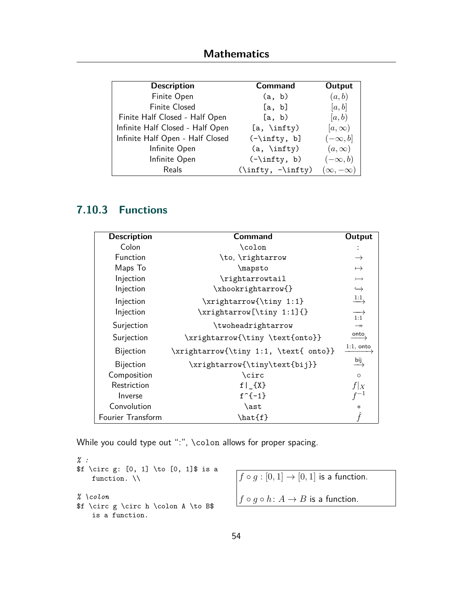| <b>Description</b>               | <b>Command</b>      | Output              |
|----------------------------------|---------------------|---------------------|
| Finite Open                      | (a, b)              | (a,b)               |
| Finite Closed                    | [a, b]              | [a, b]              |
| Finite Half Closed - Half Open   | [a, b)              | [a, b)              |
| Infinite Half Closed - Half Open | $[a, \infty)$       | $[a,\infty)$        |
| Infinite Half Open - Half Closed | $(-\infty, b]$      | $(-\infty, b]$      |
| Infinite Open                    | $(a, \infty)$       | $(a,\infty)$        |
| Infinite Open                    | $(-\infty, b)$      | $(-\infty, b)$      |
| Reals                            | $(\infty, -\infty)$ | $(\infty, -\infty)$ |

## **7.10.3 Functions**

| <b>Description</b> | Command                               | Output                  |
|--------------------|---------------------------------------|-------------------------|
| Colon              | \colon                                |                         |
| Function           | \to, \rightarrow                      | $\rightarrow$           |
| Maps To            | \mapsto                               | $\mapsto$               |
| Injection          | \rightarrowtail                       | $\rightarrowtail$       |
| Injection          | \xhookrightarrow{}                    | $\hookrightarrow$       |
| Injection          | \xrightarrow{\tiny 1:1}               | $\xrightarrow{1:1}$     |
| Injection          | \xrightarrow[\tiny 1:1]{}             | $\overrightarrow{1:1}$  |
| Surjection         | \twoheadrightarrow                    | $\rightarrow$           |
| Surjection         | \xrightarrow{\tiny \text{onto}}       | $\overrightarrow{onto}$ |
| <b>Bijection</b>   | \xrightarrow{\tiny 1:1, \text{ onto}} | $1:1$ , onto            |
| <b>Bijection</b>   | \xrightarrow{\tiny\text{bij}}         | $\xrightarrow{bij}$     |
| Composition        | \circ                                 | $\circ$                 |
| Restriction        | $f \mid _{X}$                         | $f _X$                  |
| Inverse            | $f^{-(-1)}$                           |                         |
| Convolution        | \ast                                  | $\ast$                  |
| Fourier Transform  | \hat{f}                               |                         |

While you could type out ":", \colon allows for proper spacing.

```
% :
f \circ g: [0, 1] \to [0, 1] is a
   function. \\
% \colon
$f \circ g \circ h \colon A \to B$
   is a function.
```

```
f \circ g : [0, 1] \to [0, 1] is a function.
f \circ g \circ h : A \to B is a function.
```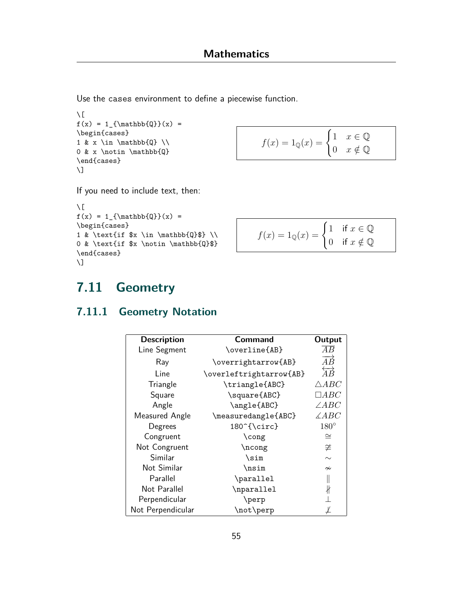Use the cases environment to define a piecewise function.

```
\setminus[
f(x) = 1_{\mathbb{Q}}(x) =\begin{cases}
1 \& x \in \mathbb{Q} \ \setminus \mathbb{Q}0 & x \notin \mathbb{Q}
\end{cases}
\setminus]
```

$$
f(x) = 1_{\mathbb{Q}}(x) = \begin{cases} 1 & x \in \mathbb{Q} \\ 0 & x \notin \mathbb{Q} \end{cases}
$$

If you need to include text, then:

```
\setminus [
f(x) = 1_{\mathbb{Q}}(x) =\begin{cases}
1 & \text{if x \in \mathbb{Q} \in \mathbb{Q}$} \\
0 & \text{if $x \notin \mathbb{Q}$}
\end{cases}
\setminus]
```

$$
f(x) = 1_{\mathbb{Q}}(x) = \begin{cases} 1 & \text{if } x \in \mathbb{Q} \\ 0 & \text{if } x \notin \mathbb{Q} \end{cases}
$$

# **7.11 Geometry**

## **7.11.1 Geometry Notation**

| <b>Description</b> | <b>Command</b>          | Output                    |
|--------------------|-------------------------|---------------------------|
| Line Segment       | \overline{AB}           | AВ                        |
| Ray                | \overrightarrow{AB}     | $\overrightarrow{AB}$     |
| Line               | \overleftrightarrow{AB} | $\overleftrightarrow{AB}$ |
| Triangle           | \triangle{ABC}          | $\triangle ABC$           |
| Square             | \square{ABC}            | $\Box ABC$                |
| Angle              | \angle{ABC}             | $\angle ABC$              |
| Measured Angle     | \measuredangle{ABC}     | $\measuredangle ABC$      |
| Degrees            | 180^{\circ}             | $180^\circ$               |
| Congruent          | \cong                   | $\cong$                   |
| Not Congruent      | \ncong                  | $\ncong$                  |
| Similar            | $\sin$                  | $\sim$                    |
| Not Similar        | \nsim                   | $\sim$                    |
| Parallel           | \parallel               |                           |
| Not Parallel       | \nparallel              | ł                         |
| Perpendicular      | \perp                   |                           |
| Not Perpendicular  | \not\perp               |                           |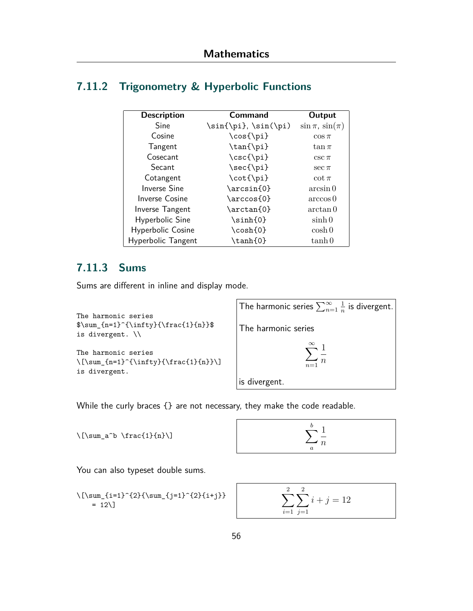### **7.11.2 Trigonometry & Hyperbolic Functions**

| <b>Description</b>    | Command              | Output                   |
|-----------------------|----------------------|--------------------------|
| Sine                  | \sin{\pi}, \sin(\pi) | $\sin \pi$ , $\sin(\pi)$ |
| Cosine                | \cos{\pi}            | $\cos \pi$               |
| Tangent               | \tan{\pi}            | $\tan \pi$               |
| Cosecant              | \csc{\pi}            | $csc \pi$                |
| Secant                | \sec{\pi}            | $sec \pi$                |
| Cotangent             | \cot{\pi}            | $\cot \pi$               |
| <b>Inverse Sine</b>   | \arcsin{0}           | arcsin 0                 |
| <b>Inverse Cosine</b> | \arccos{0}           | arccos 0                 |
| Inverse Tangent       | $\arctan\{0\}$       | arctan 0                 |
| Hyperbolic Sine       | \sinh{0}             | $\sinh 0$                |
| Hyperbolic Cosine     | \cosh{0}             | $\cosh 0$                |
| Hyperbolic Tangent    | \tanh{0}             | $\tanh 0$                |

#### <span id="page-56-0"></span>**7.11.3 Sums**

Sums are different in inline and display mode.

```
The harmonic series
\sum_{n=1}^{\infty}{\frac{1}{n}}is divergent. \\
```

```
The harmonic series
\label{lem:main} $$\[\sum_{n=1}^{\infty}^{\frac{1}{n}}\]is divergent.
```
The harmonic series  $\sum_{n=1}^\infty$ 1  $\frac{1}{n}$  is divergent. The harmonic series X*∞ n*=1 1 *n* is divergent.

While the curly braces {} are not necessary, they make the code readable.

 $\lceil \frac{1}{n}\rceil$ 

$$
\sum_{a}^{b} \frac{1}{n}
$$

You can also typeset double sums.

```
\l\{\sum_{i=1}^{2}{\sum_{j=1}^{2}{i+j}}\}= 12 \cup
```

$$
\sum_{i=1}^{2} \sum_{j=1}^{2} i + j = 12
$$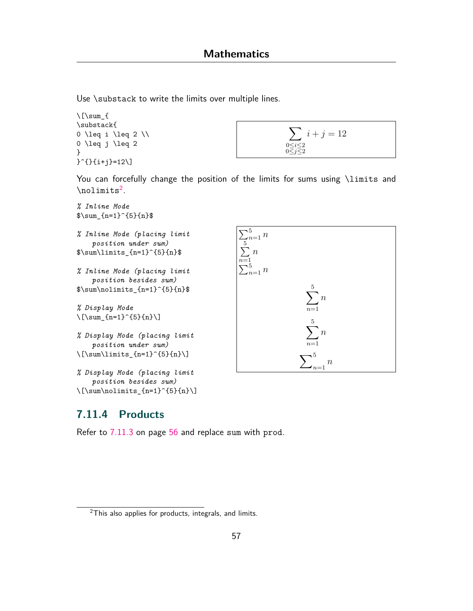Use \substack to write the limits over multiple lines.

```
\lceilsum {
\substack{
0 \leq i \leq 2 \\
0 \leq j \leq 2
}
}^{}{i+j}=12\]
```

$$
\sum_{\substack{0 \le i \le 2 \\ 0 \le j \le 2}} i + j = 12
$$

You can forcefully change the position of the limits for sums using \limits and  $\lambda^2$ .



#### **7.11.4 Products**

 $\lceil$ [\sum\nolimits\_{n=1}^{5}{n}\]

Refer to [7.11.3](#page-56-0) on page [56](#page-56-0) and replace sum with prod.

 $2$ This also applies for products, integrals, and limits.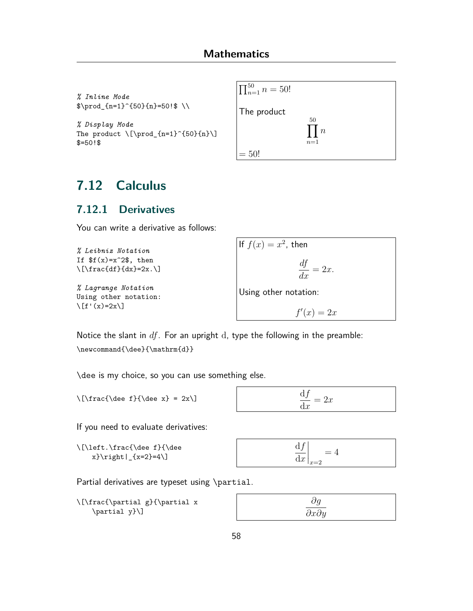*% Inline Mode*  $\prod_{n=1}^{50}{n}=50!$ 

*% Display Mode* The product  $\[\prod_{n=1}^{50}{n}\]\]$  $$=50!$ 



# **7.12 Calculus**

### **7.12.1 Derivatives**

You can write a derivative as follows:

```
% Leibniz Notation
If f(x)=x^2$, then
\left[\frac{df}{dx}=2x.\right]% Lagrange Notation
Using other notation:
\setminus [f'(x)=2x\setminus]If f(x) = x^2, then
                                                                     df
                                                                    \frac{dy}{dx} = 2x.Using other notation:
                                                                   f'(x) = 2x
```
Notice the slant in *df*. For an upright d, type the following in the preamble: \newcommand{\dee}{\mathrm{d}}

\dee is my choice, so you can use something else.

 $\{\text{de } f\{\text{de } x\} = 2x\}$ 

$$
\frac{\mathrm{d}f}{\mathrm{d}x} = 2x
$$

If you need to evaluate derivatives:

```
\[\left.\frac{\dee f}{\dee
   x}\right|_{x=2}=4\]
```

| $\mathbf{r}$<br>$\mathbf{u}_j$<br>$= 4$<br>$\left. \mathrm{d}x\right  _{x=2}$ |
|-------------------------------------------------------------------------------|
|-------------------------------------------------------------------------------|

Partial derivatives are typeset using \partial.

```
\[\frac{\partial g}{\partial x
    \partial y}\]
```

| $\partial g$            |  |
|-------------------------|--|
| $\partial x \partial y$ |  |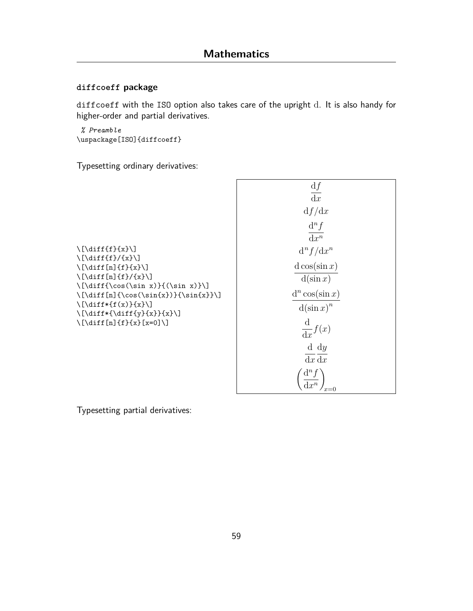#### **diffcoeff package**

diffcoeff with the ISO option also takes care of the upright d. It is also handy for higher-order and partial derivatives.

*% Preamble* \uspackage[ISO]{diffcoeff}

Typesetting ordinary derivatives:

|                                                                                                      | $\frac{\mathrm{d}f}{\mathrm{d}x}$     |
|------------------------------------------------------------------------------------------------------|---------------------------------------|
|                                                                                                      | df/dx                                 |
|                                                                                                      | $d^n f$<br>$\overline{\mathrm{d}x^n}$ |
| $\left[\left(\text{diff}\{f\}\{x\}\right)\right]$                                                    | $d^n f/dx^n$                          |
| $\binom{x}{x}$<br>$\left[\lambda f\right]_{f}\$<br>$\left[\frac{r}{r} \cdot f(n) \cdot f(x)}\right]$ | $d \cos(\sin x)$                      |
| $\left[\dim x\right]\{(\sin x)\}\$<br>$\[\{\dot{n}(\cos(\sin\{x\})\}\{\sin\{x\}\)]$                  | $d(\sin x)$<br>$d^n \cos(\sin x)$     |
| $\{\ldots\}^{x}\$<br>$\{\dagger x\}\$ {\diff\{y}{x}}{x}\]                                            | $d(\sin x)^n$                         |
| $\[\lambda\] \{f\} \{x\} [x=0] \]$                                                                   | $rac{\mathrm{d}}{\mathrm{d}x}f(x)$    |
|                                                                                                      | $\mathrm{d} \mathrm{d} y$<br>dx dx    |
|                                                                                                      |                                       |

Typesetting partial derivatives: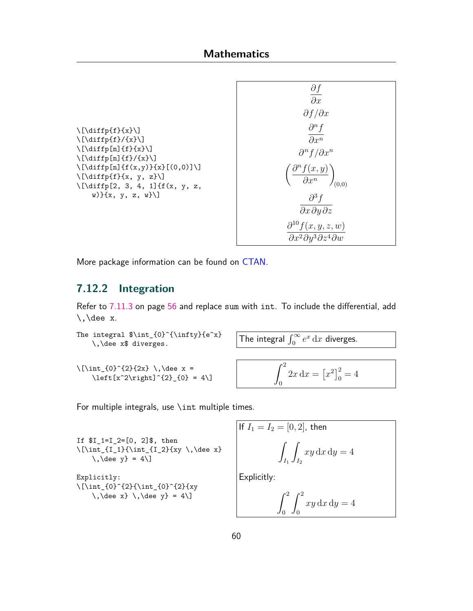```
\left\{\sum_{i=1}^{n}\left[\frac{f}{f}(f)/f(x)\right]\left[\lambda\right]_{f}\{f\}\{x\}\\left[\left(\frac{r}{f}\right)^{x}\right]\{\int \left[ \dim{f(x,y)}{x}\right] (0,0) \right]\left[\left(\text{diff}(f)\{x, y, z\}\right)\right]\[\diffp[2, 3, 4, 1]{f(x, y, z,
      w)}{x, y, z, w}\]
```

$$
\frac{\partial f}{\partial x}
$$
\n
$$
\frac{\partial f}{\partial x}
$$
\n
$$
\frac{\partial^n f}{\partial x^n}
$$
\n
$$
\left(\frac{\partial^n f(x, y)}{\partial x^n}\right)_{(0,0)}
$$
\n
$$
\frac{\partial^3 f}{\partial x \partial y \partial z}
$$
\n
$$
\frac{\partial^{10} f(x, y, z, w)}{\partial x^2 \partial y^3 \partial z^4 \partial w}
$$

More package information can be found on [CTAN](https://ctan.org/pkg/diffcoeff?lang=en).

### **7.12.2 Integration**

Refer to [7.11.3](#page-56-0) on page [56](#page-56-0) and replace sum with int. To include the differential, add  $\backslash$ , dee x.

```
The integral \int_{0}^{\infty}{\infty}{e^x}
    integral \sinh \tan \theta (integral \int_0^\infty e^x dx diverges.
\{\int_{0}^{2}{2x} \, \, \, \, \}\left[\frac{x^2\right)^{2}}{0} = 4\0
                                                           2x dx = [x^2]_0^2 = 4
```
For multiple integrals, use \int multiple times.

```
If $I_1=I_2=[0, 2]$, then
\[\int_{I_1}{\int_{I_2}{xy \setminus \,\,} \ee x}
    \backslash, \dee y} = 4\]
Explicitly:
\[\int_{0}^{2}{\int_{0}^{2}{xy
    \,\lambda\, \, \dee y} = 4\]
```
If 
$$
I_1 = I_2 = [0, 2]
$$
, then  
\n
$$
\int_{I_1} \int_{I_2} xy \, dx \, dy = 4
$$
\nExplicitly:  
\n
$$
\int_1^2 \int_1^2 xy \, dx \, dy = 4
$$

0

0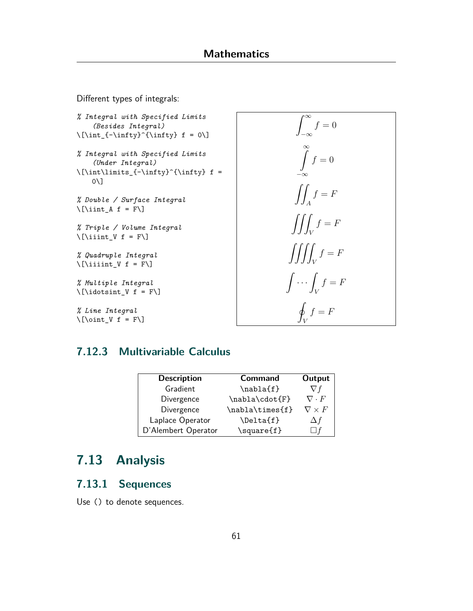Different types of integrals:

```
% Integral with Specified Limits
    (Besides Integral)
\{\int_{-\infty}^{\infty} f = 0\}% Integral with Specified Limits
    (Under Integral)
\{\int\int\limits_{-\infty}^{\infty} f =0\]
% Double / Surface Integral
\lvert \int_A f = F \rvert% Triple / Volume Integral
\left[\right] \left[\right]% Quadruple Integral
\lvert \ [\lvertiiiint_V f = F\lvert]
% Multiple Integral
\[\lambda\] \[\idotsint_V f = F\]% Line Integral
```
Z *<sup>∞</sup> −∞*  $f = 0$  $\int_{0}^{\infty} f = 0$ *−∞*  $\int$ *A*  $f = F$  $\int$ *V*  $f = F$  $\int \int \int$ *V*  $f = F$  $\int \ldots$ *V*  $f = F$  $\overline{a}$ *f* = *F*

*V*

### **7.12.3 Multivariable Calculus**

| <b>Description</b>  | <b>Command</b>  | Output            |
|---------------------|-----------------|-------------------|
| Gradient            | \nabla{f}       | V f               |
| Divergence          | \nabla\cdot{F}  | $\nabla \cdot F$  |
| Divergence          | \nabla\times{f} | $\nabla \times F$ |
| Laplace Operator    | \Delta{f}       | Δf                |
| D'Alembert Operator | \square{f}      |                   |

# **7.13 Analysis**

 $\lvert \cdot \rvert = F \rvert$ 

### **7.13.1 Sequences**

Use () to denote sequences.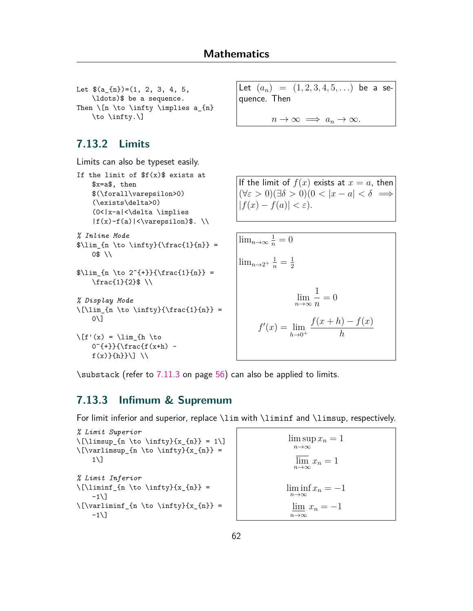```
Let (a_{n})=(1, 2, 3, 4, 5,\ldots)$ be a sequence.
Then \ln \to \in \infty\to \infty.\]
```
### **7.13.2 Limits**

Limits can also be typeset easily.

```
If the limit of f(x) exists at
    $x=a$, then
    $(\forall\varepsilon>0)
    (\exists\delta>0)
    (0<|x-a|<\delta \implies
    |f(x)-f(a)|<\forall x are psilon)$.
% Inline Mode
\lim_{n \to \infty}({\frac{1}{n}} =0$ \\
\lim_{n \to 2^{+}}{\frac{1}{n}} =\frac{1}{2}$ \\
% Display Mode
\lceil\{\right\rceil_{n \to \infty}\{\frac{1}{n}\} =0\]
\left\{f'(x) = \lim_{h \to \infty} f(h) \right\}0^{+}\}{\frac{f(x+h)}{-}f(x)\}(h)\}\
```

```
Let (a_n) = (1, 2, 3, 4, 5, ...) be a se-
quence. Then
```
 $n \to \infty \implies a_n \to \infty$ .

If the limit of  $f(x)$  exists at  $x = a$ , then  $(\forall \varepsilon > 0)(\exists \delta > 0)(0 < |x - a| < \delta \implies$  $|f(x) - f(a)| < \varepsilon$ ).

$$
\lim_{n \to \infty} \frac{1}{n} = 0
$$
  

$$
\lim_{n \to \infty} \frac{1}{n} = \frac{1}{2}
$$
  

$$
\lim_{n \to \infty} \frac{1}{n} = 0
$$
  

$$
f'(x) = \lim_{h \to 0^+} \frac{f(x+h) - f(x)}{h}
$$

\substack (refer to [7.11.3](#page-56-0) on page [56\)](#page-56-0) can also be applied to limits.

### **7.13.3 Infimum & Supremum**

For limit inferior and superior, replace \lim with \liminf and \limsup, respectively.

```
% Limit Superior
\lceil\{\n\cdot n \to \infty\}^{x_{n}} = 1\}\rceil\lceil \frac{m \to \infty}{x_{n}} \rbrace =1\]
% Limit Inferior
\lceil\{\lambda \cdot \in \infty\} \{x_{n}\}\rceil-1<sup>\lceil</sup>
\{\varphi\}_{x_{n}} =-1\\limsup x_n = 1n→∞
                                                                   \overline{\lim}_{n\to\infty} x_n = 1\liminf x_n = -1n→∞
                                                                  \lim x_n = -1n→∞
```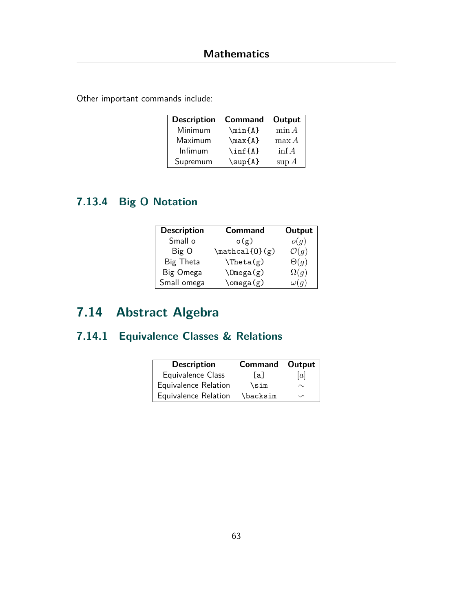Other important commands include:

| <b>Description</b> | <b>Command</b> | Output   |
|--------------------|----------------|----------|
| Minimum            | \min{A}        | $\min A$ |
| Maximum            | $\max{A}$      | $\max A$ |
| Infimum            | $\inf\{A\}$    | $\inf A$ |
| Supremum           | $\sup{A}$      | $\sup A$ |

# **7.13.4 Big O Notation**

| <b>Description</b> | <b>Command</b>   | Output           |
|--------------------|------------------|------------------|
| Small o            | o(g)             | o(g)             |
| Big O              | $\mathcal{O}(g)$ | $\mathcal{O}(q)$ |
| Big Theta          | $\theta(x)$      | $\Theta(q)$      |
| Big Omega          | $\Omega$ (g)     | $\Omega(q)$      |
| Small omega        | $\omega(g)$      | $\omega(q)$      |

# **7.14 Abstract Algebra**

# **7.14.1 Equivalence Classes & Relations**

| <b>Description</b>   | <b>Command Output</b> |        |
|----------------------|-----------------------|--------|
| Equivalence Class    | [a]                   | [a]    |
| Equivalence Relation | \sim                  | $\sim$ |
| Equivalence Relation | \backsim              | $\sim$ |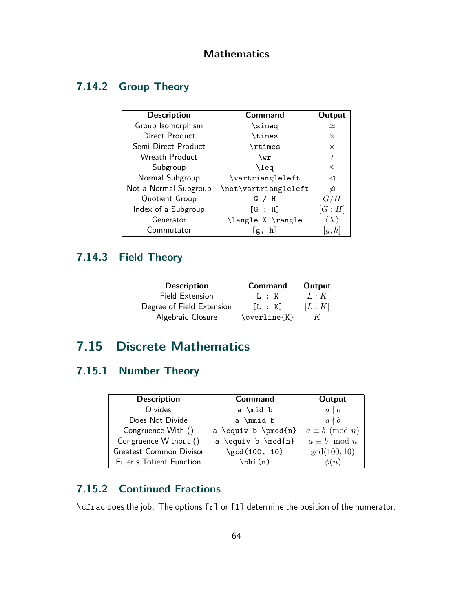## **7.14.2 Group Theory**

| <b>Description</b>    | Command              | Output   |
|-----------------------|----------------------|----------|
| Group Isomorphism     | \simeq               | $\simeq$ |
| Direct Product        | <b>\times</b>        | $\times$ |
| Semi-Direct Product   | \rtimes              | ⋊        |
| Wreath Product        | \wr                  |          |
| Subgroup              | \leq                 | $\leq$   |
| Normal Subgroup       | \vartriangleleft     | ⊲        |
| Not a Normal Subgroup | \not\vartriangleleft | ٰ∢       |
| Quotient Group        | $G \times H$         | G/H      |
| Index of a Subgroup   | [G : H]              | [G:H]    |
| Generator             | \langle X \rangle    |          |
| Commutator            | h<br>Lg,             |          |

## **7.14.3 Field Theory**

| <b>Description</b>        | <b>Command</b>    | Output |
|---------------------------|-------------------|--------|
| Field Extension           | 1. : K            | L:K    |
| Degree of Field Extension | $\mathsf{L}$ : KT | [L:K]  |
| Algebraic Closure         | \overline{K}      |        |

# **7.15 Discrete Mathematics**

## **7.15.1 Number Theory**

| <b>Description</b>       | <b>Command</b>      | Output                |
|--------------------------|---------------------|-----------------------|
| <b>Divides</b>           | a \mid b            | $a \mid b$            |
| Does Not Divide          | a \nmid b           | $a \nmid b$           |
| Congruence With ()       | a \equiv b \pmod{n} | $a \equiv b \pmod{n}$ |
| Congruence Without ()    | a \equiv b \mod{n}  | $a \equiv b \mod n$   |
| Greatest Common Divisor  | $\gcd(100, 10)$     | gcd(100, 10)          |
| Euler's Totient Function | $\phi(n)$           | $\phi(n)$             |

## **7.15.2 Continued Fractions**

\cfrac does the job. The options [r] or [l] determine the position of the numerator.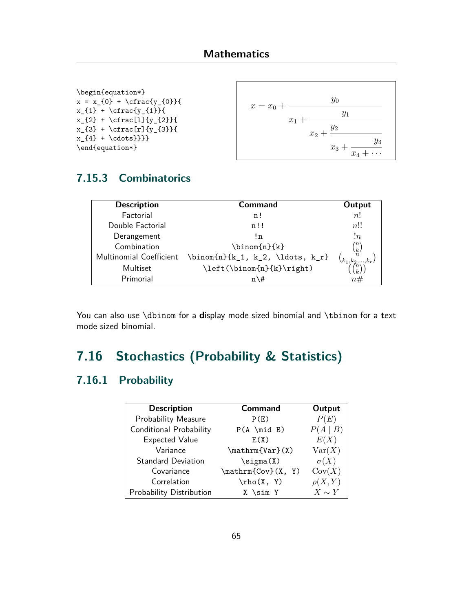\begin{equation\*}  $x = x_{0} + \cfrac{y_{0}}{$  $x_{1} + \cfrac{y_{1}}{1}$  $x_{2} + \cfrac{1}{y_{2}}$  $x_{3} + \cfrac{r}{y_{3}}$  $x_{4} + \cdots$ }}}} \end{equation\*}



## **7.15.3 Combinatorics**

| <b>Description</b>      | Command                            | Output                             |
|-------------------------|------------------------------------|------------------------------------|
| Factorial               | n!                                 | n!                                 |
| Double Factorial        | n!!                                | n!!                                |
| Derangement             | !n                                 | !n                                 |
| Combination             | \binom{n}{k}                       | $\lceil n \rceil$<br>$\frac{k}{n}$ |
| Multinomial Coefficient | $\binom{n}{k_1, k_2, \ldots, k_r}$ | $\langle k_1,k_2,\ldots \rangle$   |
| Multiset                | \left(\binom{n}{k}\right)          |                                    |
| Primorial               | $n \leq 4$                         | n#                                 |

You can also use \dbinom for a **d**isplay mode sized binomial and \tbinom for a **t**ext mode sized binomial.

# **7.16 Stochastics (Probability & Statistics)**

### **7.16.1 Probability**

| <b>Description</b>         | <b>Command</b>     | Output      |
|----------------------------|--------------------|-------------|
| <b>Probability Measure</b> | P(E)               | P(E)        |
| Conditional Probability    | $P(A \mid B)$      | P(A   B)    |
| <b>Expected Value</b>      | E(X)               | E(X)        |
| Variance                   | \mathrm{Var}(X)    | Var(X)      |
| <b>Standard Deviation</b>  | $\sigma(X)$        | $\sigma(X)$ |
| Covariance                 | \mathrm{Cov}(X, Y) | Cov(X)      |
| Correlation                | $\rho(X, Y)$       | $\rho(X,Y)$ |
| Probability Distribution   | X \sim Y           | $X \sim Y$  |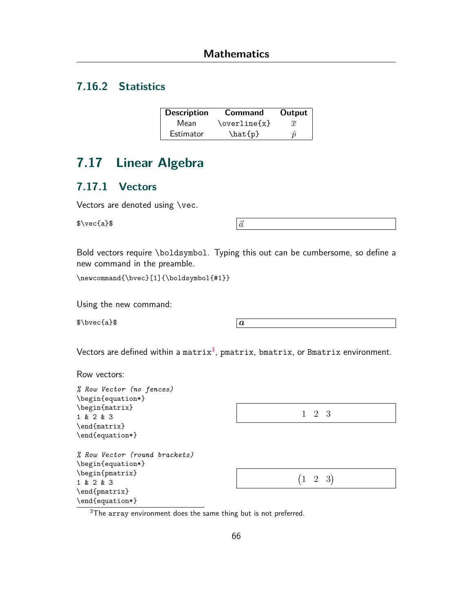## **7.16.2 Statistics**

| <b>Description</b> | Command      | Output    |
|--------------------|--------------|-----------|
| Mean               | \overline{x} | $\bar{x}$ |
| Estimator          | \hat{p}      | п         |

# **7.17 Linear Algebra**

#### <span id="page-66-0"></span>**7.17.1 Vectors**

 $\sqrt{a}$   $\sqrt{a}$ 

Bold vectors require \boldsymbol. Typing this out can be cumbersome, so define a new command in the preamble.

\newcommand{\bvec}[1]{\boldsymbol{#1}}

Using the new command:

 $\bullet$  bvec{a}\$  $\boxed{a}$ 

Vectors are defined within a matrix $^3$ , pmatrix, bmatrix, or Bmatrix environment.

Row vectors:

| % Row Vector (no fences)      |               |
|-------------------------------|---------------|
| \begin{equation*}             |               |
| \begin{matrix}                |               |
| 1 & 2 & 3                     | 1 2 3         |
| \end{matrix}                  |               |
| \end{equation*}               |               |
| % Row Vector (round brackets) |               |
| \begin{equation*}             |               |
| \begin{pmatrix}               |               |
| 1 & 2 & 3                     | $(1 \t2 \t3)$ |
| \end{pmatrix}                 |               |
| \end{equation*}               |               |

<sup>3</sup>The array environment does the same thing but is not preferred.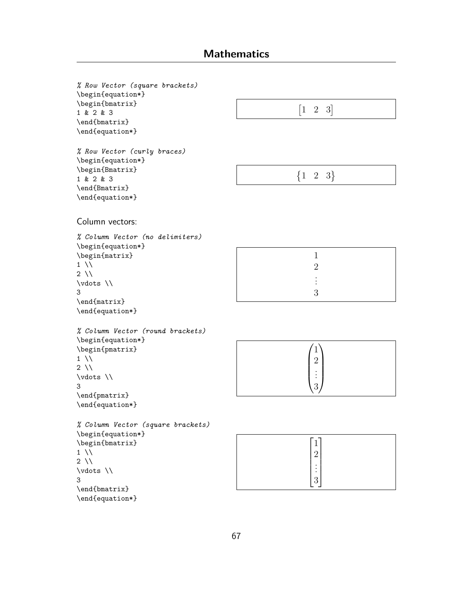## **Mathematics**

*% Row Vector (square brackets)* \begin{equation\*} \begin{bmatrix} 1 & 2 & 3 \end{bmatrix} \end{equation\*}  $\begin{bmatrix} 1 & 2 & 3 \end{bmatrix}$ *% Row Vector (curly braces)* \begin{equation\*} \begin{Bmatrix} 1 & 2 & 3 \end{Bmatrix} \end{equation\*}  ${1 \ 2 \ 3}$ Column vectors: *% Column Vector (no delimiters)* \begin{equation\*} \begin{matrix}  $1 \vee$  $2 \sqrt{ }$ \vdots \\ 3 \end{matrix} \end{equation\*} 1 2 . . . 3 *% Column Vector (round brackets)* \begin{equation\*} \begin{pmatrix}  $1 \vee$  $2 \vee$ \vdots \\ 3 \end{pmatrix} \end{equation\*}  $\sqrt{1}$  $\overline{\phantom{a}}$ 2 . . . 3  $\setminus$  $\Bigg\}$ *% Column Vector (square brackets)* \begin{equation\*} \begin{bmatrix}  $1 \vee$  $2 \sqrt{ }$ \vdots \\ 3 \end{bmatrix} \end{equation\*}  $\lceil 1 \rceil$  2  $\overline{\phantom{a}}$  $\vert$  $\vert 3 \vert$ . . . 1  $\overline{1}$  $\overline{1}$  $\overline{1}$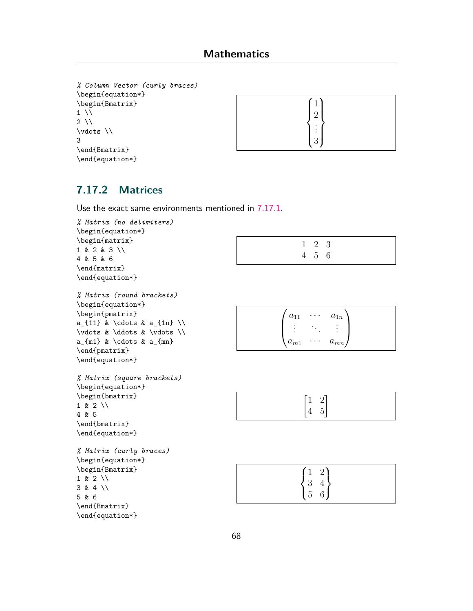```
% Column Vector (curly braces)
\begin{equation*}
\begin{Bmatrix}
1 \vee2 \sqrt{ }\vdots \\
3
\end{Bmatrix}
\end{equation*}
```


### **7.17.2 Matrices**

Use the exact same environments mentioned in [7.17.1](#page-66-0).

```
% Matrix (no delimiters)
\begin{equation*}
\begin{matrix}
1 & 2 & 3 \\
4 & 5 & 6
\end{matrix}
\end{equation*}
                                                                 1 2 3
                                                                 4 5 6
% Matrix (round brackets)
\begin{equation*}
\begin{pmatrix}
a_{11} & \cdots & a_{1n} \\
\vdots & \ddots & \vdots \\
a_{m1} & \cdots & a_{mn}
\end{pmatrix}
\end{equation*}
                                                           \sqrt{ }\left\{ \right.a_{11} \cdots a_{1n}.
.
.
                                                                    .
.
.
                                                                           .
.
.
                                                             a_{m1} \cdots a_{mn}\setminus\Big\}% Matrix (square brackets)
\begin{equation*}
\begin{bmatrix}
1 & 2 \\
4 & 5
\end{bmatrix}
\end{equation*}
                                                                  \lceil 1 \rceil2]
                                                                   4 5
% Matrix (curly braces)
\begin{equation*}
\begin{Bmatrix}
1 & 2 \\
3 & 4 \\
5 & 6
\end{Bmatrix}
\end{equation*}
                                                                 \sqrt{ }\sqrt{3}\mathbf 51 \quad 23\quad 45 6
```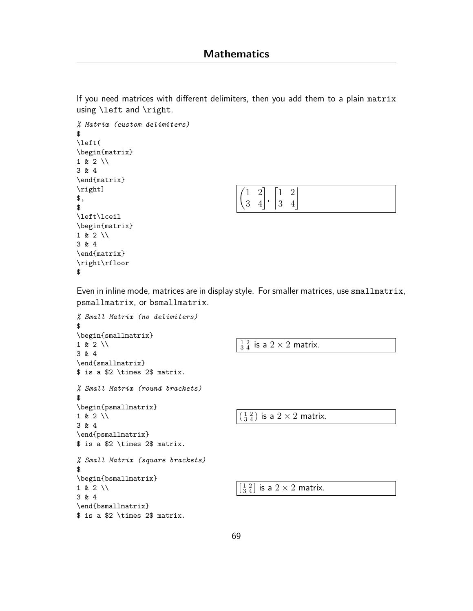If you need matrices with different delimiters, then you add them to a plain matrix using \left and \right.

```
% Matrix (custom delimiters)
$
\left(
\begin{matrix}
1 & 2 \\
3 & 4
\end{matrix}
\right]
$,
$
\left\lceil
\begin{matrix}
1 & 2 \\
3 & 4
\end{matrix}
\right\rfloor
$
```

| $(1 \t2 \t1 \t1 \t2)$                     |  |  |  |
|-------------------------------------------|--|--|--|
| $\begin{vmatrix} 3 & 4 \end{vmatrix}$   3 |  |  |  |

Even in inline mode, matrices are in display style. For smaller matrices, use smallmatrix, psmallmatrix, or bsmallmatrix.

```
% Small Matrix (no delimiters)
$
\begin{smallmatrix}
1 & 2 \\
3 & 4
\end{smallmatrix}
$ is a $2 \times 2$ matrix.
                                                    \frac{1}{3}\frac{2}{4} is a 2\times 2 matrix.
% Small Matrix (round brackets)
$
\begin{psmallmatrix}
1 & 2 \\
3 & 4
\end{psmallmatrix}
$ is a $2 \times 2$ matrix.
                                                   \left(\frac{1}{3}\frac{2}{4}\right) is a 2\times 2 matrix.
% Small Matrix (square brackets)
$
\begin{bsmallmatrix}
1 & 2 \\
3 & 4
\end{bsmallmatrix}
$ is a $2 \times 2$ matrix.
                                                   \left[\frac{1}{3} \frac{2}{4}\right] is a 2 \times 2 matrix.
```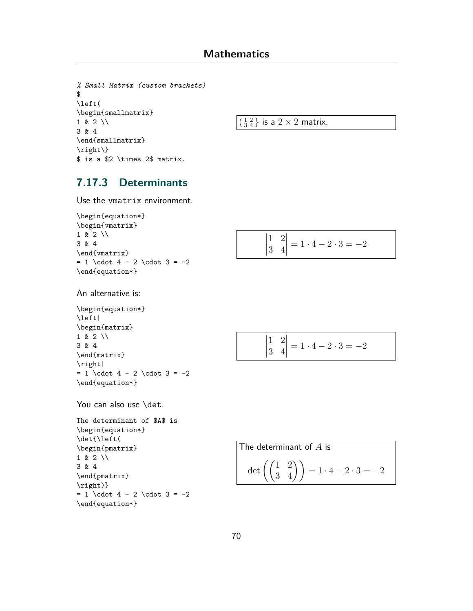```
% Small Matrix (custom brackets)
$
\left(
\begin{smallmatrix}
1 \& 2 \ \backslash \backslash3 & 4
\end{smallmatrix}
\right\}
$ is a $2 \times 2$ matrix.
```
 $\left(\frac{1}{3}\frac{2}{4}\right)$  is a  $2 \times 2$  matrix.

#### **7.17.3 Determinants**

Use the vmatrix environment.

```
\begin{equation*}
\begin{vmatrix}
1 & 2 \\
3 & 4
\end{vmatrix}
= 1 \cdot 4 - 2 \cdot 3 = -2\end{equation*}
```

$$
\begin{vmatrix} 1 & 2 \\ 3 & 4 \end{vmatrix} = 1 \cdot 4 - 2 \cdot 3 = -2
$$

An alternative is:

```
\begin{equation*}
\left|
\begin{matrix}
1 & 2 \\
3 & 4
\end{matrix}
\right|
= 1 \cdot 4 - 2 \cdot 3 = -2\end{equation*}
```
You can also use \det.

```
The determinant of $A$ is
\begin{equation*}
\det{\left(
\begin{pmatrix}
1 & 2 \\
3 & 4
\end{pmatrix}
\right)}
= 1 \cdot 4 - 2 \cdot 3 = -2\end{equation*}
```

$$
\begin{vmatrix} 1 & 2 \\ 3 & 4 \end{vmatrix} = 1 \cdot 4 - 2 \cdot 3 = -2
$$

The determinant of A is  
\n
$$
\det \left( \begin{pmatrix} 1 & 2 \\ 3 & 4 \end{pmatrix} \right) = 1 \cdot 4 - 2 \cdot 3 = -2
$$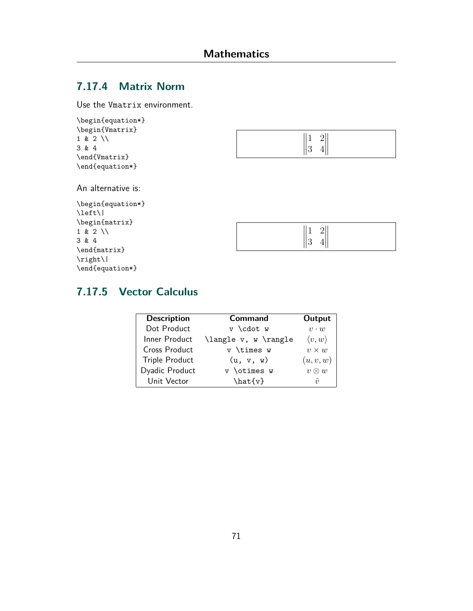## **7.17.4 Matrix Norm**

Use the Vmatrix environment.

```
\begin{equation*}
\begin{Vmatrix}
1 \& 2 \vee3 & 4
\end{Vmatrix}
\end{equation*}
```


An alternative is:

| \begin{equation*} |  |  |  |  |
|-------------------|--|--|--|--|
| \left\            |  |  |  |  |
| \begin{matrix}    |  |  |  |  |
| $1 & 2 \ \ \ 1$   |  |  |  |  |
| 3 & 4             |  |  |  |  |
| \end{matrix}      |  |  |  |  |
| $\right $         |  |  |  |  |
| \end{equation*}   |  |  |  |  |

|--|

## **7.17.5 Vector Calculus**

| <b>Description</b>    | Command              | Output                 |
|-----------------------|----------------------|------------------------|
| Dot Product           | v \cdot w            | $v \cdot w$            |
| Inner Product         | \langle v, w \rangle | $\langle v, w \rangle$ |
| Cross Product         | $v$ \times $w$       | $v \times w$           |
| <b>Triple Product</b> | (u, v, w)            | (u, v, w)              |
| Dyadic Product        | v \otimes w          | $v \otimes w$          |
| Unit Vector           | $\hat{v}$            | $\hat{\mathbf{v}}$     |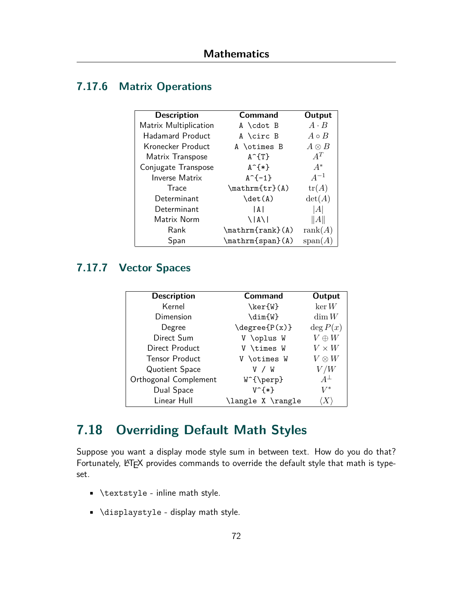## <span id="page-72-0"></span>**7.17.6 Matrix Operations**

| <b>Description</b>      | Command                     | Output           |
|-------------------------|-----------------------------|------------------|
| Matrix Multiplication   | $A \cdot A$                 | $A \cdot B$      |
| <b>Hadamard Product</b> | A \circ B                   | $A \circ B$      |
| Kronecker Product       | A \otimes B                 | $A \otimes B$    |
| Matrix Transpose        | $A^T$ $T$ }                 | $A^T$            |
| Conjugate Transpose     | $A^{\frown}$ {*}            | $A^*$            |
| <b>Inverse Matrix</b>   | $A^{-}(-1)$                 | $A^{-1}$         |
| Trace                   | $\mathfrak{tr}(A)$          | tr(A)            |
| Determinant             | $\det(A)$                   | $\det(A)$        |
| Determinant             | l A l                       | A                |
| Matrix Norm             | $\setminus$   A $\setminus$ | $\ A\ $          |
| Rank                    | $\mathcal{m}$ {rank} $(A)$  | rank(A)          |
| Span                    | \mathrm{span}(A)            | $\text{span}(A)$ |

### **7.17.7 Vector Spaces**

| <b>Description</b>    | <b>Command</b>            | Output       |
|-----------------------|---------------------------|--------------|
| Kernel                | $\ker\{\mathtt{W}\}$      | $\ker W$     |
| Dimension             | $\dim\{W\}$               | $\dim W$     |
| Degree                | $\degree$ \degree {P(x) } | $\deg P(x)$  |
| Direct Sum            | V \oplus W                | $V \oplus W$ |
| Direct Product        | V \times W                | $V \times W$ |
| <b>Tensor Product</b> | V \otimes W               | $V\otimes W$ |
| Quotient Space        | v / W                     | V/W          |
| Orthogonal Complement | $W^{\text{perp}}$         | $A^{\perp}$  |
| Dual Space            | $V^{\frown}$              | $V^*$        |
| Linear Hull           | \langle X \rangle         |              |

# **7.18 Overriding Default Math Styles**

Suppose you want a display mode style sum in between text. How do you do that? Fortunately, LATEX provides commands to override the default style that math is typeset.

- \textstyle inline math style.
- \displaystyle display math style.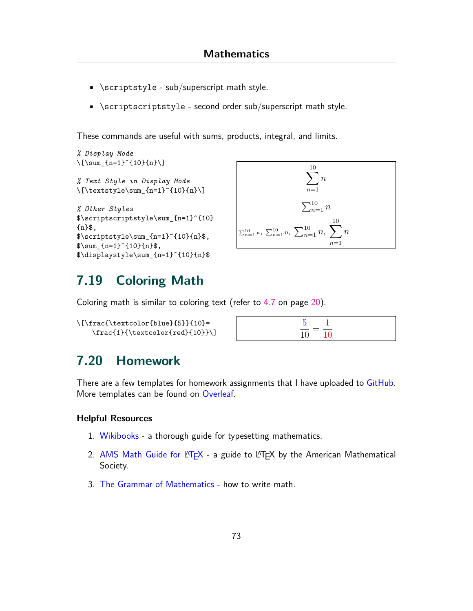- <span id="page-73-0"></span> $\bullet$  \scriptstyle - sub/superscript math style.
- \scriptscriptstyle second order sub/superscript math style.

These commands are useful with sums, products, integral, and limits.

```
% Display Mode
\[\sum_{n=1}^{n-1} (10)\{n\}]% Text Style in Display Mode
\{\text{textstyle}\sum_{n=1}^{10}{n}\}\% Other Styles
$\scriptscriptstyle\sum_{n=1}^{10}
{n}$,
\scriptstyle\rm{m=1}^{10}{n}$,
\sum_{n=1}^{(10)}{n}$,
$\displaystyle\sum_{n=1}^{10}{n}$
```


## **7.19 Coloring Math**

Coloring math is similar to coloring text (refer to [4.7](#page-20-0) on page [20\)](#page-20-0).

| \[\frac{\textcolor{blue}{5}}{10}= |  |
|-----------------------------------|--|
| $\frac{1}{\text{red}+10}}$        |  |

## **7.20 Homework**

There are a few templates for homework assignments that I have uploaded to [GitHub.](https://github.com/Prabhav10/LaTeX) More templates can be found on [Overleaf](https://www.overleaf.com/gallery/tagged/homework).

#### **Helpful Resources**

- 1. [Wikibooks](https://en.wikibooks.org/wiki/LaTeX/Mathematics) a thorough guide for typesetting mathematics.
- 2. AMS Math Guide for  $\biguplus X$  a guide to  $\biguplus X$  by the American Mathematical Society.
- 3. [The Grammar of Mathematics](https://faculty.math.illinois.edu/~west/grammar.html) how to write math.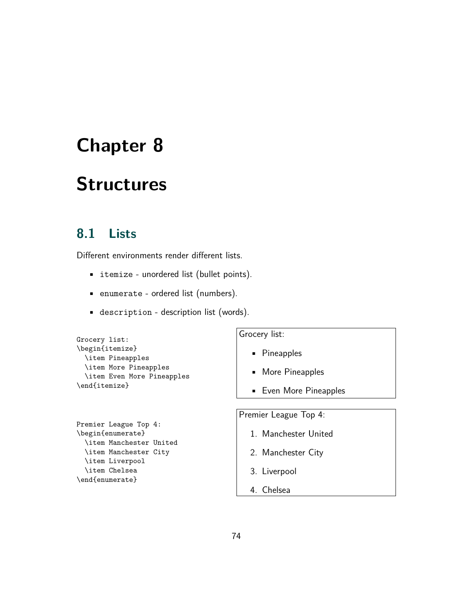# **Structures**

## **8.1 Lists**

Different environments render different lists.

- itemize unordered list (bullet points).
- enumerate ordered list (numbers).
- description description list (words).

| Grocery list:         |  |                            |
|-----------------------|--|----------------------------|
| \begin{itemize}       |  |                            |
| \item Pineapples      |  |                            |
| \item More Pineapples |  |                            |
|                       |  | \item Even More Pineapples |
| \end{itemize}         |  |                            |

```
Premier League Top 4:
\begin{enumerate}
  \item Manchester United
  \item Manchester City
  \item Liverpool
  \item Chelsea
\end{enumerate}
```
Grocery list:

- Pineapples
- More Pineapples
- Even More Pineapples

Premier League Top 4:

- 1. Manchester United
- 2. Manchester City
- 3. Liverpool
- 4. Chelsea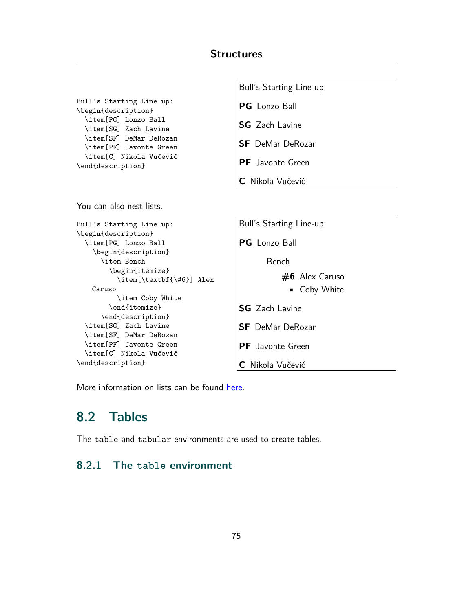Bull's Starting Line-up:

```
Bull's Starting Line-up:
\begin{description}
  \item[PG] Lonzo Ball
  \item[SG] Zach Lavine
  \item[SF] DeMar DeRozan
  \item[PF] Javonte Green
  \item[C] Nikola Vučević
\end{description}
                                        PG Lonzo Ball
                                        SG Zach Lavine
                                        SF DeMar DeRozan
                                        PF Javonte Green
                                        C Nikola Vučević
You can also nest lists.
Bull's Starting Line-up:
\begin{description}
  \item[PG] Lonzo Ball
    \begin{description}
      \item Bench
        \begin{itemize}
          \item[\textbf{\#6}] Alex
    Caruso
          \item Coby White
        \end{itemize}
      \end{description}
  \item[SG] Zach Lavine
  \item[SF] DeMar DeRozan
  \item[PF] Javonte Green
  \item[C] Nikola Vučević
\end{description}
                                        Bull's Starting Line-up:
                                        PG Lonzo Ball
                                               Bench
                                                  #6 Alex Caruso
                                                    • Coby White
                                        SG Zach Lavine
                                        SF DeMar DeRozan
                                        PF Javonte Green
                                        C Nikola Vučević
```
More information on lists can be found [here.](https://www.overleaf.com/learn/latex/Lists)

## **8.2 Tables**

The table and tabular environments are used to create tables.

#### **8.2.1 The table environment**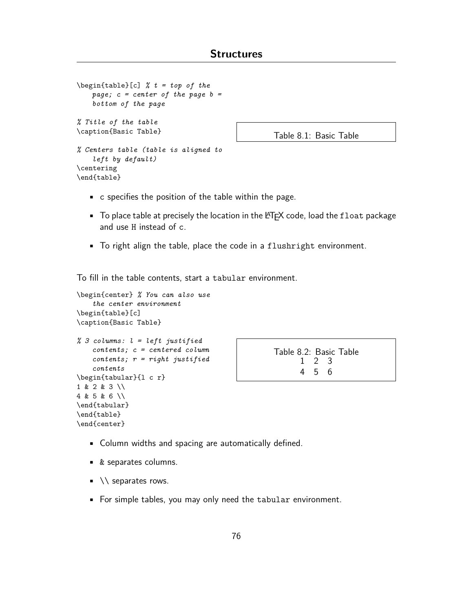```
\begin{table}[c] % t = top of the
   page; c = center of the page b =
   bottom of the page
% Title of the table
\caption{Basic Table}
% Centers table (table is aligned to
    left by default)
\centering
\end{table}
```
Table 8.1: Basic Table

- c specifies the position of the table within the page.
- $\blacksquare$  To place table at precisely the location in the LATEX code, load the float package and use H instead of c.
- To right align the table, place the code in a flushright environment.

To fill in the table contents, start a tabular environment.

```
\begin{center} % You can also use
    the center environment
\begin{table}[c]
\caption{Basic Table}
% 3 columns: l = left justified
    contents; c = centered column
    contents; r = right justified
    contents
\begin{tabular}{l c r}
1 & 2 & 3 \\
4 & 5 & 6 \\
\end{tabular}
\end{table}
\end{center}
```

| Table 8.2: Basic Table |       |  |  |
|------------------------|-------|--|--|
|                        | 1 2 3 |  |  |
|                        | 456   |  |  |

- Column widths and spacing are automatically defined.
- & separates columns.
- $\blacksquare$  \\ separates rows.
- For simple tables, you may only need the tabular environment.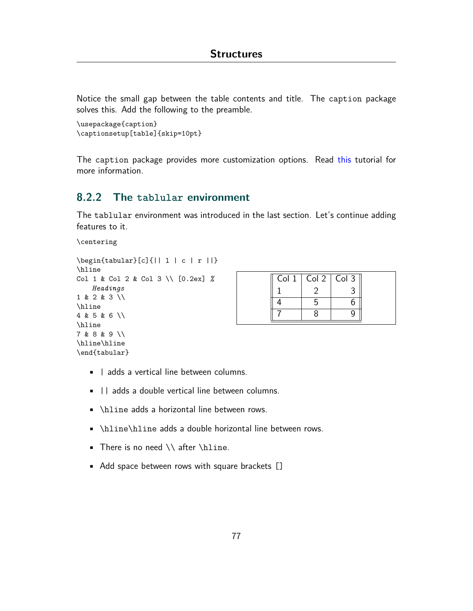<span id="page-77-0"></span>Notice the small gap between the table contents and title. The caption package solves this. Add the following to the preamble.

```
\usepackage{caption}
\captionsetup[table]{skip=10pt}
```
The caption package provides more customization options. Read [this](http://www.peteryu.ca/tutorials/publishing/latex_captions) tutorial for more information.

### **8.2.2 The tablular environment**

The tablular environment was introduced in the last section. Let's continue adding features to it.

\centering

```
\begin{tabular}[c]{|| l | c | r ||}
\hline
Col 1 & Col 2 & Col 3 \\ [0.2ex] %
   Headings
1 & 2 & 3 \\
\hline
4 & 5 & 6 \\
\hline
7 & 8 & 9 \\
\hline\hline
\end{tabular}
```

|  | Col $1 \mid$ Col $2 \mid$ Col 3 |  |
|--|---------------------------------|--|
|  |                                 |  |
|  |                                 |  |
|  |                                 |  |

- | adds a vertical line between columns.
- || adds a double vertical line between columns.
- \hline adds a horizontal line between rows.
- \hline\hline adds a double horizontal line between rows.
- There is no need \\ after \hline.
- Add space between rows with square brackets []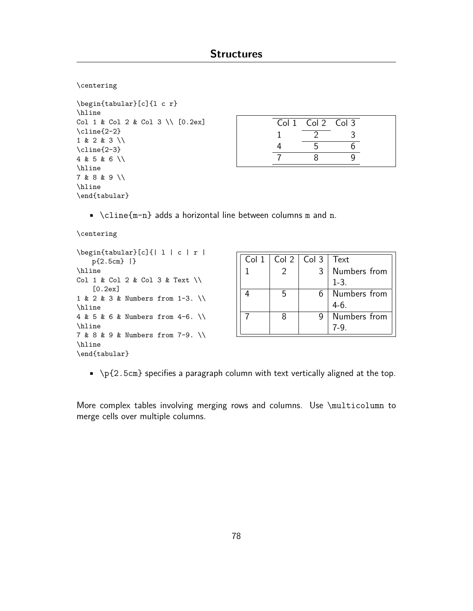```
\centering
```

```
\begin{tabular}[c]{l c r}
\hline
Col 1 & Col 2 & Col 3 \\ [0.2ex]
\cline{2-2}
1 & 2 & 3 \\
\cline{2-3}
4 & 5 & 6 \\
\hline
7 & 8 & 9 \\
\hline
\end{tabular}
```

| Col 1 Col 2 Col 3 |  |
|-------------------|--|
|                   |  |
|                   |  |
|                   |  |

• \cline{m-n} adds a horizontal line between columns m and n.

```
\centering
```

| $\begin{bmatrix} \begin{bmatrix} \begin{bmatrix} \end{bmatrix} & \begin{bmatrix} \end{bmatrix} & \begin{bmatrix} \end{bmatrix} & \begin{bmatrix} \end{bmatrix} & \begin{bmatrix} \end{bmatrix} & \begin{bmatrix} \end{bmatrix} & \begin{bmatrix} \end{bmatrix} & \begin{bmatrix} \end{bmatrix} & \begin{bmatrix} \end{bmatrix} & \begin{bmatrix} \end{bmatrix} & \begin{bmatrix} \end{bmatrix} & \begin{bmatrix} \end{bmatrix} & \begin{bmatrix} \end{bmatrix} & \begin{bmatrix} \end{bmatrix} & \begin{bmatrix} \end{bmatrix} & \begin{bmatrix} \end{bmatrix} &$ |
|-------------------------------------------------------------------------------------------------------------------------------------------------------------------------------------------------------------------------------------------------------------------------------------------------------------------------------------------------------------------------------------------------------------------------------------------------------------------------------------------------------------------------------------------------------------------|
| $p{2.5cm}$  }                                                                                                                                                                                                                                                                                                                                                                                                                                                                                                                                                     |
| \hline                                                                                                                                                                                                                                                                                                                                                                                                                                                                                                                                                            |
| Col 1 & Col 2 & Col 3 & Text \\                                                                                                                                                                                                                                                                                                                                                                                                                                                                                                                                   |
| [0.2ex]                                                                                                                                                                                                                                                                                                                                                                                                                                                                                                                                                           |
| 1 & 2 & 3 & Numbers from 1-3. \\                                                                                                                                                                                                                                                                                                                                                                                                                                                                                                                                  |
| \hline                                                                                                                                                                                                                                                                                                                                                                                                                                                                                                                                                            |
| 4 & 5 & 6 & Numbers from 4-6. \\                                                                                                                                                                                                                                                                                                                                                                                                                                                                                                                                  |
| \hline                                                                                                                                                                                                                                                                                                                                                                                                                                                                                                                                                            |
| 7 & 8 & 9 & Numbers from 7-9. \\                                                                                                                                                                                                                                                                                                                                                                                                                                                                                                                                  |
| \hline                                                                                                                                                                                                                                                                                                                                                                                                                                                                                                                                                            |
| \end{tabular}                                                                                                                                                                                                                                                                                                                                                                                                                                                                                                                                                     |

| Col 1   Col 2   Col 3   Text |   |              |
|------------------------------|---|--------------|
|                              | 3 | Numbers from |
|                              |   | $1 - 3$ .    |
| 5                            | 6 | Numbers from |
|                              |   | $4-6.$       |
|                              |   | Numbers from |
|                              |   |              |

 $\blacktriangleright$   $\{2.5cm\}$  specifies a paragraph column with text vertically aligned at the top.

More complex tables involving merging rows and columns. Use \multicolumn to merge cells over multiple columns.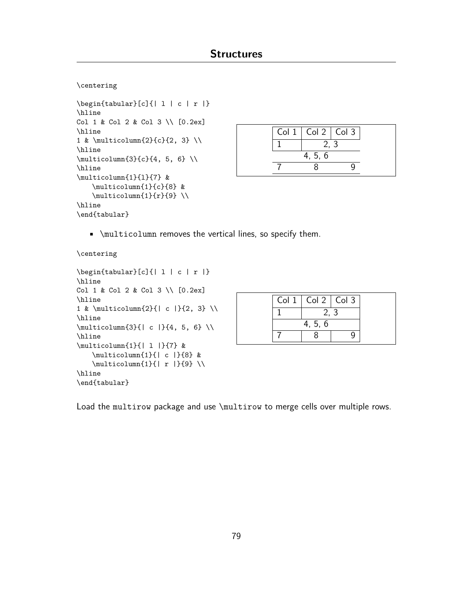```
\centering
```

```
\begin{tabular}[c]{| l | c | r |}
\hline
Col 1 & Col 2 & Col 3 \\ [0.2ex]
\hline
1 & \multicolumn{2}{c}{2, 3} \\
\hline
\multicolumn{3}{c}{4, 5, 6} \\
\hline
\multicolumn{1}{l}{7} &
    \multicolumn{1}{c}{8} &
    \multicolumn{1}{r}{9} \\
\hline
\end{tabular}
```


• \multicolumn removes the vertical lines, so specify them.

```
\centering
```

```
\begin{tabular}[c]{| l | c | r |}
\hline
Col 1 & Col 2 & Col 3 \\ [0.2ex]
\hline
1 & \multicolumn{2}{| c |}{2, 3} \\
\hline
\multicolumn{3}{| c |}{4, 5, 6} \\
\hline
\multicolumn{1}{| l |}{7} &
    \multicolumn{1}{| c |}{8} &
    \multicolumn{1}{| r |}{9} \\
\hline
\end{tabular}
```

| Col $1 \mid$ Col $2 \mid$ Col 3 |  |  |  |  |
|---------------------------------|--|--|--|--|
| 2, 3                            |  |  |  |  |
| 4, 5, 6                         |  |  |  |  |
|                                 |  |  |  |  |

Load the multirow package and use \multirow to merge cells over multiple rows.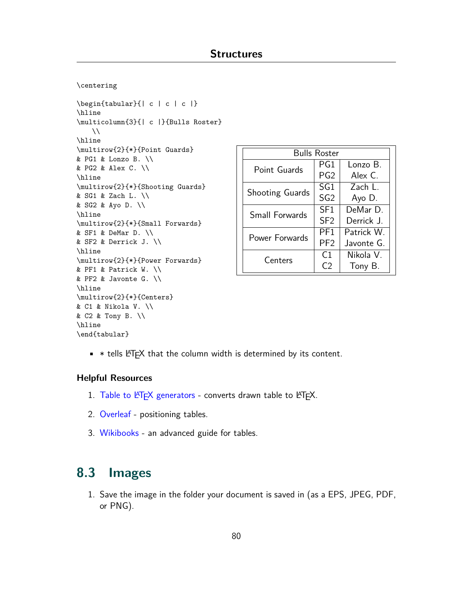```
\centering
```

```
\begin{tabular}{| c | c | c |}
\hline
\multicolumn{3}{| c |}{Bulls Roster}
    \lambda\lambda\hline
\multirow{2}{*}{Point Guards}
& PG1 & Lonzo B. \setminus& PG2 & Alex C. \\
\hline
\multirow{2}{*}{Shooting Guards}
& SG1 & Zach L. \\
& SG2 & Ayo D. \\
\hline
\multirow{2}{*}{Small Forwards}
& SF1 & DeMar D. \\
& SF2 & Derrick J. \\
\hline
\multirow{2}{*}{Power Forwards}
& PF1 & Patrick W. \\
& PF2 & Javonte G. \setminus\hline
\multirow{2}{*}{Centers}
& C1 & Nikola V. \\
& C2 & Tony B. \\
\hline
\end{tabular}
```

| <b>Bulls Roster</b>    |                 |            |  |  |
|------------------------|-----------------|------------|--|--|
| Point Guards           | PG1             | Lonzo B.   |  |  |
|                        | PG <sub>2</sub> | Alex C     |  |  |
|                        | SG1             | Zach L     |  |  |
| <b>Shooting Guards</b> | SG <sub>2</sub> | Ayo D.     |  |  |
| Small Forwards         | SF <sub>1</sub> | DeMar D    |  |  |
|                        | SF <sub>2</sub> | Derrick I  |  |  |
| Power Forwards         | PF <sub>1</sub> | Patrick W  |  |  |
|                        | PF <sub>2</sub> | Javonte G. |  |  |
|                        | C <sub>1</sub>  | Nikola V.  |  |  |
| Centers                | C2              | Tony B.    |  |  |

 $*$  tells LATEX that the column width is determined by its content.

#### **Helpful Resources**

- 1. Table to LA[TEX generators](https://www.tablesgenerator.com) converts drawn table to LATEX.
- 2. [Overleaf](https://www.overleaf.com/learn/latex/Positioning_images_and_tables#Basic_positioning_2) positioning tables.
- 3. [Wikibooks](https://en.wikibooks.org/wiki/LaTeX/Tables) an advanced guide for tables.

## **8.3 Images**

1. Save the image in the folder your document is saved in (as a EPS, JPEG, PDF, or PNG).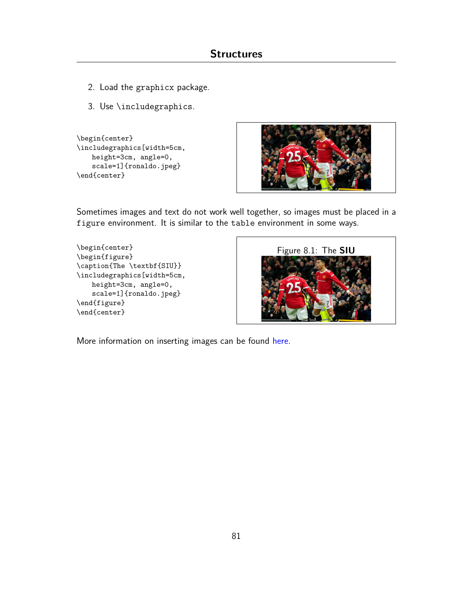- <span id="page-81-0"></span>2. Load the graphicx package.
- 3. Use \includegraphics.

```
\begin{center}
\includegraphics[width=5cm,
   height=3cm, angle=0,
   scale=1]{ronaldo.jpeg}
\end{center}
```


Sometimes images and text do not work well together, so images must be placed in a figure environment. It is similar to the table environment in some ways.

```
\begin{center}
\begin{figure}
\caption{The \textbf{SIU}}
\includegraphics[width=5cm,
   height=3cm, angle=0,
   scale=1]{ronaldo.jpeg}
\end{figure}
\end{center}
```


More information on inserting images can be found [here](https://www.overleaf.com/learn/latex/Inserting_Images).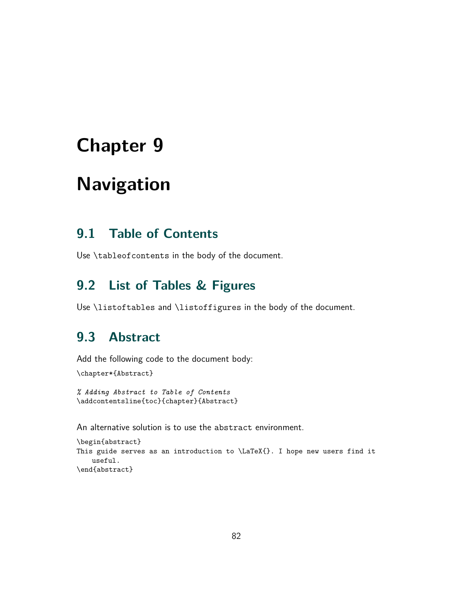# <span id="page-82-0"></span>**Navigation**

## **9.1 Table of Contents**

Use \tableofcontents in the body of the document.

## **9.2 List of Tables & Figures**

Use \listoftables and \listoffigures in the body of the document.

## **9.3 Abstract**

Add the following code to the document body:

\chapter\*{Abstract}

*% Adding Abstract to Table of Contents* \addcontentsline{toc}{chapter}{Abstract}

An alternative solution is to use the abstract environment.

```
\begin{abstract}
This guide serves as an introduction to \LaTeX{}. I hope new users find it
    useful.
\end{abstract}
```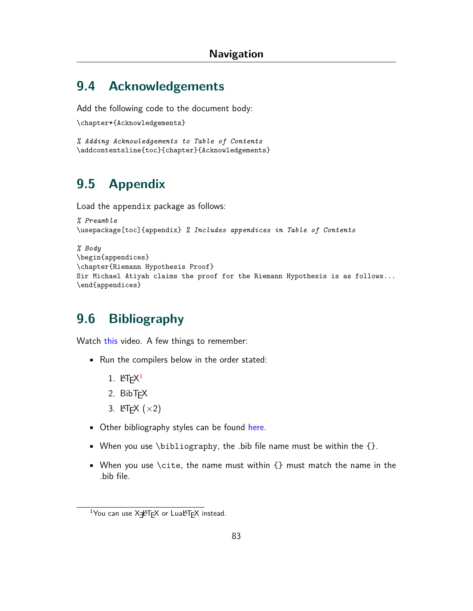## <span id="page-83-1"></span>**9.4 Acknowledgements**

Add the following code to the document body:

```
\chapter*{Acknowledgements}
```

```
% Adding Acknowledgements to Table of Contents
\addcontentsline{toc}{chapter}{Acknowledgements}
```
## **9.5 Appendix**

Load the appendix package as follows:

```
% Preamble
\usepackage[toc]{appendix} % Includes appendices in Table of Contents
```

```
% Body
\begin{appendices}
\chapter{Riemann Hypothesis Proof}
Sir Michael Atiyah claims the proof for the Riemann Hypothesis is as follows...
\end{appendices}
```
## <span id="page-83-0"></span>**9.6 Bibliography**

Watch [this](https://www.youtube.com/watch?v=KS9GvK7cvmo) video. A few things to remember:

- Run the compilers below in the order stated:
	- 1. LAT $E^{X^1}$
	- 2. BibT<sub>F</sub>X
	- 3. LATEX (*×*2)
- Other bibliography styles can be found [here.](https://www.overleaf.com/learn/latex/Bibtex_bibliography_styles#Table_of_stylename_values)
- When you use \bibliography, the .bib file name must be within the  $\{\}$ .
- When you use \cite, the name must within  $\{\}$  must match the name in the .bib file.

<sup>&</sup>lt;sup>1</sup>You can use X=FTFX or LuaLTFX instead.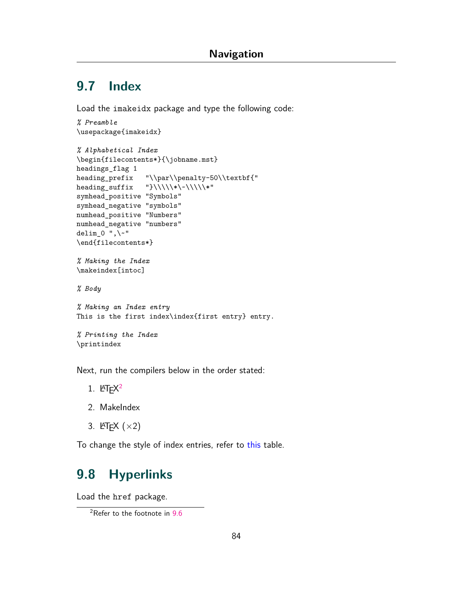## **9.7 Index**

Load the imakeidx package and type the following code:

```
% Preamble
\usepackage{imakeidx}
```

```
% Alphabetical Index
\begin{filecontents*}{\jobname.mst}
headings_flag 1
heading_prefix "\\par\\penalty-50\\textbf{"
heading_suffix "\} \\\backslash \{\{\{\{\{\{\}\}\}\}^*\}symhead_positive "Symbols"
symhead_negative "symbols"
numhead_positive "Numbers"
numhead_negative "numbers"
delim_0 ", \"
\end{filecontents*}
% Making the Index
\makeindex[intoc]
% Body
% Making an Index entry
```

```
This is the first index\index{first entry} entry.
```

```
% Printing the Index
\printindex
```
Next, run the compilers below in the order stated:

- 1. LAT $E^{2}$
- 2. MakeIndex
- 3. LATEX (*×*2)

To change the style of index entries, refer to [this](https://en.wikibooks.org/wiki/LaTeX/Indexing#Sophisticated_indexing) table.

## **9.8 Hyperlinks**

Load the href package.

<sup>2</sup>Refer to the footnote in [9.6](#page-83-0)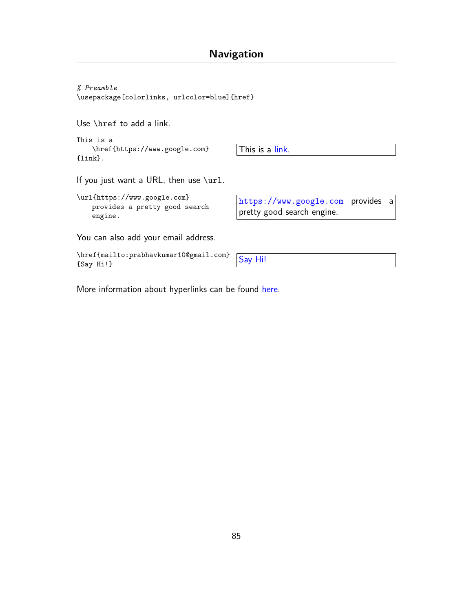<span id="page-85-0"></span>*% Preamble* \usepackage[colorlinks, urlcolor=blue]{href}

Use \href to add a link.

This is a \href{https://www.google.com} {link}.

This is a [link](https://www.google.com).

If you just want a URL, then use \url.

\url{https://www.google.com} provides a pretty good search engine.

You can also add your email address.

\href{mailto:prabhavkumar10@gmail.com}<br>{[Say Hi!](mailto:prabhavkumar10@gmail.com)} Say Hi!}

<https://www.google.com> provides a pretty good search engine.

More information about hyperlinks can be found [here.](https://www.overleaf.com/learn/latex/Hyperlinks)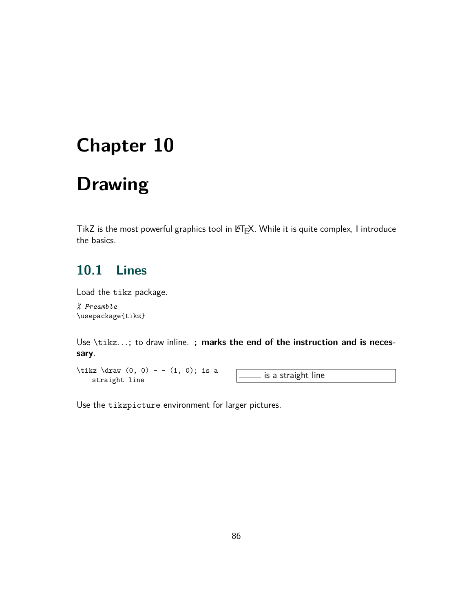# <span id="page-86-0"></span>**Drawing**

TikZ is the most powerful graphics tool in LATEX. While it is quite complex, I introduce the basics.

## **10.1 Lines**

Load the tikz package.

*% Preamble* \usepackage{tikz}

Use \tikz*. . .*; to draw inline. **; marks the end of the instruction and is necessary**.

 $\text{tikz } \draw (0, 0) - - (1, 0); \text{ is a}$ straight line  $\frac{1}{1}$ ,  $\frac{1}{2}$ ,  $\frac{1}{2}$  is a straight line

Use the tikzpicture environment for larger pictures.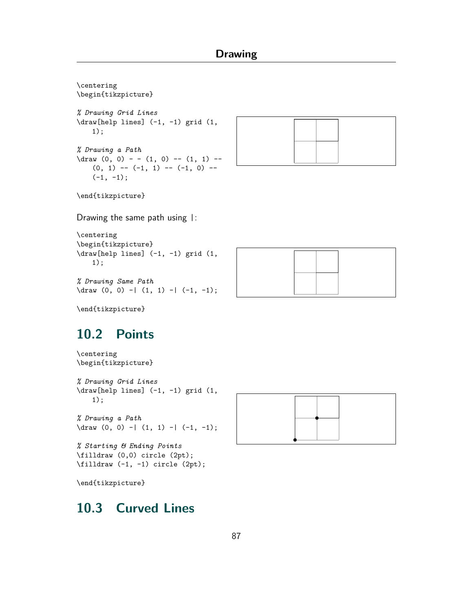

```
% Drawing a Path
\dagger \dagger (0, 0) -| (1, 1) -| (-1, -1);
```
*% Starting & Ending Points* \filldraw (0,0) circle (2pt);

\filldraw (-1, -1) circle (2pt);

\end{tikzpicture}

## **10.3 Curved Lines**

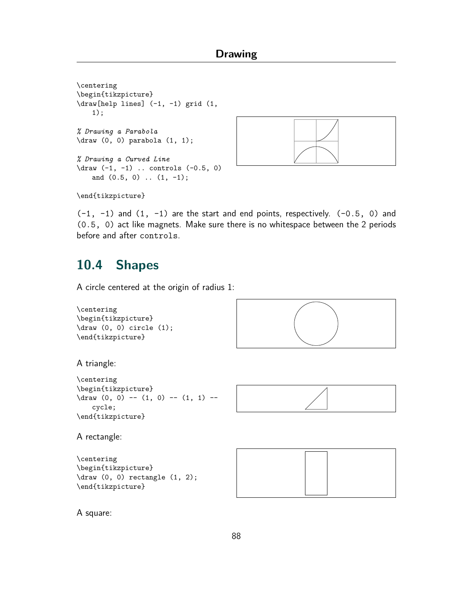<span id="page-88-0"></span>\centering \begin{tikzpicture} \draw[help lines] (-1, -1) grid (1, 1); *% Drawing a Parabola* \draw (0, 0) parabola (1, 1); *% Drawing a Curved Line*  $\d$ raw  $(-1, -1)$  .. controls  $(-0.5, 0)$ and (0.5, 0) .. (1, -1);



\end{tikzpicture}

 $(-1, -1)$  and  $(1, -1)$  are the start and end points, respectively.  $(-0.5, 0)$  and (0.5, 0) act like magnets. Make sure there is no whitespace between the 2 periods before and after controls.

## **10.4 Shapes**

A circle centered at the origin of radius 1:

```
\centering
\begin{tikzpicture}
\draw (0, 0) circle (1);
\end{tikzpicture}
```


A triangle:

```
\centering
\begin{tikzpicture}
\dagger \dagger (0, 0) -- (1, 0) -- (1, 1) --
    cycle;
\end{tikzpicture}
```


A rectangle:

```
\centering
\begin{tikzpicture}
\draw (0, 0) rectangle (1, 2);
\end{tikzpicture}
```


A square: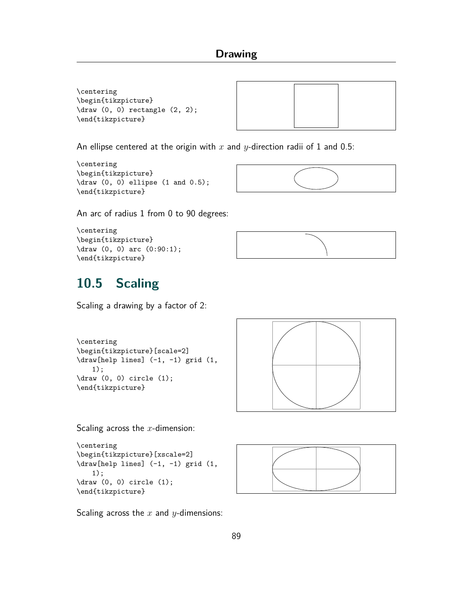<span id="page-89-0"></span>\centering \begin{tikzpicture} \draw (0, 0) rectangle (2, 2); \end{tikzpicture}



An ellipse centered at the origin with *x* and *y*-direction radii of 1 and 0.5:

```
\centering
\begin{tikzpicture}
\draw (0, 0) ellipse (1 and 0.5);
\end{tikzpicture}
```


An arc of radius 1 from 0 to 90 degrees:

```
\centering
\begin{tikzpicture}
\draw (0, 0) arc (0:90:1);
\end{tikzpicture}
```


## **10.5 Scaling**

Scaling a drawing by a factor of 2:

```
\centering
\begin{tikzpicture}[scale=2]
\draw[help lines] (-1, -1) grid (1,
    1);
\langledraw (0, 0) circle (1);
\end{tikzpicture}
```


Scaling across the *x*-dimension:

```
\centering
\begin{tikzpicture}[xscale=2]
\draw[help lines] (-1, -1) grid (1,
    1);
\draw (0, 0) circle (1);
\end{tikzpicture}
```


Scaling across the *x* and *y*-dimensions: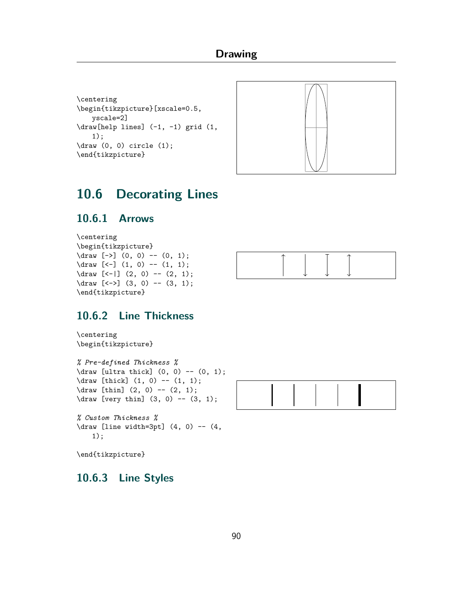```
\centering
\begin{tikzpicture}[xscale=0.5,
   yscale=2]
\draw[help lines] (-1, -1) grid (1,
   1);
\draw (0, 0) circle (1);
\end{tikzpicture}
```


## **10.6 Decorating Lines**

### **10.6.1 Arrows**

\centering \begin{tikzpicture}  $\d{raw [-5] (0, 0) -- (0, 1);}$  $\d$ raw [<-] (1, 0) -- (1, 1);  $\d{raw} [-1] (2, 0) -- (2, 1);$ \draw [<->] (3, 0) -- (3, 1); \end{tikzpicture}



### **10.6.2 Line Thickness**

#### \centering \begin{tikzpicture}

*% Pre-defined Thickness %*  $\d$ raw [ultra thick]  $(0, 0)$  --  $(0, 1);$ \draw [thick] (1, 0) -- (1, 1);  $\d$ raw [thin]  $(2, 0)$  --  $(2, 1)$ ;  $\d$ raw [very thin]  $(3, 0)$  --  $(3, 1)$ ;

*% Custom Thickness %*  $\langle$ draw [line width=3pt]  $(4, 0)$  --  $(4, 1)$ 1);

\end{tikzpicture}

### **10.6.3 Line Styles**

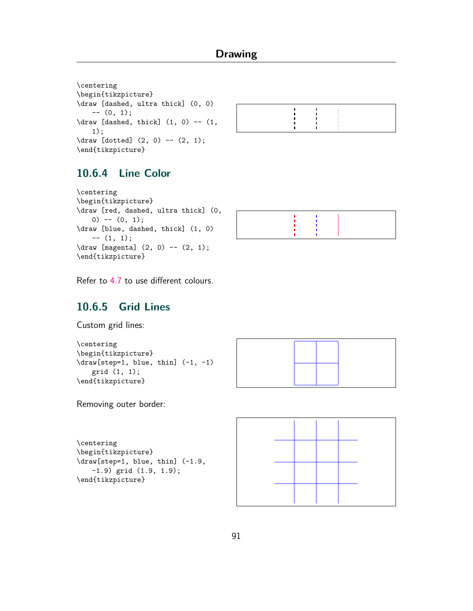```
\centering
\begin{tikzpicture}
\draw [dashed, ultra thick] (0, 0)
   --(0, 1);\dagger [dashed, thick] (1, 0) -- (1,
   1);
\d{raw [dotted] (2, 0) -- (2, 1);}\end{tikzpicture}
```


### **10.6.4 Line Color**

```
\centering
\begin{tikzpicture}
\draw [red, dashed, ultra thick] (0,
   0) -- (0, 1);\draw [blue, dashed, thick] (1, 0)
   -- (1, 1);
\draw [magenta] (2, 0) -- (2, 1);
\end{tikzpicture}
```


Refer to [4.7](#page-20-0) to use different colours.

### **10.6.5 Grid Lines**

Custom grid lines:

```
\centering
\begin{tikzpicture}
\dagger \draw[step=1, blue, thin] (-1, -1)grid (1, 1);
\end{tikzpicture}
```
Removing outer border:

```
\centering
\begin{tikzpicture}
\draw[step=1, blue, thin] (-1.9,
   -1.9) grid (1.9, 1.9);
\end{tikzpicture}
```
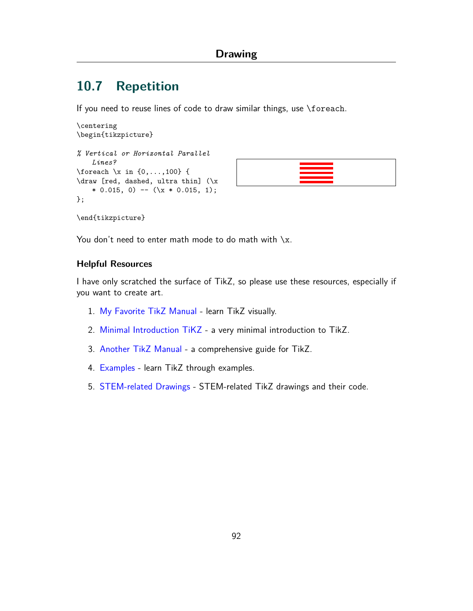## <span id="page-92-1"></span>**10.7 Repetition**

If you need to reuse lines of code to draw similar things, use \foreach.

```
\centering
\begin{tikzpicture}
% Vertical or Horizontal Parallel
    Lines?
\foreach \x in {0,...,100} {
\draw [red, dashed, ultra thin] (\x
    * 0.015, 0) -- (\{ x * 0.015, 1 \};};
```


\end{tikzpicture}

You don't need to enter math mode to do math with  $\chi$ .

#### <span id="page-92-0"></span>**Helpful Resources**

I have only scratched the surface of TikZ, so please use these resources, especially if you want to create art.

- 1. [My Favorite TikZ Manual](https://ctan.org/pkg/visualtikz) learn TikZ visually.
- 2. [Minimal Introduction TiKZ](http://cremeronline.com/LaTeX/minimaltikz.pdf) a very minimal introduction to TikZ.
- 3. [Another TikZ Manual](https://ctan.org/pkg/pgf?lang=en) a comprehensive guide for TikZ.
- 4. [Examples](http://www.texample.net/tikz/) learn TikZ through examples.
- 5. [STEM-related Drawings](https://tikz.net) STEM-related TikZ drawings and their code.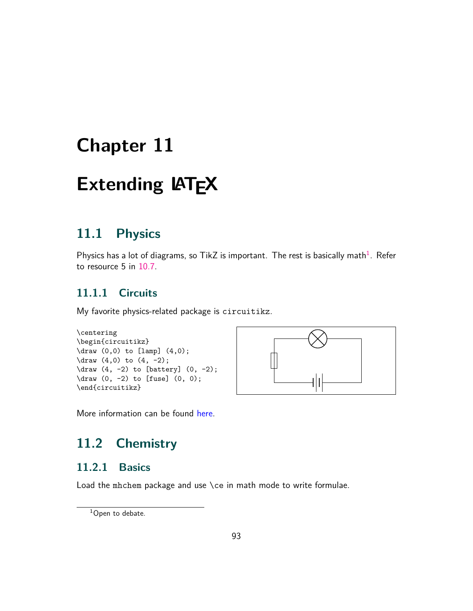# <span id="page-93-0"></span>**Extending LATEX**

## **11.1 Physics**

Physics has a lot of diagrams, so TikZ is important. The rest is basically math $^1$ . Refer to resource 5 in [10.7](#page-92-0).

### **11.1.1 Circuits**

My favorite physics-related package is circuitikz.

```
\centering
\begin{circuitikz}
\draw (0,0) to [lamp] (4,0);
\draw (4,0) to (4, -2);
\dagger (4, -2) to [battery] (0, -2);
\draw (0, -2) to [fuse] (0, 0);
\end{circuitikz}
```


More information can be found [here](https://www.overleaf.com/learn/latex/CircuiTikz_package).

## **11.2 Chemistry**

### **11.2.1 Basics**

Load the mhchem package and use \ce in math mode to write formulae.

<sup>&</sup>lt;sup>1</sup>Open to debate.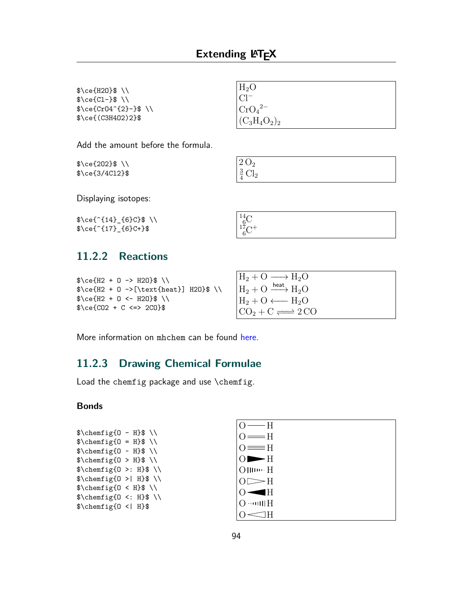$^{14}_{6}C + ^{17}_{6}C +$ 

<span id="page-94-0"></span>\$\ce{H2O}\$ \\  $\text{Ce}\$  \\  $\text{\%}c\in\text{\{CrO4}^{\{2\}-\$\}} \ \backslash \$ \$\ce{(C3H4O2)2}\$

 $H<sub>2</sub>O$ Cl*<sup>−</sup>* CrO<sup>4</sup> 2*−*  $(C_3H_4O_2)_2$ 

Add the amount before the formula.

\$\ce{2O2}\$ \\ \$\ce{3/4Cl2}\$

| $\begin{array}{r} 2\,\mathrm{O}_2 \\ \frac{3}{4}\,\mathrm{Cl}_2 \end{array}$ |  |  |  |
|------------------------------------------------------------------------------|--|--|--|
|                                                                              |  |  |  |

Displaying isotopes:

 $\brace$  \ce{^{14}\_{6}C}\$ \\ \$\ce{^{17}\_{6}C+}\$

### **11.2.2 Reactions**

```
\text{Ce(H2 + 0 -> H20)} \\
\text{heat} + 0 ->[\text{heat}] H2O}$ \\
\text{Ce(H2 + 0 < - H20)} \\
\text{Ce}{CO2 + C <=> 2CO}$
```

| $H_2 + O \longrightarrow H_2O$           |
|------------------------------------------|
| $H_2 + O \xrightarrow{\text{heat}} H_2O$ |
| $H_2 + O \longleftarrow H_2O$            |
| $CO_2 + C \rightleftharpoons 2 CO$       |
|                                          |

More information on mhchem can be found [here.](https://docs.moodle.org/311/en/Chemistry_notation_using_mhchem)

### **11.2.3 Drawing Chemical Formulae**

Load the chemfig package and use \chemfig.

#### **Bonds**

| $\Lambda \rightarrow \Lambda$        |  |
|--------------------------------------|--|
| $\Lambda = H$ \themfig{0 = H}\$\\    |  |
| $\Lambda \in \{0 \text{ mH}\}\$      |  |
| $\Lambda \$ \chemfig{0 > H}\$ \\     |  |
| $\Lambda$ : H}\$\chemfig{0 >: H}\$\\ |  |
| $\Lambda \$ \chemfig{0 >  H}\$ \\    |  |
| $\Lambda \$ \chemfig{0 < H}\$ \\     |  |
| $\Lambda : H$ \themfig{0 <: H}\$     |  |
| $\{\hat{O} <   H\}$                  |  |
|                                      |  |

| H                         |  |
|---------------------------|--|
| $=$ H                     |  |
| $\equiv$ $\equiv$ H       |  |
| $\blacktriangleright$ H   |  |
| $\mathbf{H}$ $\mathbf{H}$ |  |
| $\rightarrow$ H           |  |
| ΙH                        |  |
| $\sim 000$ H<br>0         |  |
|                           |  |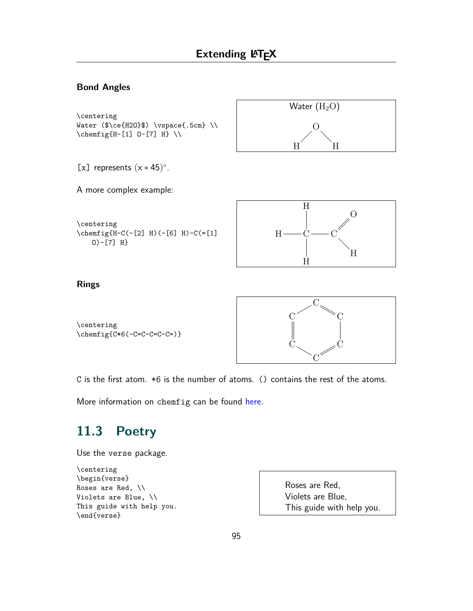#### **Bond Angles**

```
\centering
Water ($\ce{H2O}$) \vspace{.5cm} \\
\chemfig{H-[1] O-[7] H} \\
```


[x] represents (x *∗* 45) *◦* .



\centering  $\Lambda-C(-[2] H)$  (-[6] H)-C(=[1] O)-[7] H}



#### **Rings**



C is the first atom. \*6 is the number of atoms. () contains the rest of the atoms.

More information on chemfig can be found [here](https://www.overleaf.com/learn/latex/Chemistry_formulae).

## **11.3 Poetry**

Use the verse package.

```
\centering
\begin{verse}
Roses are Red, \\
Violets are Blue, \\
This guide with help you.
\end{verse}
```
Roses are Red, Violets are Blue, This guide with help you.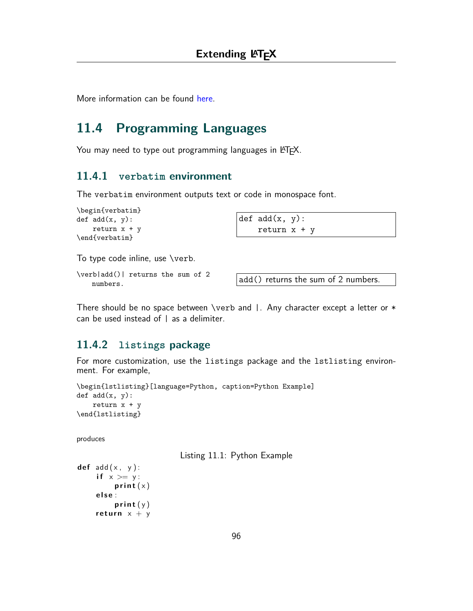More information can be found [here](https://ctan.org/pkg/verse?lang=en).

# **11.4 Programming Languages**

You may need to type out programming languages in LATEX.

#### **11.4.1 verbatim environment**

The verbatim environment outputs text or code in monospace font.

```
\begin{verbatim}
def add(x, y):
    return x + y\end{verbatim}
```

| def $add(x, y)$ : |  |
|-------------------|--|
| return $x + y$    |  |

To type code inline, use \verb.

\verb|add()| returns the sum of 2  $\begin{bmatrix} 1 & 0 \\ 0 & 1 \end{bmatrix}$  returns the sum of 2 numbers.

There should be no space between \verb and  $\vert$ . Any character except a letter or  $*$ can be used instead of | as a delimiter.

### **11.4.2 listings package**

For more customization, use the listings package and the lstlisting environment. For example,

```
\begin{lstlisting}[language=Python, caption=Python Example]
def add(x, y):
    return x + y\end{lstlisting}
```
produces

Listing 11.1: Python Example

```
def add ( x , y ) :
     if x >= y:print(x)e l s e :
         print (y)
    return x + y
```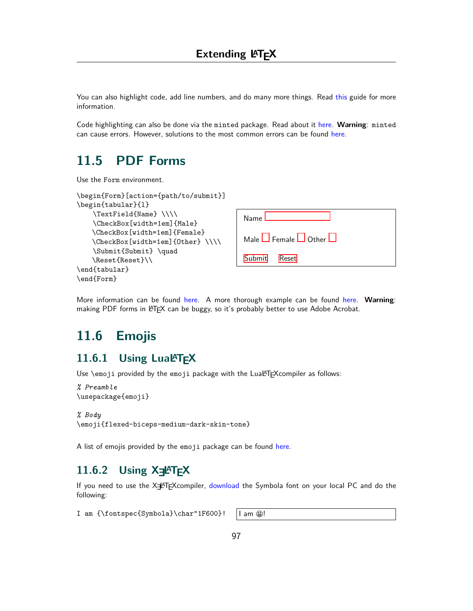<span id="page-97-0"></span>You can also highlight code, add line numbers, and do many more things. Read [this](https://www.overleaf.com/learn/latex/Code_listing) guide for more information.

Code highlighting can also be done via the minted package. Read about it [here](https://www.overleaf.com/learn/latex/Code_Highlighting_with_minted). **Warning**: minted can cause errors. However, solutions to the most common errors can be found [here](https://tex.stackexchange.com/questions/240913/latex-minted-error).

## **11.5 PDF Forms**

Use the Form environment.

| \begin{Form}[action={path/to/submit}] |                                        |
|---------------------------------------|----------------------------------------|
| \begin{tabular}{1}                    |                                        |
| \TextField{Name}\\\\                  | Name                                   |
| \CheckBox[width=1em]{Male}            |                                        |
| \CheckBox[width=1em]{Female}          |                                        |
| \CheckBox[width=1em]{0ther}\\\\       | Male $\Box$ Female $\Box$ Other $\Box$ |
| \Submit{Submit} \quad                 |                                        |
| \Reset{Reset}\\                       | Submit<br><b>Reset</b>                 |
| \end{tabular}                         |                                        |
| \end{Form}                            |                                        |

More information can be found [here.](https://tex.stackexchange.com/questions/14842/creating-fillable-pdfs) A more thorough example can be found [here](https://www.maltegerken.de/blog/2021/07/creating-pdf-forms-with-latex/). **Warning**: making PDF forms in LATEX can be buggy, so it's probably better to use Adobe Acrobat.

## **11.6 Emojis**

### 11.6.1 Using Lual<sup>A</sup>T<sub>E</sub>X

Use \emoji provided by the emoji package with the LuaLTFX compiler as follows:

```
% Preamble
\usepackage{emoji}
```

```
% Body
\emoji{flexed-biceps-medium-dark-skin-tone}
```
A list of emojis provided by the emoji package can be found [here](https://www.ctan.org/pkg/emoji).

### **11.6.2 Using X=** $\blacktriangle$ **T<sub>F</sub>X**

If you need to use the X $\neq$ <sup>A</sup>T<sub>F</sub>Xcompiler, [download](https://www.wfonts.com/font/symbola) the Symbola font on your local PC and do the following:

I am {\fontspec{Symbola}\char"1F600}! | am @!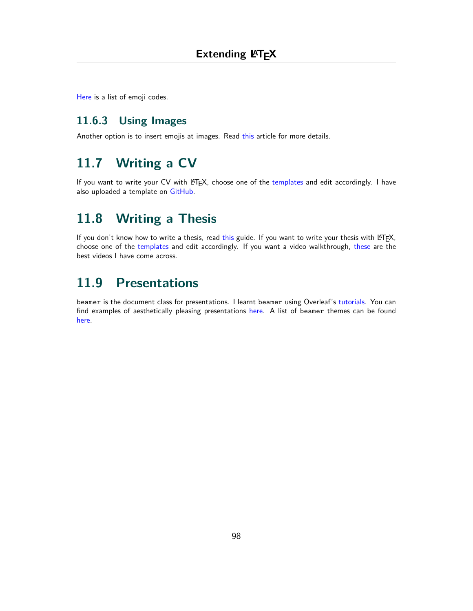[Here](https://unicode.org/emoji/charts/emoji-list.html) is a list of emoji codes.

### **11.6.3 Using Images**

Another option is to insert emojis at images. Read [this](https://kaushikamardas.medium.com/using-emojis-in-latex-c901969efa24) article for more details.

# **11.7 Writing a CV**

If you want to write your CV with LATEX, choose one of the [templates](https://www.overleaf.com/gallery/tagged/cv) and edit accordingly. I have also uploaded a template on [GitHub](https://github.com/Prabhav10/LaTeX).

## **11.8 Writing a Thesis**

If you don't know how to write a thesis, read [this](https://www.student.uwa.edu.au/__data/assets/pdf_file/0007/1919239/How-to-write-a-thesis-A-working-guide.pdf) guide. If you want to write your thesis with LATEX, choose one of the [templates](https://www.overleaf.com/latex/templates/tagged/thesis) and edit accordingly. If you want a video walkthrough, [these](https://www.youtube.com/playlist?list=PLCRFsOKSM7eNGNghvT6QdzsDYwSTZxqjC) are the best videos I have come across.

## **11.9 Presentations**

beamer is the document class for presentations. I learnt beamer using Overleaf's [tutorials](https://www.overleaf.com/learn/latex/Beamer). You can find examples of aesthetically pleasing presentations [here](https://www.overleaf.com/gallery/tagged/presentation). A list of beamer themes can be found [here.](https://github.com/martinbjeldbak/ultimate-beamer-theme-list)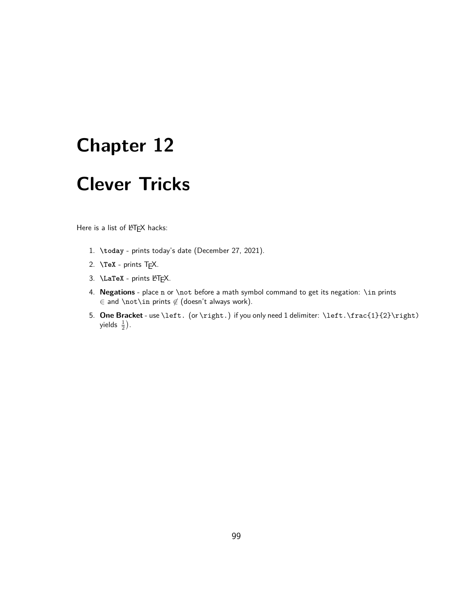# <span id="page-99-0"></span>**Clever Tricks**

Here is a list of LATEX hacks:

- 1. **\today** prints today's date (December 27, 2021).
- 2. **\TeX** prints TEX.
- 3. **\LaTeX** prints LATEX.
- 4. **Negations** place n or \not before a math symbol command to get its negation: \in prints *∈* and \not\in prints *6∈* (doesn't always work).
- 5. **One Bracket** use \left. (or \right.) if you only need 1 delimiter: \left.\frac{1}{2}\right) yields  $\frac{1}{2}$ ).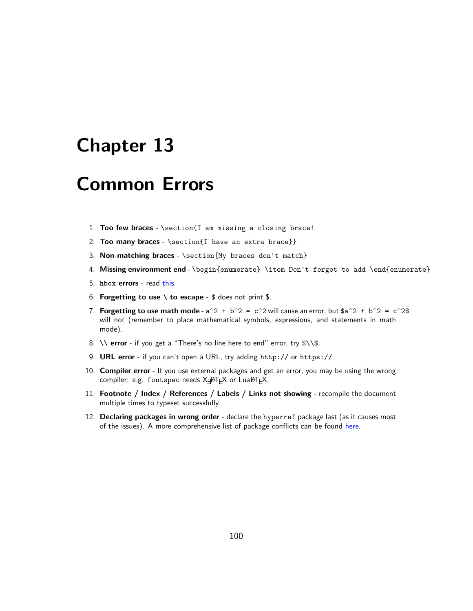# <span id="page-100-0"></span>**Common Errors**

- 1. **Too few braces** \section{I am missing a closing brace!
- 2. **Too many braces** \section{I have an extra brace}}
- 3. **Non-matching braces** \section[My braces don't match}
- 4. **Missing environment end** \begin{enumerate} \item Don't forget to add \end{enumerate}
- 5. **hbox errors** read [this](https://stuff.mit.edu/afs/sipb/project/www/latex/guide/node28.html).
- 6. **Forgetting to use \ to escape** \$ does not print \$.
- 7. **Forgetting to use math mode**  $a^2 + b^2 = c^2$  will cause an error, but  $a^2 + b^2 = c^2$ will not (remember to place mathematical symbols, expressions, and statements in math mode).
- 8. **\\ error** if you get a "There's no line here to end" error, try \$\\\$.
- 9. **URL error** if you can't open a URL, try adding http:// or https://
- 10. **Compiler error** If you use external packages and get an error, you may be using the wrong compiler: e.g. fontspec needs X=LATEX or LuaLATEX.
- 11. **Footnote / Index / References / Labels / Links not showing** recompile the document multiple times to typeset successfully.
- 12. **Declaring packages in wrong order** declare the hyperref package last (as it causes most of the issues). A more comprehensive list of package conflicts can be found [here](http://www.macfreek.nl/memory/LaTeX_package_conflicts).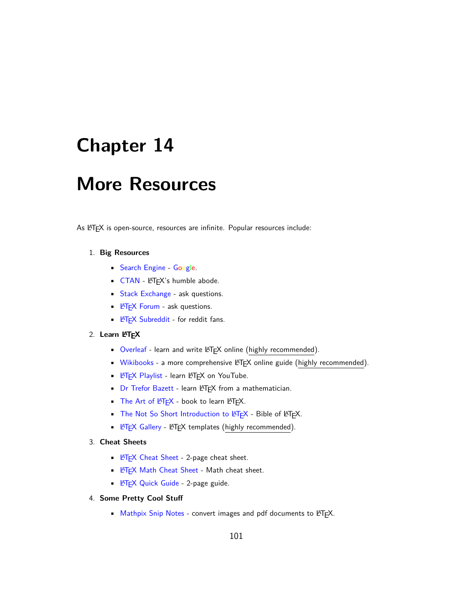# **More Resources**

As LATEX is open-source, resources are infinite. Popular resources include:

#### 1. **Big Resources**

- [Search Engine](https://www.google.com) Google.
- [CTAN](https://ctan.org) LATEX's humble abode.
- [Stack Exchange](https://tex.stackexchange.com) ask questions.
- **E[TEX Forum](https://latex.org/forum/index.php) ask questions.**
- **LA[TEX Subreddit](https://www.reddit.com/r/LaTeX/) for reddit fans.**

#### 2. **Learn LATEX**

- [Overleaf](https://www.overleaf.com/learn) learn and write LATEX online (highly recommended).
- [Wikibooks](https://en.wikibooks.org/wiki/LaTeX) a more comprehensive LATEX online guide (highly recommended).
- **E[TEX Playlist](https://www.youtube.com/playlist?list=PL1D4EAB31D3EBC449) learn LATEX on YouTube.**
- [Dr Trefor Bazett](https://www.youtube.com/channel/UC9rTsvTxJnx1DNrDA3Rqa6A) learn LATEX from a mathematician.
- The Art of  $ETEX book$  to learn  $RTEX$ .
- [The Not So Short Introduction to L](https://tobi.oetiker.ch/lshort/lshort.pdf)ATEX Bible of LATEX.
- **LA[TEX Gallery](https://www.overleaf.com/gallery) LATEX templates (highly recommended).**

#### 3. **Cheat Sheets**

- **LATFX Cheat Sheet 2-page cheat sheet.**
- **E[TEX Math Cheat Sheet](https://joshua.smcvt.edu/undergradmath/undergradmath.pdf) Math cheat sheet.**
- **EX Quick Guide 2-page guide.**

#### 4. **Some Pretty Cool Stuff**

• [Mathpix Snip Notes](https://mathpix.com) - convert images and pdf documents to LATEX.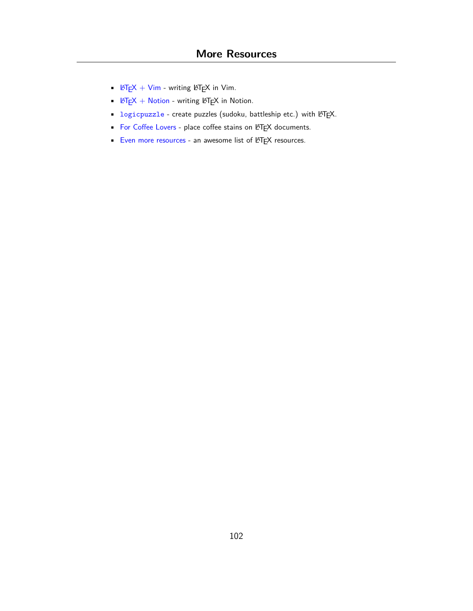- $\angle FEX + Vim$  writing  $\angle FEX$  in Vim.
- $\angle \angle \angle F = \angle K + \angle M$  writing  $\angle F = \angle K$  in Notion.
- [logicpuzzle](https://bitbucket.org/kleberj/logicpuzzle/wiki/Home) create puzzles (sudoku, battleship etc.) with LATEX.
- [For Coffee Lovers](https://www.overleaf.com/latex/examples/latex-coffee-stains/qsjjwwsrmwnc) place coffee stains on LATEX documents.
- [Even more resources](https://project-awesome.org/egeerardyn/awesome-LaTeX) an awesome list of LATEX resources.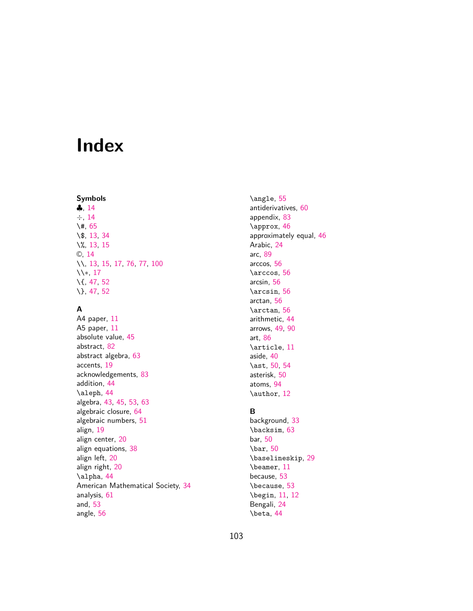# **Index**

#### **Symbols**

*♣*, [14](#page-14-0) *÷*, [14](#page-14-0) \#, [65](#page-65-0) \\$, [13,](#page-13-0) [34](#page-34-0) \%, [13,](#page-13-0) [15](#page-15-0) ©, [14](#page-14-0) \\, [13,](#page-13-0) [15,](#page-15-0) [17,](#page-17-0) [76,](#page-76-0) [77,](#page-77-0) [100](#page-100-0) \\*∗*, [17](#page-17-0) \{, [47,](#page-47-0) [52](#page-52-0) \}, [47,](#page-47-0) [52](#page-52-0)

#### **A**

A4 paper, [11](#page-11-0) A5 paper, [11](#page-11-0) absolute value, [45](#page-45-0) abstract, [82](#page-82-0) abstract algebra, [63](#page-63-0) accents, [19](#page-19-0) acknowledgements, [83](#page-83-1) addition, [44](#page-44-0) \aleph, [44](#page-44-0) algebra, [43,](#page-43-0) [45,](#page-45-0) [53](#page-53-0), [63](#page-63-0) algebraic closure, [64](#page-64-0) algebraic numbers, [51](#page-51-0) align, [19](#page-19-0) align center, [20](#page-20-1) align equations, [38](#page-38-0) align left, [20](#page-20-1) align right, [20](#page-20-1) \alpha, [44](#page-44-0) American Mathematical Society, [34](#page-34-0) analysis, [61](#page-61-0) and, [53](#page-53-0) angle, [56](#page-56-0)

\angle, [55](#page-55-0) antiderivatives, [60](#page-60-0) appendix, [83](#page-83-1) \approx, [46](#page-46-0) approximately equal, [46](#page-46-0) Arabic, [24](#page-24-0) arc, [89](#page-89-0) arccos, [56](#page-56-0) \arccos, [56](#page-56-0) arcsin, [56](#page-56-0) \arcsin, [56](#page-56-0) arctan, [56](#page-56-0) \arctan, [56](#page-56-0) arithmetic, [44](#page-44-0) arrows, [49](#page-49-0), [90](#page-90-0) art, [86](#page-86-0) \article, [11](#page-11-0) aside, [40](#page-40-0) \ast, [50](#page-50-0), [54](#page-54-0) asterisk, [50](#page-50-0) atoms, [94](#page-94-0) \author, [12](#page-12-0)

#### **B**

background, [33](#page-33-0) \backsim, [63](#page-63-0) bar, [50](#page-50-0) \bar, [50](#page-50-0) \baselineskip, [29](#page-29-0) \beamer, [11](#page-11-0) because, [53](#page-53-0) \because, [53](#page-53-0) \begin, [11,](#page-11-0) [12](#page-12-0) Bengali, [24](#page-24-0) \beta, [44](#page-44-0)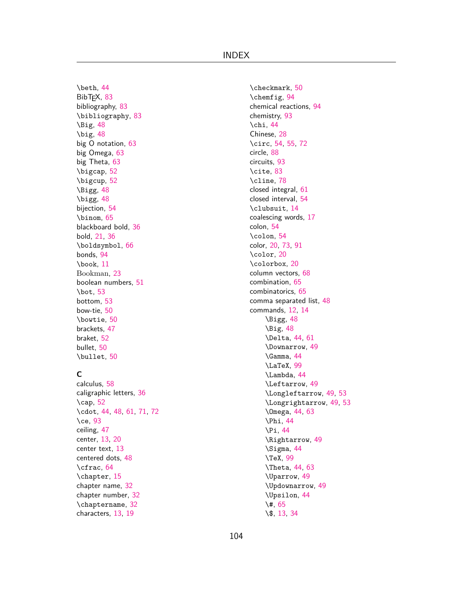\beth, [44](#page-44-0) BibT<sub>F</sub>X, [83](#page-83-1) bibliography, [83](#page-83-1) \bibliography, [83](#page-83-1) \Big, [48](#page-48-0) \big, [48](#page-48-0) big O notation, [63](#page-63-0) big Omega, [63](#page-63-0) big Theta, [63](#page-63-0) \bigcap, [52](#page-52-0) \bigcup, [52](#page-52-0) \Bigg, [48](#page-48-0) \bigg, [48](#page-48-0) bijection, [54](#page-54-0) \binom, [65](#page-65-0) blackboard bold, [36](#page-36-0) bold, [21](#page-21-0), [36](#page-36-0) \boldsymbol, [66](#page-66-0) bonds, [94](#page-94-0) \book, [11](#page-11-0) Bookman, [23](#page-23-0) boolean numbers, [51](#page-51-0) \bot, [53](#page-53-0) bottom, [53](#page-53-0) bow-tie, [50](#page-50-0) \bowtie, [50](#page-50-0) brackets, [47](#page-47-0) braket, [52](#page-52-0) bullet, [50](#page-50-0) \bullet, [50](#page-50-0)

#### **C**

calculus, [58](#page-58-0) caligraphic letters, [36](#page-36-0) \cap, [52](#page-52-0) \cdot, [44](#page-44-0), [48](#page-48-0), [61,](#page-61-0) [71,](#page-71-0) [72](#page-72-0) \ce, [93](#page-93-0) ceiling, [47](#page-47-0) center, [13,](#page-13-0) [20](#page-20-1) center text, [13](#page-13-0) centered dots, [48](#page-48-0) \cfrac, [64](#page-64-0) \chapter, [15](#page-15-0) chapter name, [32](#page-32-0) chapter number, [32](#page-32-0) \chaptername, [32](#page-32-0) characters, [13](#page-13-0), [19](#page-19-0)

\checkmark, [50](#page-50-0) \chemfig, [94](#page-94-0) chemical reactions, [94](#page-94-0) chemistry, [93](#page-93-0) \chi, [44](#page-44-0) Chinese, [28](#page-28-0) \circ, [54,](#page-54-0) [55,](#page-55-0) [72](#page-72-0) circle, [88](#page-88-0) circuits, [93](#page-93-0) \cite, [83](#page-83-1) \cline, [78](#page-78-0) closed integral, [61](#page-61-0) closed interval, [54](#page-54-0) \clubsuit, [14](#page-14-0) coalescing words, [17](#page-17-0) colon, [54](#page-54-0) \colon, [54](#page-54-0) color, [20](#page-20-1), [73](#page-73-0), [91](#page-91-0) \color, [20](#page-20-1) \colorbox, [20](#page-20-1) column vectors, [68](#page-68-0) combination, [65](#page-65-0) combinatorics, [65](#page-65-0) comma separated list, [48](#page-48-0) commands, [12,](#page-12-0) [14](#page-14-0) \Bigg, [48](#page-48-0) \Big, [48](#page-48-0) \Delta, [44,](#page-44-0) [61](#page-61-0) \Downarrow, [49](#page-49-0) \Gamma, [44](#page-44-0) \LaTeX, [99](#page-99-0) \Lambda, [44](#page-44-0) \Leftarrow, [49](#page-49-0) \Longleftarrow, [49,](#page-49-0) [53](#page-53-0) \Longrightarrow, [49,](#page-49-0) [53](#page-53-0) \Omega, [44,](#page-44-0) [63](#page-63-0) \Phi, [44](#page-44-0) \Pi, [44](#page-44-0) \Rightarrow, [49](#page-49-0) \Sigma, [44](#page-44-0) \TeX, [99](#page-99-0) \Theta, [44,](#page-44-0) [63](#page-63-0) \Uparrow, [49](#page-49-0) \Updownarrow, [49](#page-49-0) \Upsilon, [44](#page-44-0) \#, [65](#page-65-0) \\$, [13,](#page-13-0) [34](#page-34-0)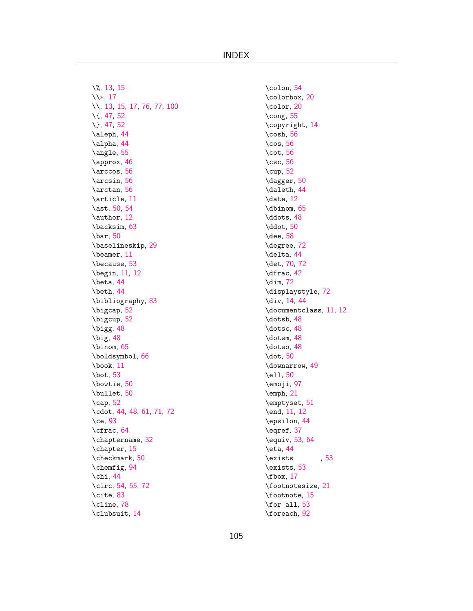INDEX

\%, [13,](#page-13-0) [15](#page-15-0) \\*∗*, [17](#page-17-0) \\, [13,](#page-13-0) [15,](#page-15-0) [17,](#page-17-0) [76,](#page-76-0) [77,](#page-77-0) [100](#page-100-0) \{, [47,](#page-47-0) [52](#page-52-0) \}, [47,](#page-47-0) [52](#page-52-0) \aleph, [44](#page-44-0) \alpha, [44](#page-44-0) \angle, [55](#page-55-0) \approx, [46](#page-46-0) \arccos, [56](#page-56-0) \arcsin, [56](#page-56-0) \arctan, [56](#page-56-0) \article, [11](#page-11-0) \ast, [50](#page-50-0), [54](#page-54-0) \author, [12](#page-12-0) \backsim, [63](#page-63-0) \bar, [50](#page-50-0) \baselineskip, [29](#page-29-0) \beamer, [11](#page-11-0) \because, [53](#page-53-0) \begin, [11,](#page-11-0) [12](#page-12-0) \beta, [44](#page-44-0) \beth, [44](#page-44-0) \bibliography, [83](#page-83-1) \bigcap, [52](#page-52-0) \bigcup, [52](#page-52-0) \bigg, [48](#page-48-0) \big, [48](#page-48-0) \binom, [65](#page-65-0) \boldsymbol, [66](#page-66-0) \book, [11](#page-11-0) \bot, [53](#page-53-0) \bowtie, [50](#page-50-0) \bullet, [50](#page-50-0) \cap, [52](#page-52-0) \cdot, [44](#page-44-0), [48](#page-48-0), [61](#page-61-0), [71](#page-71-0), [72](#page-72-0) \ce, [93](#page-93-0) \cfrac, [64](#page-64-0) \chaptername, [32](#page-32-0) \chapter, [15](#page-15-0) \checkmark, [50](#page-50-0) \chemfig, [94](#page-94-0) \chi, [44](#page-44-0) \circ, [54](#page-54-0), [55](#page-55-0), [72](#page-72-0) \cite, [83](#page-83-1) \cline, [78](#page-78-0) \clubsuit, [14](#page-14-0)

\colon, [54](#page-54-0) \colorbox, [20](#page-20-1) \color, [20](#page-20-1) \cong, [55](#page-55-0) \copyright, [14](#page-14-0) \cosh, [56](#page-56-0) \cos, [56](#page-56-0) \cot, [56](#page-56-0) \csc, [56](#page-56-0) \cup, [52](#page-52-0) \dagger, [50](#page-50-0) \daleth, [44](#page-44-0) \date, [12](#page-12-0) \dbinom, [65](#page-65-0) \ddots, [48](#page-48-0) \ddot, [50](#page-50-0) \dee, [58](#page-58-0) \degree, [72](#page-72-0) \delta, [44](#page-44-0) \det, [70](#page-70-0), [72](#page-72-0) \dfrac, [42](#page-42-0) \dim, [72](#page-72-0) \displaystyle, [72](#page-72-0) \div, [14](#page-14-0), [44](#page-44-0) \documentclass, [11,](#page-11-0) [12](#page-12-0) \dotsb, [48](#page-48-0) \dotsc, [48](#page-48-0) \dotsm, [48](#page-48-0) \dotso, [48](#page-48-0) \dot, [50](#page-50-0) \downarrow, [49](#page-49-0) \ell, [50](#page-50-0) \emoji, [97](#page-97-0) \emph, [21](#page-21-0) \emptyset, [51](#page-51-0) \end, [11](#page-11-0), [12](#page-12-0) \epsilon, [44](#page-44-0) \eqref, [37](#page-37-0) \equiv, [53,](#page-53-0) [64](#page-64-0) \eta, [44](#page-44-0) \exists , [53](#page-53-0) \exists, [53](#page-53-0) \fbox, [17](#page-17-0) \footnotesize, [21](#page-21-0) \footnote, [15](#page-15-0) \for all, [53](#page-53-0) \foreach, [92](#page-92-1)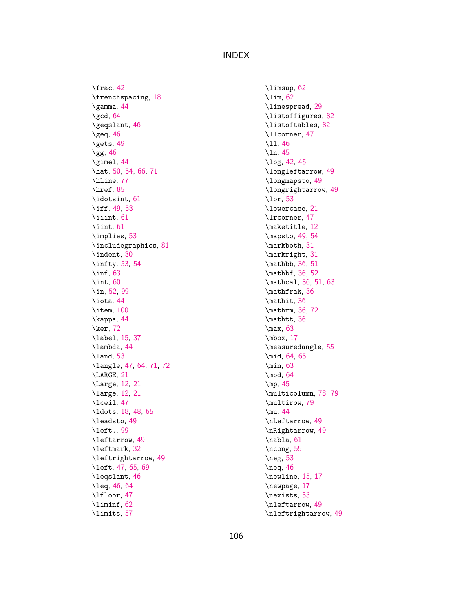INDEX

\frac, [42](#page-42-0) \frenchspacing, [18](#page-18-0) \gamma, [44](#page-44-0) \gcd, [64](#page-64-0) \geqslant, [46](#page-46-0) \geq, [46](#page-46-0) \gets, [49](#page-49-0) \gg, [46](#page-46-0) \gimel, [44](#page-44-0) \hat, [50](#page-50-0), [54](#page-54-0), [66](#page-66-0), [71](#page-71-0) \hline, [77](#page-77-0) \href, [85](#page-85-0) \idotsint, [61](#page-61-0) \iff, [49](#page-49-0), [53](#page-53-0) \iiint, [61](#page-61-0) \iint, [61](#page-61-0) \implies, [53](#page-53-0) \includegraphics, [81](#page-81-0) \indent, [30](#page-30-0) \infty, [53,](#page-53-0) [54](#page-54-0) \inf, [63](#page-63-0) \int, [60](#page-60-0) \in, [52,](#page-52-0) [99](#page-99-0) \iota, [44](#page-44-0) \item, [100](#page-100-0) \kappa, [44](#page-44-0) \ker, [72](#page-72-0) \label, [15,](#page-15-0) [37](#page-37-0) \lambda, [44](#page-44-0) \land, [53](#page-53-0) \langle, [47,](#page-47-0) [64,](#page-64-0) [71,](#page-71-0) [72](#page-72-0) \LARGE, [21](#page-21-0) \Large, [12,](#page-12-0) [21](#page-21-0) \large, [12,](#page-12-0) [21](#page-21-0) \lceil, [47](#page-47-0) \ldots, [18,](#page-18-0) [48,](#page-48-0) [65](#page-65-0) \leadsto, [49](#page-49-0) \left., [99](#page-99-0) \leftarrow, [49](#page-49-0) \leftmark, [32](#page-32-0) \leftrightarrow, [49](#page-49-0) \left, [47](#page-47-0), [65](#page-65-0), [69](#page-69-0) \leqslant, [46](#page-46-0) \leq, [46](#page-46-0), [64](#page-64-0) \lfloor, [47](#page-47-0) \liminf, [62](#page-62-0) \limits, [57](#page-57-0)

\limsup, [62](#page-62-0) \lim, [62](#page-62-0) \linespread, [29](#page-29-0) \listoffigures, [82](#page-82-0) \listoftables, [82](#page-82-0) \llcorner, [47](#page-47-0) \ll, [46](#page-46-0) \ln, [45](#page-45-0) \log, [42](#page-42-0), [45](#page-45-0) \longleftarrow, [49](#page-49-0) \longmapsto, [49](#page-49-0) \longrightarrow, [49](#page-49-0) \lor, [53](#page-53-0) \lowercase, [21](#page-21-0) \lrcorner, [47](#page-47-0) \maketitle, [12](#page-12-0) \mapsto, [49](#page-49-0), [54](#page-54-0) \markboth, [31](#page-31-0) \markright, [31](#page-31-0) \mathbb, [36](#page-36-0), [51](#page-51-0) \mathbf, [36](#page-36-0), [52](#page-52-0) \mathcal, [36](#page-36-0), [51](#page-51-0), [63](#page-63-0) \mathfrak, [36](#page-36-0) \mathit, [36](#page-36-0) \mathrm, [36](#page-36-0), [72](#page-72-0) \mathtt, [36](#page-36-0) \max, [63](#page-63-0) \mbox, [17](#page-17-0) \measuredangle, [55](#page-55-0) \mid, [64](#page-64-0), [65](#page-65-0) \min, [63](#page-63-0) \mod, [64](#page-64-0) \mp, [45](#page-45-0) \multicolumn, [78](#page-78-0), [79](#page-79-0) \multirow, [79](#page-79-0) \mu, [44](#page-44-0) \nLeftarrow, [49](#page-49-0) \nRightarrow, [49](#page-49-0) \nabla, [61](#page-61-0) \ncong, [55](#page-55-0) \neg, [53](#page-53-0) \neq, [46](#page-46-0) \newline, [15](#page-15-0), [17](#page-17-0) \newpage, [17](#page-17-0) \nexists, [53](#page-53-0) \nleftarrow, [49](#page-49-0) \nleftrightarrow, [49](#page-49-0)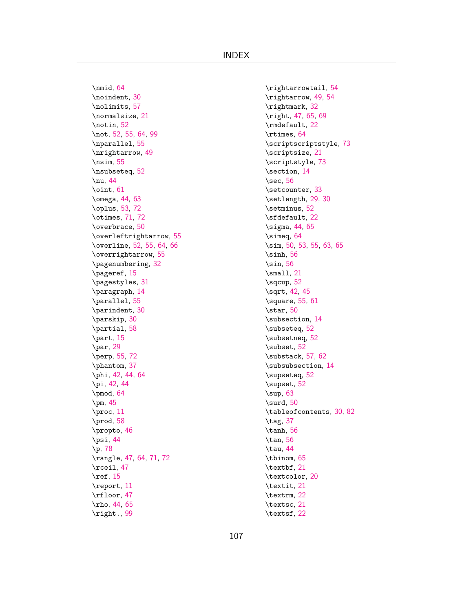INDEX

\nmid, [64](#page-64-0) \noindent, [30](#page-30-0) \nolimits, [57](#page-57-0) \normalsize, [21](#page-21-0) \notin, [52](#page-52-0) \not, [52](#page-52-0), [55](#page-55-0), [64](#page-64-0), [99](#page-99-0) \nparallel, [55](#page-55-0) \nrightarrow, [49](#page-49-0) \nsim, [55](#page-55-0) \nsubseteq, [52](#page-52-0) \nu, [44](#page-44-0) \oint, [61](#page-61-0) \omega, [44,](#page-44-0) [63](#page-63-0) \oplus, [53,](#page-53-0) [72](#page-72-0) \otimes, [71,](#page-71-0) [72](#page-72-0) \overbrace, [50](#page-50-0) \overleftrightarrow, [55](#page-55-0) \overline, [52](#page-52-0), [55](#page-55-0), [64](#page-64-0), [66](#page-66-0) \overrightarrow, [55](#page-55-0) \pagenumbering, [32](#page-32-0) \pageref, [15](#page-15-0) \pagestyles, [31](#page-31-0) \paragraph, [14](#page-14-0) \parallel, [55](#page-55-0) \parindent, [30](#page-30-0) \parskip, [30](#page-30-0) \partial, [58](#page-58-0) \part, [15](#page-15-0) \par, [29](#page-29-0) \perp, [55](#page-55-0), [72](#page-72-0) \phantom, [37](#page-37-0) \phi, [42](#page-42-0), [44](#page-44-0), [64](#page-64-0) \pi, [42,](#page-42-0) [44](#page-44-0) \pmod, [64](#page-64-0) \pm, [45](#page-45-0) \proc, [11](#page-11-0) \prod, [58](#page-58-0) \propto, [46](#page-46-0) \psi, [44](#page-44-0) \p, [78](#page-78-0) \rangle, [47,](#page-47-0) [64,](#page-64-0) [71,](#page-71-0) [72](#page-72-0) \rceil, [47](#page-47-0) \ref, [15](#page-15-0) \report, [11](#page-11-0) \rfloor, [47](#page-47-0) \rho, [44](#page-44-0), [65](#page-65-0) \right., [99](#page-99-0)

\rightarrowtail, [54](#page-54-0) \rightarrow, [49,](#page-49-0) [54](#page-54-0) \rightmark, [32](#page-32-0) \right, [47,](#page-47-0) [65,](#page-65-0) [69](#page-69-0) \rmdefault, [22](#page-22-0) \rtimes, [64](#page-64-0) \scriptscriptstyle, [73](#page-73-0) \scriptsize, [21](#page-21-0) \scriptstyle, [73](#page-73-0) \section, [14](#page-14-0) \sec, [56](#page-56-0) \setcounter, [33](#page-33-0) \setlength, [29,](#page-29-0) [30](#page-30-0) \setminus, [52](#page-52-0) \sfdefault, [22](#page-22-0) \sigma, [44,](#page-44-0) [65](#page-65-0) \simeq, [64](#page-64-0) \sim, [50](#page-50-0), [53](#page-53-0), [55](#page-55-0), [63](#page-63-0), [65](#page-65-0)  $\sinh, 56$  $\sinh, 56$ \sin, [56](#page-56-0) \small, [21](#page-21-0) \sqcup, [52](#page-52-0) \sqrt, [42,](#page-42-0) [45](#page-45-0) \square, [55](#page-55-0), [61](#page-61-0) \star, [50](#page-50-0) \subsection, [14](#page-14-0) \subseteq, [52](#page-52-0) \subsetneq, [52](#page-52-0) \subset, [52](#page-52-0) \substack, [57](#page-57-0), [62](#page-62-0) \subsubsection, [14](#page-14-0) \supseteq, [52](#page-52-0) \supset, [52](#page-52-0) \sup, [63](#page-63-0) \surd, [50](#page-50-0) \tableofcontents, [30](#page-30-0), [82](#page-82-0) \tag, [37](#page-37-0) \tanh, [56](#page-56-0) \tan, [56](#page-56-0) \tau, [44](#page-44-0) \tbinom, [65](#page-65-0) \textbf, [21](#page-21-0) \textcolor, [20](#page-20-1) \textit, [21](#page-21-0) \textrm, [22](#page-22-0) \textsc, [21](#page-21-0) \textsf, [22](#page-22-0)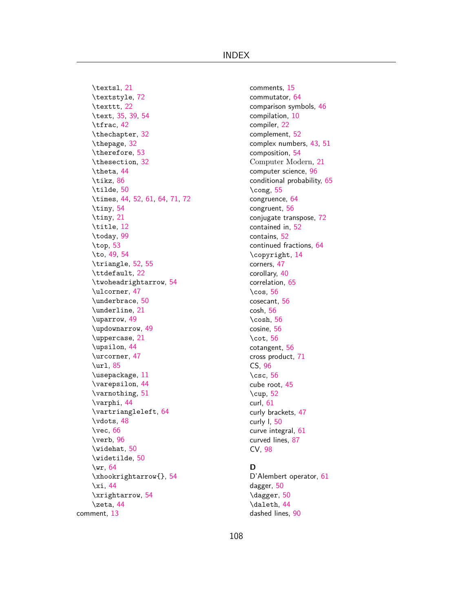\textsl, [21](#page-21-0) \textstyle, [72](#page-72-0) \texttt, [22](#page-22-0) \text, [35](#page-35-0), [39](#page-39-0), [54](#page-54-0) \tfrac, [42](#page-42-0) \thechapter, [32](#page-32-0) \thepage, [32](#page-32-0) \therefore, [53](#page-53-0) \thesection, [32](#page-32-0) \theta, [44](#page-44-0) \tikz, [86](#page-86-0) \tilde, [50](#page-50-0) \times, [44,](#page-44-0) [52,](#page-52-0) [61,](#page-61-0) [64,](#page-64-0) [71,](#page-71-0) [72](#page-72-0) \tiny, [54](#page-54-0) \tiny, [21](#page-21-0) \title, [12](#page-12-0) \today, [99](#page-99-0) \top, [53](#page-53-0) \to, [49,](#page-49-0) [54](#page-54-0) \triangle, [52](#page-52-0), [55](#page-55-0) \ttdefault, [22](#page-22-0) \twoheadrightarrow, [54](#page-54-0) \ulcorner, [47](#page-47-0) \underbrace, [50](#page-50-0) \underline, [21](#page-21-0) \uparrow, [49](#page-49-0) \updownarrow, [49](#page-49-0) \uppercase, [21](#page-21-0) \upsilon, [44](#page-44-0) \urcorner, [47](#page-47-0) \url, [85](#page-85-0) \usepackage, [11](#page-11-0) \varepsilon, [44](#page-44-0) \varnothing, [51](#page-51-0) \varphi, [44](#page-44-0) \vartriangleleft, [64](#page-64-0) \vdots, [48](#page-48-0) \vec, [66](#page-66-0) \verb, [96](#page-96-0) \widehat, [50](#page-50-0) \widetilde, [50](#page-50-0) \wr, [64](#page-64-0) \xhookrightarrow{}, [54](#page-54-0) \xi, [44](#page-44-0) \xrightarrow, [54](#page-54-0) \zeta, [44](#page-44-0) comment, [13](#page-13-0)

comments, [15](#page-15-0) commutator, [64](#page-64-0) comparison symbols, [46](#page-46-0) compilation, [10](#page-10-0) compiler, [22](#page-22-0) complement, [52](#page-52-0) complex numbers, [43,](#page-43-0) [51](#page-51-0) composition, [54](#page-54-0) Computer Modern, [21](#page-21-0) computer science, [96](#page-96-0) conditional probability, [65](#page-65-0) \cong, [55](#page-55-0) congruence, [64](#page-64-0) congruent, [56](#page-56-0) conjugate transpose, [72](#page-72-0) contained in, [52](#page-52-0) contains, [52](#page-52-0) continued fractions, [64](#page-64-0) \copyright, [14](#page-14-0) corners, [47](#page-47-0) corollary, [40](#page-40-0) correlation, [65](#page-65-0) \cos, [56](#page-56-0) cosecant, [56](#page-56-0) cosh, [56](#page-56-0) \cosh, [56](#page-56-0) cosine, [56](#page-56-0) \cot, [56](#page-56-0) cotangent, [56](#page-56-0) cross product, [71](#page-71-0) CS, [96](#page-96-0) \csc, [56](#page-56-0) cube root, [45](#page-45-0) \cup, [52](#page-52-0) curl, [61](#page-61-0) curly brackets, [47](#page-47-0) curly l, [50](#page-50-0) curve integral, [61](#page-61-0) curved lines, [87](#page-87-0) CV, [98](#page-98-0)

## **D**

D'Alembert operator, [61](#page-61-0) dagger, [50](#page-50-0) \dagger, [50](#page-50-0) \daleth, [44](#page-44-0) dashed lines, [90](#page-90-0)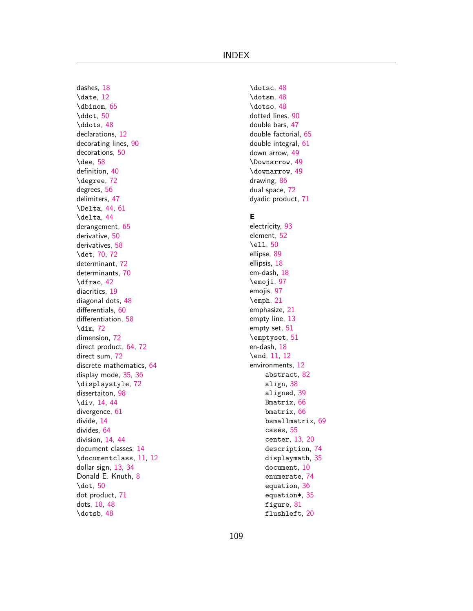dashes, [18](#page-18-0) \date, [12](#page-12-0) \dbinom, [65](#page-65-0) \ddot, [50](#page-50-0) \ddots, [48](#page-48-0) declarations, [12](#page-12-0) decorating lines, [90](#page-90-0) decorations, [50](#page-50-0) \dee, [58](#page-58-0) definition, [40](#page-40-0) \degree, [72](#page-72-0) degrees, [56](#page-56-0) delimiters, [47](#page-47-0) \Delta, [44,](#page-44-0) [61](#page-61-0) \delta, [44](#page-44-0) derangement, [65](#page-65-0) derivative, [50](#page-50-0) derivatives, [58](#page-58-0) \det, [70](#page-70-0), [72](#page-72-0) determinant, [72](#page-72-0) determinants, [70](#page-70-0) \dfrac, [42](#page-42-0) diacritics, [19](#page-19-0) diagonal dots, [48](#page-48-0) differentials, [60](#page-60-0) differentiation, [58](#page-58-0) \dim, [72](#page-72-0) dimension, [72](#page-72-0) direct product, [64,](#page-64-0) [72](#page-72-0) direct sum, [72](#page-72-0) discrete mathematics, [64](#page-64-0) display mode, [35](#page-35-0), [36](#page-36-0) \displaystyle, [72](#page-72-0) dissertaiton, [98](#page-98-0) \div, [14](#page-14-0), [44](#page-44-0) divergence, [61](#page-61-0) divide, [14](#page-14-0) divides, [64](#page-64-0) division, [14](#page-14-0), [44](#page-44-0) document classes, [14](#page-14-0) \documentclass, [11](#page-11-0), [12](#page-12-0) dollar sign, [13,](#page-13-0) [34](#page-34-0) Donald E. Knuth, [8](#page-8-0) \dot, [50](#page-50-0) dot product, [71](#page-71-0) dots, [18,](#page-18-0) [48](#page-48-0) \dotsb, [48](#page-48-0)

\dotsc, [48](#page-48-0) \dotsm, [48](#page-48-0) \dotso, [48](#page-48-0) dotted lines, [90](#page-90-0) double bars, [47](#page-47-0) double factorial, [65](#page-65-0) double integral, [61](#page-61-0) down arrow, [49](#page-49-0) \Downarrow, [49](#page-49-0) \downarrow, [49](#page-49-0) drawing, [86](#page-86-0) dual space, [72](#page-72-0) dyadic product, [71](#page-71-0)

## **E**

electricity, [93](#page-93-0) element, [52](#page-52-0) \ell, [50](#page-50-0) ellipse, [89](#page-89-0) ellipsis, [18](#page-18-0) em-dash, [18](#page-18-0) \emoji, [97](#page-97-0) emojis, [97](#page-97-0) \emph, [21](#page-21-0) emphasize, [21](#page-21-0) empty line, [13](#page-13-0) empty set, [51](#page-51-0) \emptyset, [51](#page-51-0) en-dash, [18](#page-18-0) \end, [11](#page-11-0), [12](#page-12-0) environments, [12](#page-12-0) abstract, [82](#page-82-0) align, [38](#page-38-0) aligned, [39](#page-39-0) Bmatrix, [66](#page-66-0) bmatrix, [66](#page-66-0) bsmallmatrix, [69](#page-69-0) cases, [55](#page-55-0) center, [13,](#page-13-0) [20](#page-20-0) description, [74](#page-74-0) displaymath, [35](#page-35-0) document, [10](#page-10-0) enumerate, [74](#page-74-0) equation, [36](#page-36-0) equation\*, [35](#page-35-0) figure, [81](#page-81-0) flushleft, [20](#page-20-0)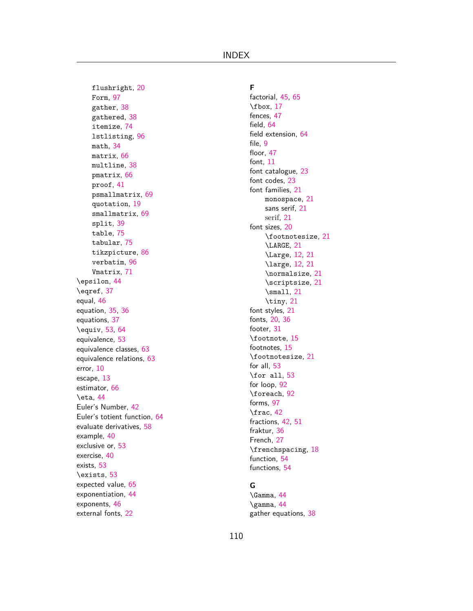flushright, [20](#page-20-0) Form, [97](#page-97-0) gather, [38](#page-38-0) gathered, [38](#page-38-0) itemize, [74](#page-74-0) lstlisting, [96](#page-96-0) math, [34](#page-34-0) matrix, [66](#page-66-0) multline, [38](#page-38-0) pmatrix, [66](#page-66-0) proof, [41](#page-41-0) psmallmatrix, [69](#page-69-0) quotation, [19](#page-19-0) smallmatrix, [69](#page-69-0) split, [39](#page-39-0) table, [75](#page-75-0) tabular, [75](#page-75-0) tikzpicture, [86](#page-86-0) verbatim, [96](#page-96-0) Vmatrix, [71](#page-71-0) \epsilon, [44](#page-44-0) \eqref, [37](#page-37-0) equal, [46](#page-46-0) equation, [35,](#page-35-0) [36](#page-36-0) equations, [37](#page-37-0) \equiv, [53,](#page-53-0) [64](#page-64-0) equivalence, [53](#page-53-0) equivalence classes, [63](#page-63-0) equivalence relations, [63](#page-63-0) error, [10](#page-10-0) escape, [13](#page-13-0) estimator, [66](#page-66-0) \eta, [44](#page-44-0) Euler's Number, [42](#page-42-0) Euler's totient function, [64](#page-64-0) evaluate derivatives, [58](#page-58-0) example, [40](#page-40-0) exclusive or, [53](#page-53-0) exercise, [40](#page-40-0) exists, [53](#page-53-0) \exists, [53](#page-53-0) expected value, [65](#page-65-0) exponentiation, [44](#page-44-0) exponents, [46](#page-46-0) external fonts, [22](#page-22-0)

**F** factorial, [45](#page-45-0), [65](#page-65-0) \fbox, [17](#page-17-0) fences, [47](#page-47-0) field, [64](#page-64-0) field extension, [64](#page-64-0) file, [9](#page-9-0) floor, [47](#page-47-0) font, [11](#page-11-0) font catalogue, [23](#page-23-0) font codes, [23](#page-23-0) font families, [21](#page-21-0) monospace, [21](#page-21-0) sans serif, [21](#page-21-0) serif, [21](#page-21-0) font sizes, [20](#page-20-0) \footnotesize, [21](#page-21-0) \LARGE, [21](#page-21-0) \Large, [12,](#page-12-0) [21](#page-21-0) \large, [12,](#page-12-0) [21](#page-21-0) \normalsize, [21](#page-21-0) \scriptsize, [21](#page-21-0) \small, [21](#page-21-0) \tiny, [21](#page-21-0) font styles, [21](#page-21-0) fonts, [20](#page-20-0), [36](#page-36-0) footer, [31](#page-31-0) \footnote, [15](#page-15-0) footnotes, [15](#page-15-0) \footnotesize, [21](#page-21-0) for all, [53](#page-53-0) \for all, [53](#page-53-0) for loop, [92](#page-92-0) \foreach, [92](#page-92-0) forms, [97](#page-97-0) \frac, [42](#page-42-0) fractions, [42](#page-42-0), [51](#page-51-0) fraktur, [36](#page-36-0) French, [27](#page-27-0) \frenchspacing, [18](#page-18-0) function, [54](#page-54-0) functions, [54](#page-54-0)

# **G**

\Gamma, [44](#page-44-0) \gamma, [44](#page-44-0) gather equations, [38](#page-38-0)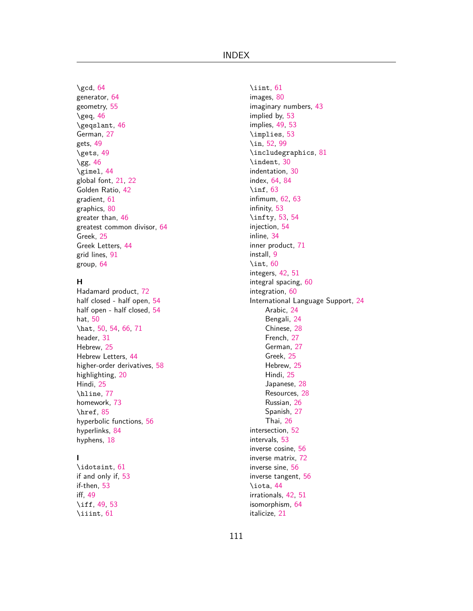\gcd, [64](#page-64-0) generator, [64](#page-64-0) geometry, [55](#page-55-0)  $\text{q}$ eq, [46](#page-46-0) \geqslant, [46](#page-46-0) German, [27](#page-27-0) gets, [49](#page-49-0) \gets, [49](#page-49-0) \gg, [46](#page-46-0) \gimel, [44](#page-44-0) global font, [21](#page-21-0), [22](#page-22-0) Golden Ratio, [42](#page-42-0) gradient, [61](#page-61-0) graphics, [80](#page-80-0) greater than, [46](#page-46-0) greatest common divisor, [64](#page-64-0) Greek, [25](#page-25-0) Greek Letters, [44](#page-44-0) grid lines, [91](#page-91-0) group, [64](#page-64-0)

## **H**

Hadamard product, [72](#page-72-0) half closed - half open, [54](#page-54-0) half open - half closed, [54](#page-54-0) hat, [50](#page-50-0) \hat, [50](#page-50-0), [54](#page-54-0), [66](#page-66-0), [71](#page-71-0) header, [31](#page-31-0) Hebrew, [25](#page-25-0) Hebrew Letters, [44](#page-44-0) higher-order derivatives, [58](#page-58-0) highlighting, [20](#page-20-0) Hindi, [25](#page-25-0) \hline, [77](#page-77-0) homework, [73](#page-73-0) \href, [85](#page-85-0) hyperbolic functions, [56](#page-56-0) hyperlinks, [84](#page-84-0) hyphens, [18](#page-18-0)

## **I**

\idotsint, [61](#page-61-0) if and only if, [53](#page-53-0) if-then, [53](#page-53-0) iff, [49](#page-49-0) \iff, [49](#page-49-0), [53](#page-53-0) \iiint, [61](#page-61-0)

\iint, [61](#page-61-0) images, [80](#page-80-0) imaginary numbers, [43](#page-43-0) implied by, [53](#page-53-0) implies, [49,](#page-49-0) [53](#page-53-0) \implies, [53](#page-53-0) \in, [52](#page-52-0), [99](#page-99-0) \includegraphics, [81](#page-81-0) \indent, [30](#page-30-0) indentation, [30](#page-30-0) index, [64](#page-64-0), [84](#page-84-0) \inf, [63](#page-63-0) infimum, [62](#page-62-0), [63](#page-63-0) infinity, [53](#page-53-0) \infty, [53,](#page-53-0) [54](#page-54-0) injection, [54](#page-54-0) inline, [34](#page-34-0) inner product, [71](#page-71-0) install, [9](#page-9-0) \int, [60](#page-60-0) integers, [42,](#page-42-0) [51](#page-51-0) integral spacing, [60](#page-60-0) integration, [60](#page-60-0) International Language Support, [24](#page-24-0) Arabic, [24](#page-24-0) Bengali, [24](#page-24-0) Chinese, [28](#page-28-0) French, [27](#page-27-0) German, [27](#page-27-0) Greek, [25](#page-25-0) Hebrew, [25](#page-25-0) Hindi, [25](#page-25-0) Japanese, [28](#page-28-0) Resources, [28](#page-28-0) Russian, [26](#page-26-0) Spanish, [27](#page-27-0) Thai, [26](#page-26-0) intersection, [52](#page-52-0) intervals, [53](#page-53-0) inverse cosine, [56](#page-56-0) inverse matrix, [72](#page-72-0) inverse sine, [56](#page-56-0) inverse tangent, [56](#page-56-0) \iota, [44](#page-44-0) irrationals, [42,](#page-42-0) [51](#page-51-0) isomorphism, [64](#page-64-0) italicize, [21](#page-21-0)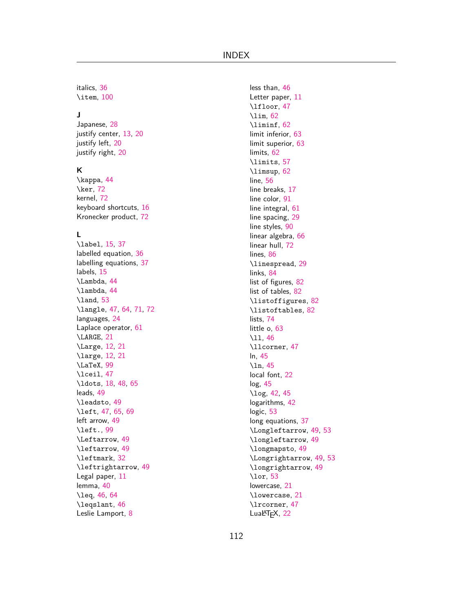italics, [36](#page-36-0) \item, [100](#page-100-0)

## **J**

Japanese, [28](#page-28-0) justify center, [13](#page-13-0), [20](#page-20-0) justify left, [20](#page-20-0) justify right, [20](#page-20-0)

## **K**

\kappa, [44](#page-44-0) \ker, [72](#page-72-0) kernel, [72](#page-72-0) keyboard shortcuts, [16](#page-16-0) Kronecker product, [72](#page-72-0)

## **L**

\label, [15,](#page-15-0) [37](#page-37-0) labelled equation, [36](#page-36-0) labelling equations, [37](#page-37-0) labels, [15](#page-15-0) \Lambda, [44](#page-44-0) \lambda, [44](#page-44-0) \land, [53](#page-53-0) \langle, [47,](#page-47-0) [64,](#page-64-0) [71,](#page-71-0) [72](#page-72-0) languages, [24](#page-24-0) Laplace operator, [61](#page-61-0) \LARGE, [21](#page-21-0) \Large, [12,](#page-12-0) [21](#page-21-0) \large, [12,](#page-12-0) [21](#page-21-0) \LaTeX, [99](#page-99-0) \lceil, [47](#page-47-0) \ldots, [18,](#page-18-0) [48,](#page-48-0) [65](#page-65-0) leads, [49](#page-49-0) \leadsto, [49](#page-49-0) \left, [47](#page-47-0), [65](#page-65-0), [69](#page-69-0) left arrow, [49](#page-49-0) \left., [99](#page-99-0) \Leftarrow, [49](#page-49-0) \leftarrow, [49](#page-49-0) \leftmark, [32](#page-32-0) \leftrightarrow, [49](#page-49-0) Legal paper, [11](#page-11-0) lemma, [40](#page-40-0) \leq, [46](#page-46-0), [64](#page-64-0) \leqslant, [46](#page-46-0) Leslie Lamport, [8](#page-8-0)

less than, [46](#page-46-0) Letter paper, [11](#page-11-0) \lfloor, [47](#page-47-0) \lim, [62](#page-62-0) \liminf, [62](#page-62-0) limit inferior, [63](#page-63-0) limit superior, [63](#page-63-0) limits, [62](#page-62-0) \limits, [57](#page-57-0) \limsup, [62](#page-62-0) line, [56](#page-56-0) line breaks, [17](#page-17-0) line color, [91](#page-91-0) line integral, [61](#page-61-0) line spacing, [29](#page-29-0) line styles, [90](#page-90-0) linear algebra, [66](#page-66-0) linear hull, [72](#page-72-0) lines, [86](#page-86-0) \linespread, [29](#page-29-0) links, [84](#page-84-0) list of figures, [82](#page-82-0) list of tables, [82](#page-82-0) \listoffigures, [82](#page-82-0) \listoftables, [82](#page-82-0) lists, [74](#page-74-0) little o, [63](#page-63-0) \ll, [46](#page-46-0) \llcorner, [47](#page-47-0) ln, [45](#page-45-0) \ln, [45](#page-45-0) local font, [22](#page-22-0) log, [45](#page-45-0) \log, [42](#page-42-0), [45](#page-45-0) logarithms, [42](#page-42-0) logic, [53](#page-53-0) long equations, [37](#page-37-0) \Longleftarrow, [49,](#page-49-0) [53](#page-53-0) \longleftarrow, [49](#page-49-0) \longmapsto, [49](#page-49-0) \Longrightarrow, [49,](#page-49-0) [53](#page-53-0) \longrightarrow, [49](#page-49-0) \lor, [53](#page-53-0) lowercase, [21](#page-21-0) \lowercase, [21](#page-21-0) \lrcorner, [47](#page-47-0) LuaLTFX, [22](#page-22-0)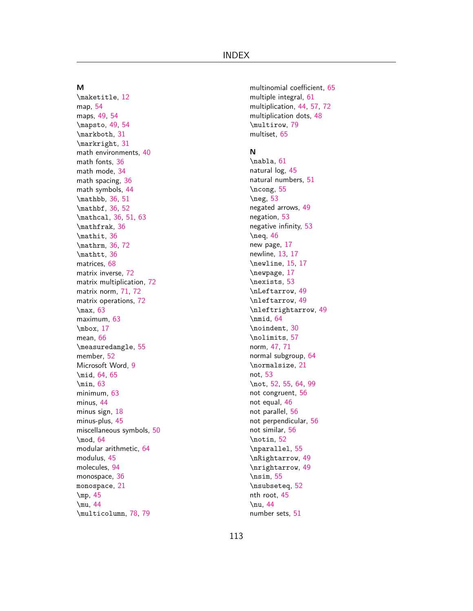#### **M**

\maketitle, [12](#page-12-0) map, [54](#page-54-0) maps, [49,](#page-49-0) [54](#page-54-0) \mapsto, [49,](#page-49-0) [54](#page-54-0) \markboth, [31](#page-31-0) \markright, [31](#page-31-0) math environments, [40](#page-40-0) math fonts, [36](#page-36-0) math mode, [34](#page-34-0) math spacing, [36](#page-36-0) math symbols, [44](#page-44-0) \mathbb, [36,](#page-36-0) [51](#page-51-0) \mathbf, [36,](#page-36-0) [52](#page-52-0) \mathcal, [36](#page-36-0), [51](#page-51-0), [63](#page-63-0) \mathfrak, [36](#page-36-0) \mathit, [36](#page-36-0) \mathrm, [36,](#page-36-0) [72](#page-72-0) \mathtt, [36](#page-36-0) matrices, [68](#page-68-0) matrix inverse, [72](#page-72-0) matrix multiplication, [72](#page-72-0) matrix norm, [71](#page-71-0), [72](#page-72-0) matrix operations, [72](#page-72-0) \max, [63](#page-63-0) maximum, [63](#page-63-0) \mbox, [17](#page-17-0) mean, [66](#page-66-0) \measuredangle, [55](#page-55-0) member, [52](#page-52-0) Microsoft Word, [9](#page-9-0) \mid, [64](#page-64-0), [65](#page-65-0) \min, [63](#page-63-0) minimum, [63](#page-63-0) minus, [44](#page-44-0) minus sign, [18](#page-18-0) minus-plus, [45](#page-45-0) miscellaneous symbols, [50](#page-50-0) \mod, [64](#page-64-0) modular arithmetic, [64](#page-64-0) modulus, [45](#page-45-0) molecules, [94](#page-94-0) monospace, [36](#page-36-0) monospace, [21](#page-21-0) \mp, [45](#page-45-0) \mu, [44](#page-44-0) \multicolumn, [78](#page-78-0), [79](#page-79-0)

multinomial coefficient, [65](#page-65-0) multiple integral, [61](#page-61-0) multiplication, [44](#page-44-0), [57](#page-57-0), [72](#page-72-0) multiplication dots, [48](#page-48-0) \multirow, [79](#page-79-0) multiset, [65](#page-65-0)

## **N**

\nabla, [61](#page-61-0) natural log, [45](#page-45-0) natural numbers, [51](#page-51-0) \ncong, [55](#page-55-0) \neg, [53](#page-53-0) negated arrows, [49](#page-49-0) negation, [53](#page-53-0) negative infinity, [53](#page-53-0) \neq, [46](#page-46-0) new page, [17](#page-17-0) newline, [13](#page-13-0), [17](#page-17-0) \newline, [15](#page-15-0), [17](#page-17-0) \newpage, [17](#page-17-0) \nexists, [53](#page-53-0) \nLeftarrow, [49](#page-49-0) \nleftarrow, [49](#page-49-0) \nleftrightarrow, [49](#page-49-0) \nmid, [64](#page-64-0) \noindent, [30](#page-30-0) \nolimits, [57](#page-57-0) norm, [47,](#page-47-0) [71](#page-71-0) normal subgroup, [64](#page-64-0) \normalsize, [21](#page-21-0) not, [53](#page-53-0) \not, [52](#page-52-0), [55](#page-55-0), [64,](#page-64-0) [99](#page-99-0) not congruent, [56](#page-56-0) not equal, [46](#page-46-0) not parallel, [56](#page-56-0) not perpendicular, [56](#page-56-0) not similar, [56](#page-56-0) \notin, [52](#page-52-0) \nparallel, [55](#page-55-0) \nRightarrow, [49](#page-49-0) \nrightarrow, [49](#page-49-0) \nsim, [55](#page-55-0) \nsubseteq, [52](#page-52-0) nth root, [45](#page-45-0) \nu, [44](#page-44-0) number sets, [51](#page-51-0)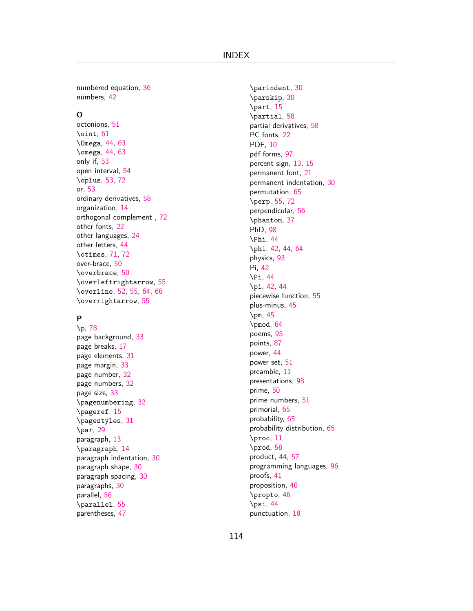numbered equation, [36](#page-36-0) numbers, [42](#page-42-0)

## **O**

octonions, [51](#page-51-0) \oint, [61](#page-61-0) \Omega, [44,](#page-44-0) [63](#page-63-0) \omega, [44,](#page-44-0) [63](#page-63-0) only if, [53](#page-53-0) open interval, [54](#page-54-0) \oplus, [53,](#page-53-0) [72](#page-72-0) or, [53](#page-53-0) ordinary derivatives, [58](#page-58-0) organization, [14](#page-14-0) orthogonal complement , [72](#page-72-0) other fonts, [22](#page-22-0) other languages, [24](#page-24-0) other letters, [44](#page-44-0) \otimes, [71,](#page-71-0) [72](#page-72-0) over-brace, [50](#page-50-0) \overbrace, [50](#page-50-0) \overleftrightarrow, [55](#page-55-0) \overline, [52](#page-52-0), [55](#page-55-0), [64](#page-64-0), [66](#page-66-0) \overrightarrow, [55](#page-55-0)

## **P**

\p, [78](#page-78-0) page background, [33](#page-33-0) page breaks, [17](#page-17-0) page elements, [31](#page-31-0) page margin, [33](#page-33-0) page number, [32](#page-32-0) page numbers, [32](#page-32-0) page size, [33](#page-33-0) \pagenumbering, [32](#page-32-0) \pageref, [15](#page-15-0) \pagestyles, [31](#page-31-0) \par, [29](#page-29-0) paragraph, [13](#page-13-0) \paragraph, [14](#page-14-0) paragraph indentation, [30](#page-30-0) paragraph shape, [30](#page-30-0) paragraph spacing, [30](#page-30-0) paragraphs, [30](#page-30-0) parallel, [56](#page-56-0) \parallel, [55](#page-55-0) parentheses, [47](#page-47-0)

\parindent, [30](#page-30-0) \parskip, [30](#page-30-0) \part, [15](#page-15-0) \partial, [58](#page-58-0) partial derivatives, [58](#page-58-0) PC fonts, [22](#page-22-0) PDF, [10](#page-10-0) pdf forms, [97](#page-97-0) percent sign, [13,](#page-13-0) [15](#page-15-0) permanent font, [21](#page-21-0) permanent indentation, [30](#page-30-0) permutation, [65](#page-65-0) \perp, [55,](#page-55-0) [72](#page-72-0) perpendicular, [56](#page-56-0) \phantom, [37](#page-37-0) PhD, [98](#page-98-0) \Phi, [44](#page-44-0) \phi, [42](#page-42-0), [44](#page-44-0), [64](#page-64-0) physics, [93](#page-93-0) Pi, [42](#page-42-0) \Pi, [44](#page-44-0) \pi, [42](#page-42-0), [44](#page-44-0) piecewise function, [55](#page-55-0) plus-minus, [45](#page-45-0) \pm, [45](#page-45-0) \pmod, [64](#page-64-0) poems, [95](#page-95-0) points, [87](#page-87-0) power, [44](#page-44-0) power set, [51](#page-51-0) preamble, [11](#page-11-0) presentations, [98](#page-98-0) prime, [50](#page-50-0) prime numbers, [51](#page-51-0) primorial, [65](#page-65-0) probability, [65](#page-65-0) probability distribution, [65](#page-65-0) \proc, [11](#page-11-0) \prod, [58](#page-58-0) product, [44](#page-44-0), [57](#page-57-0) programming languages, [96](#page-96-0) proofs, [41](#page-41-0) proposition, [40](#page-40-0) \propto, [46](#page-46-0) \psi, [44](#page-44-0) punctuation, [18](#page-18-0)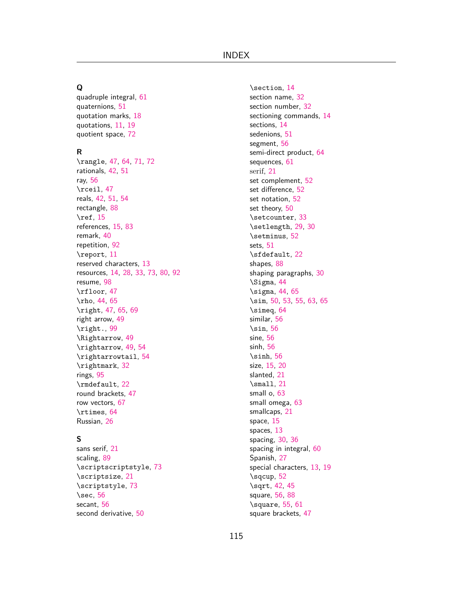## **Q**

quadruple integral, [61](#page-61-0) quaternions, [51](#page-51-0) quotation marks, [18](#page-18-0) quotations, [11,](#page-11-0) [19](#page-19-0) quotient space, [72](#page-72-0)

#### **R**

\rangle, [47,](#page-47-0) [64,](#page-64-0) [71,](#page-71-0) [72](#page-72-0) rationals, [42,](#page-42-0) [51](#page-51-0) ray, [56](#page-56-0) \rceil, [47](#page-47-0) reals, [42](#page-42-0), [51](#page-51-0), [54](#page-54-0) rectangle, [88](#page-88-0) \ref, [15](#page-15-0) references, [15](#page-15-0), [83](#page-83-0) remark, [40](#page-40-0) repetition, [92](#page-92-0) \report, [11](#page-11-0) reserved characters, [13](#page-13-0) resources, [14](#page-14-0), [28](#page-28-0), [33](#page-33-0), [73](#page-73-0), [80](#page-80-0), [92](#page-92-0) resume, [98](#page-98-0) \rfloor, [47](#page-47-0) \rho, [44](#page-44-0), [65](#page-65-0) \right, [47,](#page-47-0) [65,](#page-65-0) [69](#page-69-0) right arrow, [49](#page-49-0) \right., [99](#page-99-0) \Rightarrow, [49](#page-49-0) \rightarrow, [49,](#page-49-0) [54](#page-54-0) \rightarrowtail, [54](#page-54-0) \rightmark, [32](#page-32-0) rings, [95](#page-95-0) \rmdefault, [22](#page-22-0) round brackets, [47](#page-47-0) row vectors, [67](#page-67-0) \rtimes, [64](#page-64-0) Russian, [26](#page-26-0)

#### **S**

sans serif, [21](#page-21-0) scaling, [89](#page-89-0) \scriptscriptstyle, [73](#page-73-0) \scriptsize, [21](#page-21-0) \scriptstyle, [73](#page-73-0) \sec, [56](#page-56-0) secant, [56](#page-56-0) second derivative, [50](#page-50-0)

\section, [14](#page-14-0) section name, [32](#page-32-0) section number, [32](#page-32-0) sectioning commands, [14](#page-14-0) sections, [14](#page-14-0) sedenions, [51](#page-51-0) segment, [56](#page-56-0) semi-direct product, [64](#page-64-0) sequences, [61](#page-61-0) serif, [21](#page-21-0) set complement, [52](#page-52-0) set difference, [52](#page-52-0) set notation, [52](#page-52-0) set theory, [50](#page-50-0) \setcounter, [33](#page-33-0) \setlength, [29,](#page-29-0) [30](#page-30-0) \setminus, [52](#page-52-0) sets, [51](#page-51-0) \sfdefault, [22](#page-22-0) shapes, [88](#page-88-0) shaping paragraphs, [30](#page-30-0) \Sigma, [44](#page-44-0) \sigma, [44,](#page-44-0) [65](#page-65-0) \sim, [50](#page-50-0), [53](#page-53-0), [55,](#page-55-0) [63,](#page-63-0) [65](#page-65-0) \simeq, [64](#page-64-0) similar, [56](#page-56-0) \sin, [56](#page-56-0) sine, [56](#page-56-0) sinh, [56](#page-56-0) \sinh, [56](#page-56-0) size, [15](#page-15-0), [20](#page-20-0) slanted, [21](#page-21-0) \small, [21](#page-21-0) small o, [63](#page-63-0) small omega, [63](#page-63-0) smallcaps, [21](#page-21-0) space, [15](#page-15-0) spaces, [13](#page-13-0) spacing, [30](#page-30-0), [36](#page-36-0) spacing in integral, [60](#page-60-0) Spanish, [27](#page-27-0) special characters, [13](#page-13-0), [19](#page-19-0) \sqcup, [52](#page-52-0) \sqrt, [42,](#page-42-0) [45](#page-45-0) square, [56,](#page-56-0) [88](#page-88-0) \square, [55](#page-55-0), [61](#page-61-0) square brackets, [47](#page-47-0)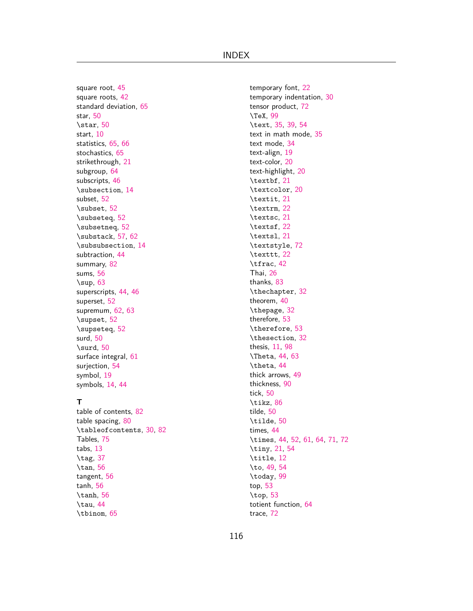square root, [45](#page-45-0) square roots, [42](#page-42-0) standard deviation, [65](#page-65-0) star, [50](#page-50-0) \star, [50](#page-50-0) start, [10](#page-10-0) statistics, [65](#page-65-0), [66](#page-66-0) stochastics, [65](#page-65-0) strikethrough, [21](#page-21-0) subgroup, [64](#page-64-0) subscripts, [46](#page-46-0) \subsection, [14](#page-14-0) subset, [52](#page-52-0) \subset, [52](#page-52-0) \subseteq, [52](#page-52-0) \subsetneq, [52](#page-52-0) \substack, [57](#page-57-0), [62](#page-62-0) \subsubsection, [14](#page-14-0) subtraction, [44](#page-44-0) summary, [82](#page-82-0) sums, [56](#page-56-0)  $\sum_{9}$ superscripts, [44](#page-44-0), [46](#page-46-0) superset, [52](#page-52-0) supremum, [62,](#page-62-0) [63](#page-63-0) \supset, [52](#page-52-0) \supseteq, [52](#page-52-0) surd, [50](#page-50-0) \surd, [50](#page-50-0) surface integral, [61](#page-61-0) surjection, [54](#page-54-0) symbol, [19](#page-19-0) symbols, [14](#page-14-0), [44](#page-44-0)

## **T**

table of contents, [82](#page-82-0) table spacing, [80](#page-80-0) \tableofcontents, [30,](#page-30-0) [82](#page-82-0) Tables, [75](#page-75-0) tabs, [13](#page-13-0) \tag, [37](#page-37-0) \tan, [56](#page-56-0) tangent, [56](#page-56-0) tanh, [56](#page-56-0) \tanh, [56](#page-56-0) \tau, [44](#page-44-0) \tbinom, [65](#page-65-0)

temporary font, [22](#page-22-0) temporary indentation, [30](#page-30-0) tensor product, [72](#page-72-0) \TeX, [99](#page-99-0) \text, [35,](#page-35-0) [39,](#page-39-0) [54](#page-54-0) text in math mode, [35](#page-35-0) text mode, [34](#page-34-0) text-align, [19](#page-19-0) text-color, [20](#page-20-0) text-highlight, [20](#page-20-0) \textbf, [21](#page-21-0) \textcolor, [20](#page-20-0) \textit, [21](#page-21-0) \textrm, [22](#page-22-0) \textsc, [21](#page-21-0) \textsf, [22](#page-22-0) \textsl, [21](#page-21-0) \textstyle, [72](#page-72-0) \texttt, [22](#page-22-0) \tfrac, [42](#page-42-0) Thai, [26](#page-26-0) thanks, [83](#page-83-0) \thechapter, [32](#page-32-0) theorem, [40](#page-40-0) \thepage, [32](#page-32-0) therefore, [53](#page-53-0) \therefore, [53](#page-53-0) \thesection, [32](#page-32-0) thesis, [11,](#page-11-0) [98](#page-98-0) \Theta, [44,](#page-44-0) [63](#page-63-0) \theta, [44](#page-44-0) thick arrows, [49](#page-49-0) thickness, [90](#page-90-0) tick, [50](#page-50-0) \tikz, [86](#page-86-0) tilde, [50](#page-50-0) \tilde, [50](#page-50-0) times, [44](#page-44-0) \times, [44,](#page-44-0) [52,](#page-52-0) [61,](#page-61-0) [64](#page-64-0), [71](#page-71-0), [72](#page-72-0) \tiny, [21,](#page-21-0) [54](#page-54-0) \title, [12](#page-12-0) \to, [49](#page-49-0), [54](#page-54-0) \today, [99](#page-99-0) top, [53](#page-53-0) \top, [53](#page-53-0) totient function, [64](#page-64-0) trace, [72](#page-72-0)